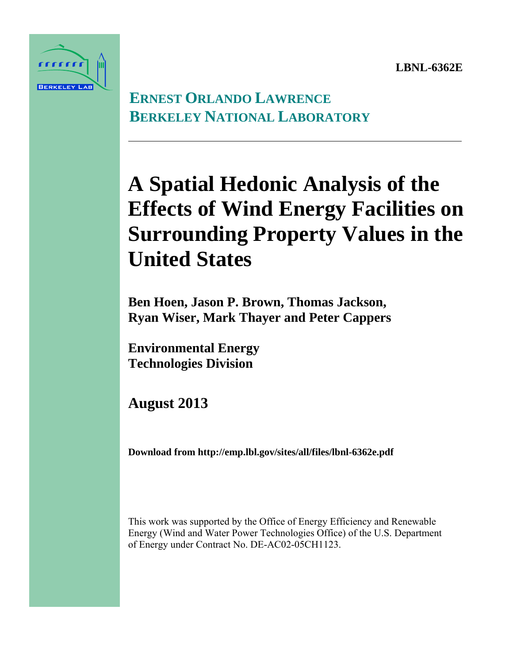**LBNL-6362E** 



# **ERNEST ORLANDO LAWRENCE BERKELEY NATIONAL LABORATORY**

# **A Spatial Hedonic Analysis of the Effects of Wind Energy Facilities on Surrounding Property Values in the United States**

**Ben Hoen, Jason P. Brown, Thomas Jackson, Ryan Wiser, Mark Thayer and Peter Cappers** 

**Environmental Energy Technologies Division** 

**August 2013** 

**Download from http://emp.lbl.gov/sites/all/files/lbnl-6362e.pdf** 

This work was supported by the Office of Energy Efficiency and Renewable Energy (Wind and Water Power Technologies Office) of the U.S. Department of Energy under Contract No. DE-AC02-05CH1123.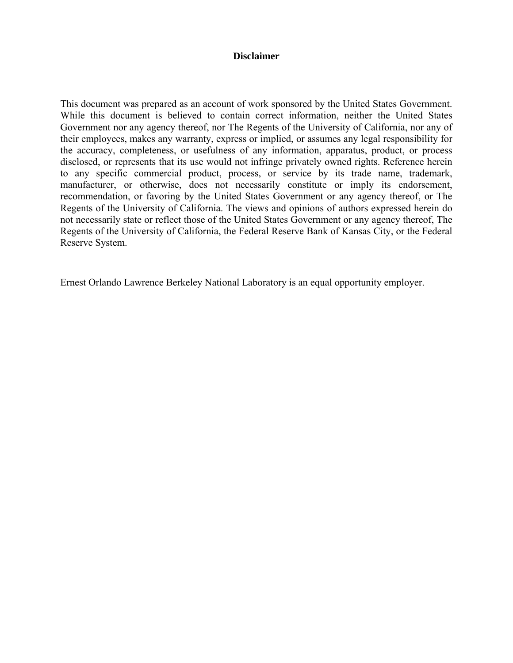#### **Disclaimer**

This document was prepared as an account of work sponsored by the United States Government. While this document is believed to contain correct information, neither the United States Government nor any agency thereof, nor The Regents of the University of California, nor any of their employees, makes any warranty, express or implied, or assumes any legal responsibility for the accuracy, completeness, or usefulness of any information, apparatus, product, or process disclosed, or represents that its use would not infringe privately owned rights. Reference herein to any specific commercial product, process, or service by its trade name, trademark, manufacturer, or otherwise, does not necessarily constitute or imply its endorsement, recommendation, or favoring by the United States Government or any agency thereof, or The Regents of the University of California. The views and opinions of authors expressed herein do not necessarily state or reflect those of the United States Government or any agency thereof, The Regents of the University of California, the Federal Reserve Bank of Kansas City, or the Federal Reserve System.

Ernest Orlando Lawrence Berkeley National Laboratory is an equal opportunity employer.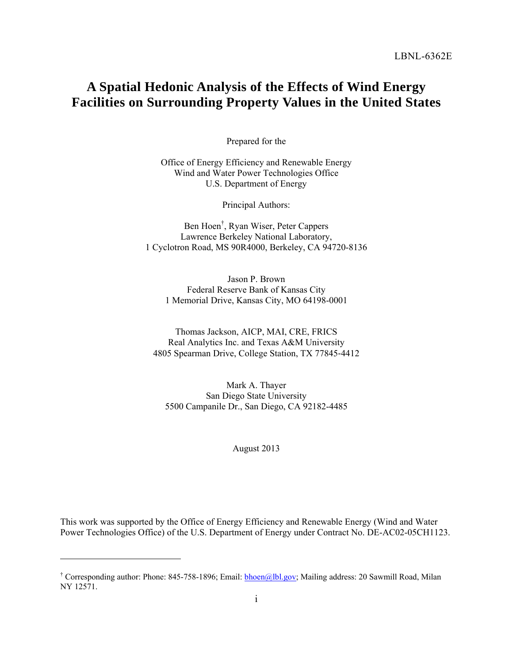# **A Spatial Hedonic Analysis of the Effects of Wind Energy Facilities on Surrounding Property Values in the United States**

Prepared for the

Office of Energy Efficiency and Renewable Energy Wind and Water Power Technologies Office U.S. Department of Energy

Principal Authors:

Ben Hoen† , Ryan Wiser, Peter Cappers Lawrence Berkeley National Laboratory, 1 Cyclotron Road, MS 90R4000, Berkeley, CA 94720-8136

Jason P. Brown Federal Reserve Bank of Kansas City 1 Memorial Drive, Kansas City, MO 64198-0001

Thomas Jackson, AICP, MAI, CRE, FRICS Real Analytics Inc. and Texas A&M University 4805 Spearman Drive, College Station, TX 77845‐4412

Mark A. Thayer San Diego State University 5500 Campanile Dr., San Diego, CA 92182-4485

August 2013

This work was supported by the Office of Energy Efficiency and Renewable Energy (Wind and Water Power Technologies Office) of the U.S. Department of Energy under Contract No. DE-AC02-05CH1123.

<sup>&</sup>lt;sup>†</sup> Corresponding author: Phone: 845-758-1896; Email: **bhoen@lbl.gov**; Mailing address: 20 Sawmill Road, Milan NY 12571.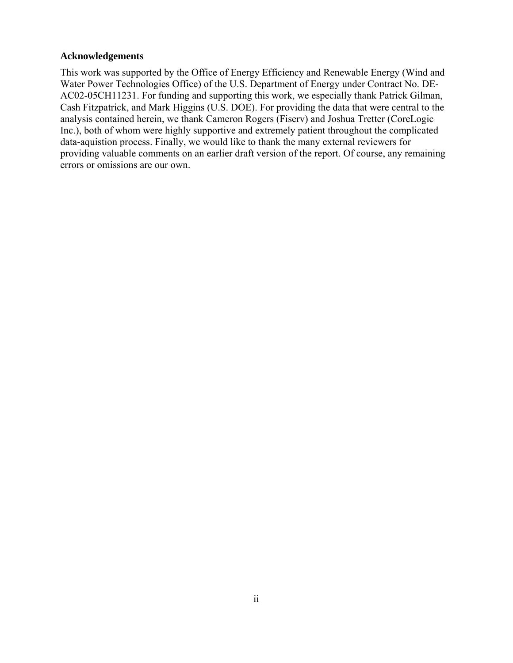#### **Acknowledgements**

This work was supported by the Office of Energy Efficiency and Renewable Energy (Wind and Water Power Technologies Office) of the U.S. Department of Energy under Contract No. DE-AC02-05CH11231. For funding and supporting this work, we especially thank Patrick Gilman, Cash Fitzpatrick, and Mark Higgins (U.S. DOE). For providing the data that were central to the analysis contained herein, we thank Cameron Rogers (Fiserv) and Joshua Tretter (CoreLogic Inc.), both of whom were highly supportive and extremely patient throughout the complicated data-aquistion process. Finally, we would like to thank the many external reviewers for providing valuable comments on an earlier draft version of the report. Of course, any remaining errors or omissions are our own.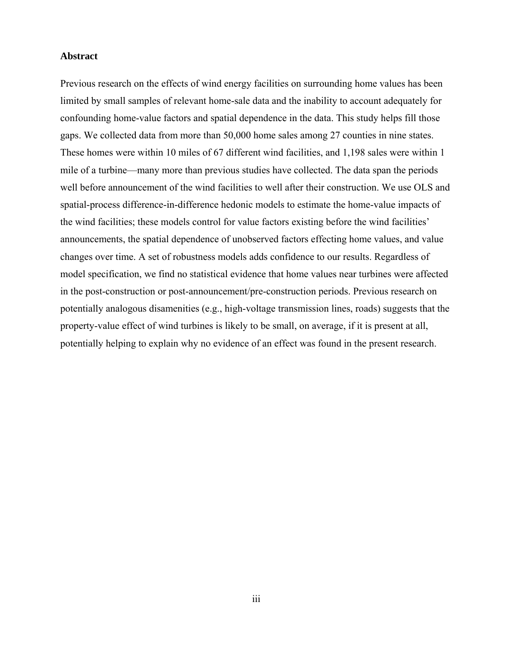#### **Abstract**

Previous research on the effects of wind energy facilities on surrounding home values has been limited by small samples of relevant home-sale data and the inability to account adequately for confounding home-value factors and spatial dependence in the data. This study helps fill those gaps. We collected data from more than 50,000 home sales among 27 counties in nine states. These homes were within 10 miles of 67 different wind facilities, and 1,198 sales were within 1 mile of a turbine—many more than previous studies have collected. The data span the periods well before announcement of the wind facilities to well after their construction. We use OLS and spatial-process difference-in-difference hedonic models to estimate the home-value impacts of the wind facilities; these models control for value factors existing before the wind facilities' announcements, the spatial dependence of unobserved factors effecting home values, and value changes over time. A set of robustness models adds confidence to our results. Regardless of model specification, we find no statistical evidence that home values near turbines were affected in the post-construction or post-announcement/pre-construction periods. Previous research on potentially analogous disamenities (e.g., high-voltage transmission lines, roads) suggests that the property-value effect of wind turbines is likely to be small, on average, if it is present at all, potentially helping to explain why no evidence of an effect was found in the present research.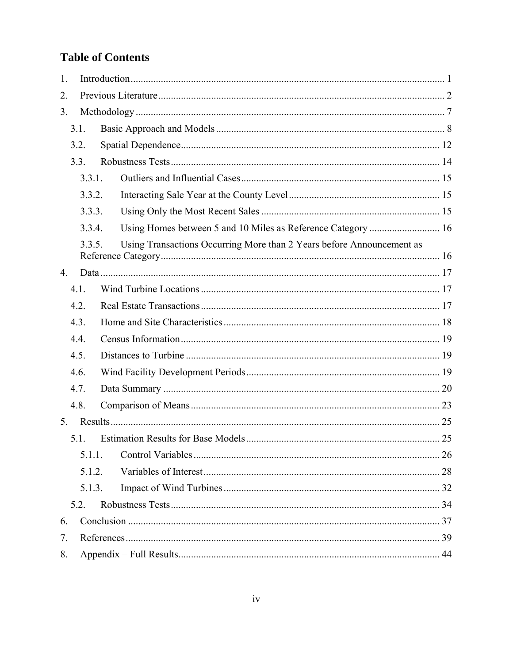# **Table of Contents**

| 1.          |        |                                                                       |  |
|-------------|--------|-----------------------------------------------------------------------|--|
| 2.          |        |                                                                       |  |
| 3.          |        |                                                                       |  |
|             | 3.1.   |                                                                       |  |
|             | 3.2.   |                                                                       |  |
|             | 3.3.   |                                                                       |  |
|             | 3.3.1. |                                                                       |  |
|             | 3.3.2. |                                                                       |  |
|             | 3.3.3. |                                                                       |  |
|             | 3.3.4. | Using Homes between 5 and 10 Miles as Reference Category  16          |  |
|             | 3.3.5. | Using Transactions Occurring More than 2 Years before Announcement as |  |
| $4_{\cdot}$ |        |                                                                       |  |
|             | 4.1.   |                                                                       |  |
|             | 4.2.   |                                                                       |  |
|             | 4.3.   |                                                                       |  |
|             | 4.4.   |                                                                       |  |
|             | 4.5.   |                                                                       |  |
|             | 4.6.   |                                                                       |  |
|             | 4.7.   |                                                                       |  |
|             | 4.8.   |                                                                       |  |
| 5.          |        |                                                                       |  |
|             | 5.1.   |                                                                       |  |
|             | 5.1.1. |                                                                       |  |
|             | 5.1.2. |                                                                       |  |
|             | 5.1.3. |                                                                       |  |
|             | 5.2.   |                                                                       |  |
| 6.          |        |                                                                       |  |
| 7.          |        |                                                                       |  |
| 8.          |        |                                                                       |  |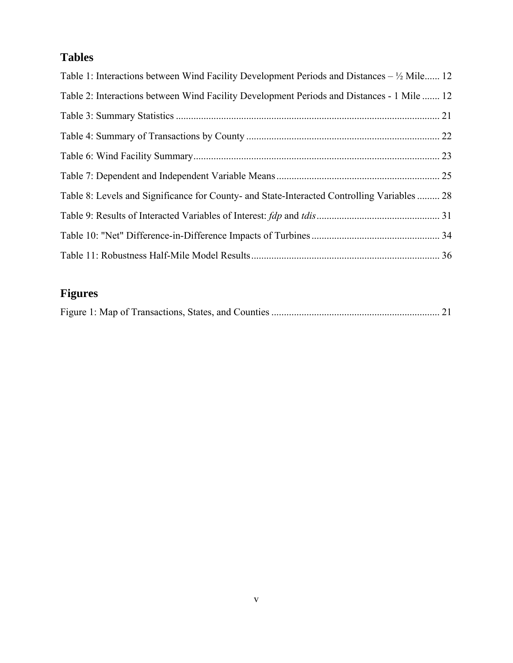# **Tables**

| Table 1: Interactions between Wind Facility Development Periods and Distances $-\frac{1}{2}$ Mile 12 |  |
|------------------------------------------------------------------------------------------------------|--|
| Table 2: Interactions between Wind Facility Development Periods and Distances - 1 Mile  12           |  |
|                                                                                                      |  |
|                                                                                                      |  |
|                                                                                                      |  |
|                                                                                                      |  |
| Table 8: Levels and Significance for County- and State-Interacted Controlling Variables  28          |  |
|                                                                                                      |  |
|                                                                                                      |  |
|                                                                                                      |  |

# **Figures**

|--|--|--|--|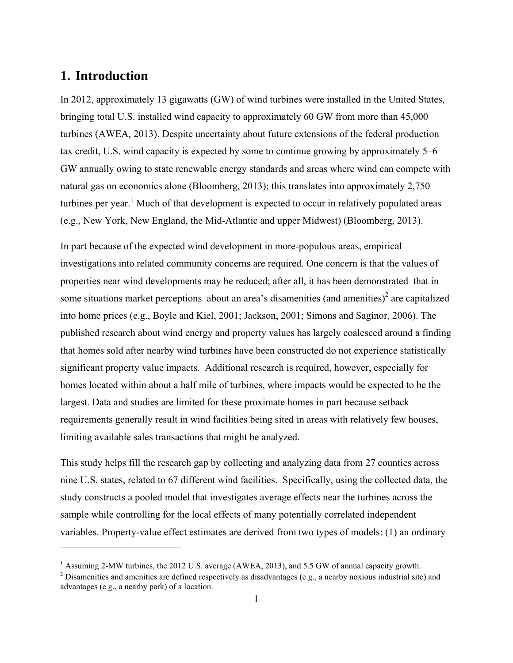# **1. Introduction**

 $\overline{a}$ 

In 2012, approximately 13 gigawatts (GW) of wind turbines were installed in the United States, bringing total U.S. installed wind capacity to approximately 60 GW from more than 45,000 turbines (AWEA, 2013). Despite uncertainty about future extensions of the federal production tax credit, U.S. wind capacity is expected by some to continue growing by approximately 5–6 GW annually owing to state renewable energy standards and areas where wind can compete with natural gas on economics alone (Bloomberg, 2013); this translates into approximately 2,750 turbines per year.<sup>1</sup> Much of that development is expected to occur in relatively populated areas (e.g., New York, New England, the Mid-Atlantic and upper Midwest) (Bloomberg, 2013).

In part because of the expected wind development in more-populous areas, empirical investigations into related community concerns are required. One concern is that the values of properties near wind developments may be reduced; after all, it has been demonstrated that in some situations market perceptions about an area's disamenities (and amenities)<sup>2</sup> are capitalized into home prices (e.g., Boyle and Kiel, 2001; Jackson, 2001; Simons and Saginor, 2006). The published research about wind energy and property values has largely coalesced around a finding that homes sold after nearby wind turbines have been constructed do not experience statistically significant property value impacts. Additional research is required, however, especially for homes located within about a half mile of turbines, where impacts would be expected to be the largest. Data and studies are limited for these proximate homes in part because setback requirements generally result in wind facilities being sited in areas with relatively few houses, limiting available sales transactions that might be analyzed.

This study helps fill the research gap by collecting and analyzing data from 27 counties across nine U.S. states, related to 67 different wind facilities. Specifically, using the collected data, the study constructs a pooled model that investigates average effects near the turbines across the sample while controlling for the local effects of many potentially correlated independent variables. Property-value effect estimates are derived from two types of models: (1) an ordinary

<sup>&</sup>lt;sup>1</sup> Assuming 2-MW turbines, the 2012 U.S. average (AWEA, 2013), and 5.5 GW of annual capacity growth.

 $2$  Disamenities and amenities are defined respectively as disadvantages (e.g., a nearby noxious industrial site) and advantages (e.g., a nearby park) of a location.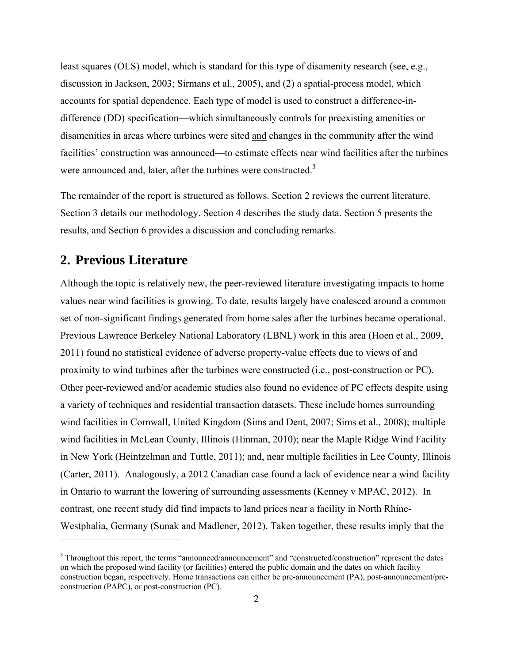least squares (OLS) model, which is standard for this type of disamenity research (see, e.g., discussion in Jackson, 2003; Sirmans et al., 2005), and (2) a spatial-process model, which accounts for spatial dependence. Each type of model is used to construct a difference-indifference (DD) specification—which simultaneously controls for preexisting amenities or disamenities in areas where turbines were sited and changes in the community after the wind facilities' construction was announced—to estimate effects near wind facilities after the turbines were announced and, later, after the turbines were constructed.<sup>3</sup>

The remainder of the report is structured as follows. Section 2 reviews the current literature. Section 3 details our methodology. Section 4 describes the study data. Section 5 presents the results, and Section 6 provides a discussion and concluding remarks.

# **2. Previous Literature**

 $\overline{a}$ 

Although the topic is relatively new, the peer-reviewed literature investigating impacts to home values near wind facilities is growing. To date, results largely have coalesced around a common set of non-significant findings generated from home sales after the turbines became operational. Previous Lawrence Berkeley National Laboratory (LBNL) work in this area (Hoen et al., 2009, 2011) found no statistical evidence of adverse property-value effects due to views of and proximity to wind turbines after the turbines were constructed (i.e., post-construction or PC). Other peer-reviewed and/or academic studies also found no evidence of PC effects despite using a variety of techniques and residential transaction datasets. These include homes surrounding wind facilities in Cornwall, United Kingdom (Sims and Dent, 2007; Sims et al., 2008); multiple wind facilities in McLean County, Illinois (Hinman, 2010); near the Maple Ridge Wind Facility in New York (Heintzelman and Tuttle, 2011); and, near multiple facilities in Lee County, Illinois (Carter, 2011). Analogously, a 2012 Canadian case found a lack of evidence near a wind facility in Ontario to warrant the lowering of surrounding assessments (Kenney v MPAC, 2012). In contrast, one recent study did find impacts to land prices near a facility in North Rhine-Westphalia, Germany (Sunak and Madlener, 2012). Taken together, these results imply that the

 $3$  Throughout this report, the terms "announced/announcement" and "constructed/construction" represent the dates on which the proposed wind facility (or facilities) entered the public domain and the dates on which facility construction began, respectively. Home transactions can either be pre-announcement (PA), post-announcement/preconstruction (PAPC), or post-construction (PC).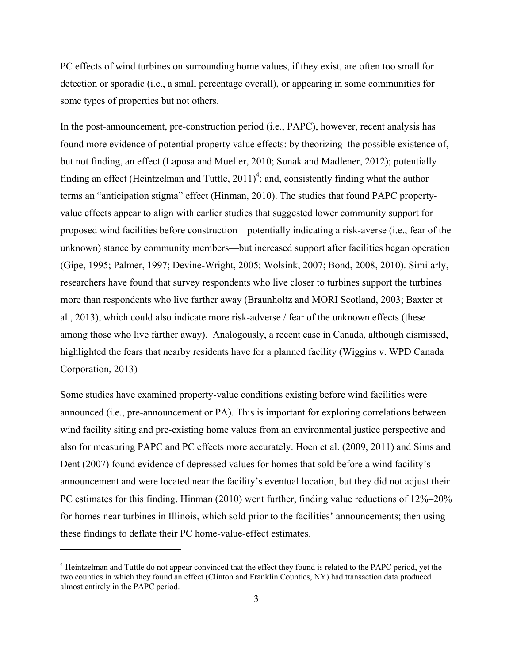PC effects of wind turbines on surrounding home values, if they exist, are often too small for detection or sporadic (i.e., a small percentage overall), or appearing in some communities for some types of properties but not others.

In the post-announcement, pre-construction period (i.e., PAPC), however, recent analysis has found more evidence of potential property value effects: by theorizing the possible existence of, but not finding, an effect (Laposa and Mueller, 2010; Sunak and Madlener, 2012); potentially finding an effect (Heintzelman and Tuttle,  $2011$ <sup>4</sup>; and, consistently finding what the author terms an "anticipation stigma" effect (Hinman, 2010). The studies that found PAPC propertyvalue effects appear to align with earlier studies that suggested lower community support for proposed wind facilities before construction—potentially indicating a risk-averse (i.e., fear of the unknown) stance by community members—but increased support after facilities began operation (Gipe, 1995; Palmer, 1997; Devine-Wright, 2005; Wolsink, 2007; Bond, 2008, 2010). Similarly, researchers have found that survey respondents who live closer to turbines support the turbines more than respondents who live farther away (Braunholtz and MORI Scotland, 2003; Baxter et al., 2013), which could also indicate more risk-adverse / fear of the unknown effects (these among those who live farther away). Analogously, a recent case in Canada, although dismissed, highlighted the fears that nearby residents have for a planned facility (Wiggins v. WPD Canada Corporation, 2013)

Some studies have examined property-value conditions existing before wind facilities were announced (i.e., pre-announcement or PA). This is important for exploring correlations between wind facility siting and pre-existing home values from an environmental justice perspective and also for measuring PAPC and PC effects more accurately. Hoen et al. (2009, 2011) and Sims and Dent (2007) found evidence of depressed values for homes that sold before a wind facility's announcement and were located near the facility's eventual location, but they did not adjust their PC estimates for this finding. Hinman (2010) went further, finding value reductions of 12%–20% for homes near turbines in Illinois, which sold prior to the facilities' announcements; then using these findings to deflate their PC home-value-effect estimates.

<sup>&</sup>lt;sup>4</sup> Heintzelman and Tuttle do not appear convinced that the effect they found is related to the PAPC period, yet the two counties in which they found an effect (Clinton and Franklin Counties, NY) had transaction data produced almost entirely in the PAPC period.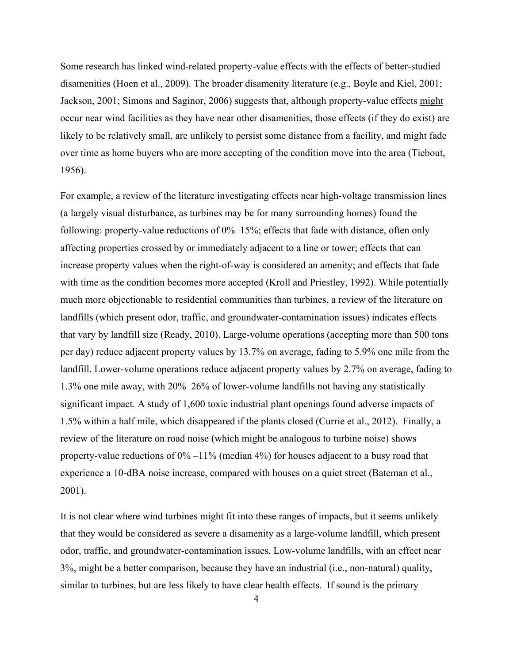Some research has linked wind-related property-value effects with the effects of better-studied disamenities (Hoen et al., 2009). The broader disamenity literature (e.g., Boyle and Kiel, 2001; Jackson, 2001; Simons and Saginor, 2006) suggests that, although property-value effects might occur near wind facilities as they have near other disamenities, those effects (if they do exist) are likely to be relatively small, are unlikely to persist some distance from a facility, and might fade over time as home buyers who are more accepting of the condition move into the area (Tiebout, 1956).

For example, a review of the literature investigating effects near high-voltage transmission lines (a largely visual disturbance, as turbines may be for many surrounding homes) found the following: property-value reductions of  $0\%$ –15%; effects that fade with distance, often only affecting properties crossed by or immediately adjacent to a line or tower; effects that can increase property values when the right-of-way is considered an amenity; and effects that fade with time as the condition becomes more accepted (Kroll and Priestley, 1992). While potentially much more objectionable to residential communities than turbines, a review of the literature on landfills (which present odor, traffic, and groundwater-contamination issues) indicates effects that vary by landfill size (Ready, 2010). Large-volume operations (accepting more than 500 tons per day) reduce adjacent property values by 13.7% on average, fading to 5.9% one mile from the landfill. Lower-volume operations reduce adjacent property values by 2.7% on average, fading to 1.3% one mile away, with 20%–26% of lower-volume landfills not having any statistically significant impact. A study of 1,600 toxic industrial plant openings found adverse impacts of 1.5% within a half mile, which disappeared if the plants closed (Currie et al., 2012). Finally, a review of the literature on road noise (which might be analogous to turbine noise) shows property-value reductions of  $0\% -11\%$  (median 4%) for houses adjacent to a busy road that experience a 10-dBA noise increase, compared with houses on a quiet street (Bateman et al., 2001).

It is not clear where wind turbines might fit into these ranges of impacts, but it seems unlikely that they would be considered as severe a disamenity as a large-volume landfill, which present odor, traffic, and groundwater-contamination issues. Low-volume landfills, with an effect near 3%, might be a better comparison, because they have an industrial (i.e., non-natural) quality, similar to turbines, but are less likely to have clear health effects. If sound is the primary

4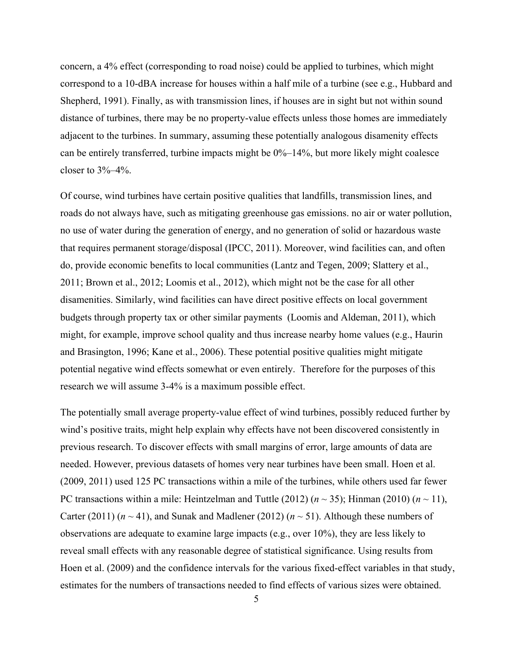concern, a 4% effect (corresponding to road noise) could be applied to turbines, which might correspond to a 10-dBA increase for houses within a half mile of a turbine (see e.g., Hubbard and Shepherd, 1991). Finally, as with transmission lines, if houses are in sight but not within sound distance of turbines, there may be no property-value effects unless those homes are immediately adjacent to the turbines. In summary, assuming these potentially analogous disamenity effects can be entirely transferred, turbine impacts might be 0%–14%, but more likely might coalesce closer to  $3\% - 4\%$ .

Of course, wind turbines have certain positive qualities that landfills, transmission lines, and roads do not always have, such as mitigating greenhouse gas emissions. no air or water pollution, no use of water during the generation of energy, and no generation of solid or hazardous waste that requires permanent storage/disposal (IPCC, 2011). Moreover, wind facilities can, and often do, provide economic benefits to local communities (Lantz and Tegen, 2009; Slattery et al., 2011; Brown et al., 2012; Loomis et al., 2012), which might not be the case for all other disamenities. Similarly, wind facilities can have direct positive effects on local government budgets through property tax or other similar payments (Loomis and Aldeman, 2011), which might, for example, improve school quality and thus increase nearby home values (e.g., Haurin and Brasington, 1996; Kane et al., 2006). These potential positive qualities might mitigate potential negative wind effects somewhat or even entirely. Therefore for the purposes of this research we will assume 3-4% is a maximum possible effect.

The potentially small average property-value effect of wind turbines, possibly reduced further by wind's positive traits, might help explain why effects have not been discovered consistently in previous research. To discover effects with small margins of error, large amounts of data are needed. However, previous datasets of homes very near turbines have been small. Hoen et al. (2009, 2011) used 125 PC transactions within a mile of the turbines, while others used far fewer PC transactions within a mile: Heintzelman and Tuttle (2012)  $(n \sim 35)$ ; Hinman (2010)  $(n \sim 11)$ , Carter (2011) ( $n \sim 41$ ), and Sunak and Madlener (2012) ( $n \sim 51$ ). Although these numbers of observations are adequate to examine large impacts (e.g., over 10%), they are less likely to reveal small effects with any reasonable degree of statistical significance. Using results from Hoen et al. (2009) and the confidence intervals for the various fixed-effect variables in that study, estimates for the numbers of transactions needed to find effects of various sizes were obtained.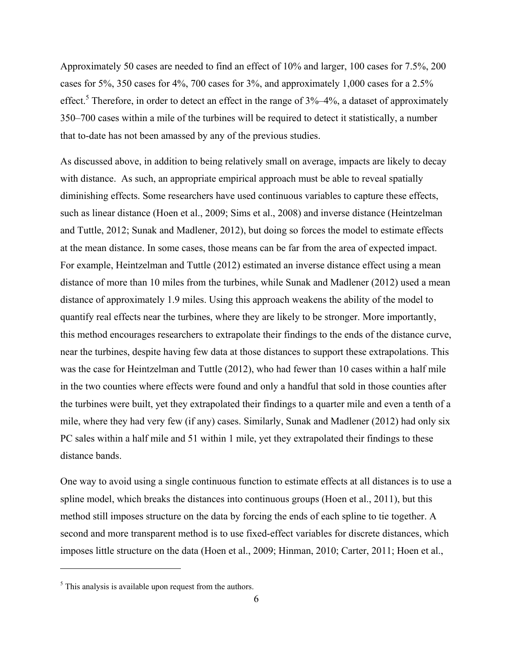Approximately 50 cases are needed to find an effect of 10% and larger, 100 cases for 7.5%, 200 cases for 5%, 350 cases for 4%, 700 cases for 3%, and approximately 1,000 cases for a 2.5% effect.<sup>5</sup> Therefore, in order to detect an effect in the range of  $3\% - 4\%$ , a dataset of approximately 350–700 cases within a mile of the turbines will be required to detect it statistically, a number that to-date has not been amassed by any of the previous studies.

As discussed above, in addition to being relatively small on average, impacts are likely to decay with distance. As such, an appropriate empirical approach must be able to reveal spatially diminishing effects. Some researchers have used continuous variables to capture these effects, such as linear distance (Hoen et al., 2009; Sims et al., 2008) and inverse distance (Heintzelman and Tuttle, 2012; Sunak and Madlener, 2012), but doing so forces the model to estimate effects at the mean distance. In some cases, those means can be far from the area of expected impact. For example, Heintzelman and Tuttle (2012) estimated an inverse distance effect using a mean distance of more than 10 miles from the turbines, while Sunak and Madlener (2012) used a mean distance of approximately 1.9 miles. Using this approach weakens the ability of the model to quantify real effects near the turbines, where they are likely to be stronger. More importantly, this method encourages researchers to extrapolate their findings to the ends of the distance curve, near the turbines, despite having few data at those distances to support these extrapolations. This was the case for Heintzelman and Tuttle (2012), who had fewer than 10 cases within a half mile in the two counties where effects were found and only a handful that sold in those counties after the turbines were built, yet they extrapolated their findings to a quarter mile and even a tenth of a mile, where they had very few (if any) cases. Similarly, Sunak and Madlener (2012) had only six PC sales within a half mile and 51 within 1 mile, yet they extrapolated their findings to these distance bands.

One way to avoid using a single continuous function to estimate effects at all distances is to use a spline model, which breaks the distances into continuous groups (Hoen et al., 2011), but this method still imposes structure on the data by forcing the ends of each spline to tie together. A second and more transparent method is to use fixed-effect variables for discrete distances, which imposes little structure on the data (Hoen et al., 2009; Hinman, 2010; Carter, 2011; Hoen et al.,

 $<sup>5</sup>$  This analysis is available upon request from the authors.</sup>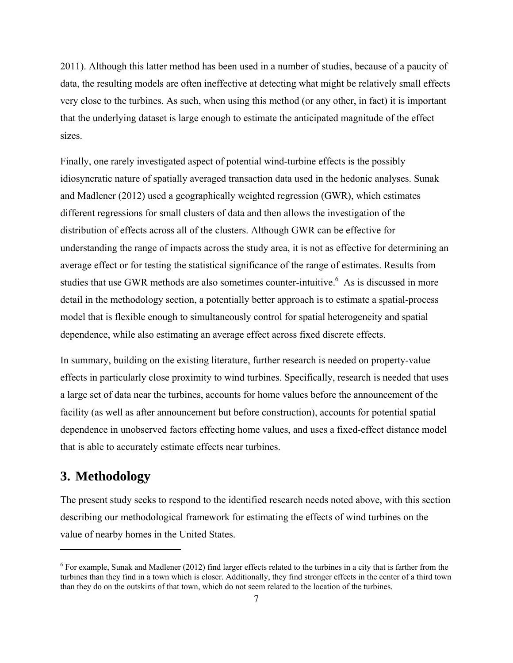2011). Although this latter method has been used in a number of studies, because of a paucity of data, the resulting models are often ineffective at detecting what might be relatively small effects very close to the turbines. As such, when using this method (or any other, in fact) it is important that the underlying dataset is large enough to estimate the anticipated magnitude of the effect sizes.

Finally, one rarely investigated aspect of potential wind-turbine effects is the possibly idiosyncratic nature of spatially averaged transaction data used in the hedonic analyses. Sunak and Madlener (2012) used a geographically weighted regression (GWR), which estimates different regressions for small clusters of data and then allows the investigation of the distribution of effects across all of the clusters. Although GWR can be effective for understanding the range of impacts across the study area, it is not as effective for determining an average effect or for testing the statistical significance of the range of estimates. Results from studies that use GWR methods are also sometimes counter-intuitive.<sup>6</sup> As is discussed in more detail in the methodology section, a potentially better approach is to estimate a spatial-process model that is flexible enough to simultaneously control for spatial heterogeneity and spatial dependence, while also estimating an average effect across fixed discrete effects.

In summary, building on the existing literature, further research is needed on property-value effects in particularly close proximity to wind turbines. Specifically, research is needed that uses a large set of data near the turbines, accounts for home values before the announcement of the facility (as well as after announcement but before construction), accounts for potential spatial dependence in unobserved factors effecting home values, and uses a fixed-effect distance model that is able to accurately estimate effects near turbines.

# **3. Methodology**

 $\overline{a}$ 

The present study seeks to respond to the identified research needs noted above, with this section describing our methodological framework for estimating the effects of wind turbines on the value of nearby homes in the United States.

 $6$  For example, Sunak and Madlener (2012) find larger effects related to the turbines in a city that is farther from the turbines than they find in a town which is closer. Additionally, they find stronger effects in the center of a third town than they do on the outskirts of that town, which do not seem related to the location of the turbines.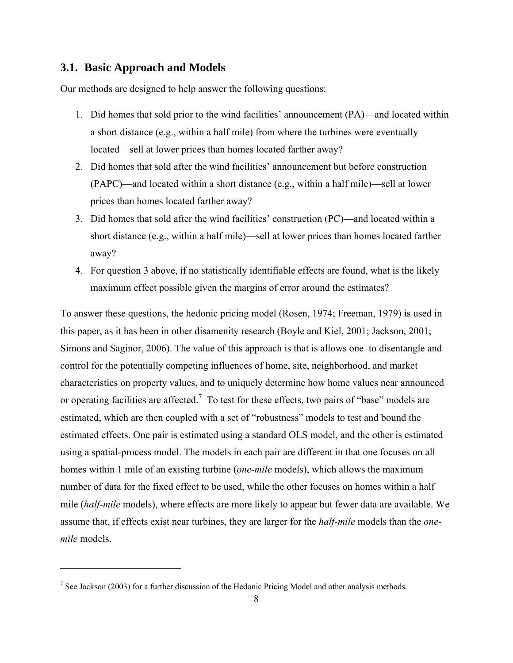#### **3.1. Basic Approach and Models**

Our methods are designed to help answer the following questions:

- 1. Did homes that sold prior to the wind facilities' announcement (PA)—and located within a short distance (e.g., within a half mile) from where the turbines were eventually located—sell at lower prices than homes located farther away?
- 2. Did homes that sold after the wind facilities' announcement but before construction (PAPC)—and located within a short distance (e.g., within a half mile)—sell at lower prices than homes located farther away?
- 3. Did homes that sold after the wind facilities' construction (PC)—and located within a short distance (e.g., within a half mile)—sell at lower prices than homes located farther away?
- 4. For question 3 above, if no statistically identifiable effects are found, what is the likely maximum effect possible given the margins of error around the estimates?

To answer these questions, the hedonic pricing model (Rosen, 1974; Freeman, 1979) is used in this paper, as it has been in other disamenity research (Boyle and Kiel, 2001; Jackson, 2001; Simons and Saginor, 2006). The value of this approach is that is allows one to disentangle and control for the potentially competing influences of home, site, neighborhood, and market characteristics on property values, and to uniquely determine how home values near announced or operating facilities are affected.<sup>7</sup> To test for these effects, two pairs of "base" models are estimated, which are then coupled with a set of "robustness" models to test and bound the estimated effects. One pair is estimated using a standard OLS model, and the other is estimated using a spatial-process model. The models in each pair are different in that one focuses on all homes within 1 mile of an existing turbine (*one-mile* models), which allows the maximum number of data for the fixed effect to be used, while the other focuses on homes within a half mile (*half-mile* models), where effects are more likely to appear but fewer data are available. We assume that, if effects exist near turbines, they are larger for the *half-mile* models than the *onemile* models.

<sup>&</sup>lt;sup>7</sup> See Jackson (2003) for a further discussion of the Hedonic Pricing Model and other analysis methods.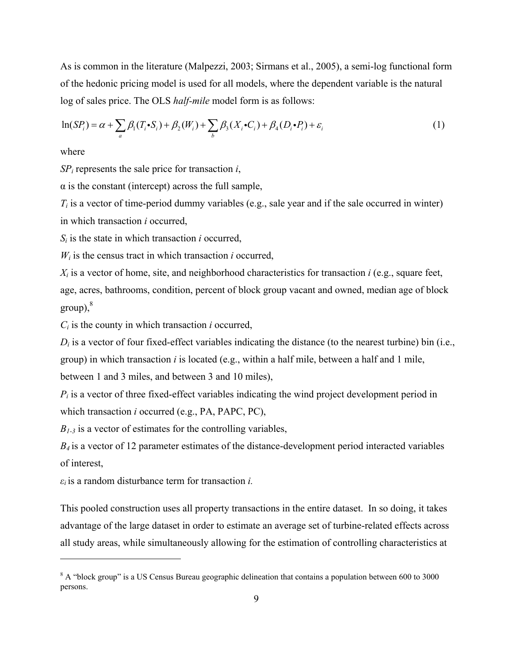As is common in the literature (Malpezzi, 2003; Sirmans et al., 2005), a semi-log functional form of the hedonic pricing model is used for all models, where the dependent variable is the natural log of sales price. The OLS *half-mile* model form is as follows:

$$
\ln(SP_i) = \alpha + \sum_{a} \beta_1(T_i \cdot S_i) + \beta_2(W_i) + \sum_{b} \beta_3(X_i \cdot C_i) + \beta_4(D_i \cdot P_i) + \varepsilon_i
$$
\n(1)

where

 $\overline{a}$ 

*SPi* represents the sale price for transaction *i*,

 $\alpha$  is the constant (intercept) across the full sample,

 $T_i$  is a vector of time-period dummy variables (e.g., sale year and if the sale occurred in winter) in which transaction *i* occurred,

*Si* is the state in which transaction *i* occurred,

 $W_i$  is the census tract in which transaction *i* occurred,

*Xi* is a vector of home, site, and neighborhood characteristics for transaction *i* (e.g., square feet, age, acres, bathrooms, condition, percent of block group vacant and owned, median age of block  $\text{group}$ , $\text{8}$ 

*Ci* is the county in which transaction *i* occurred,

 $D_i$  is a vector of four fixed-effect variables indicating the distance (to the nearest turbine) bin (i.e.,

group) in which transaction *i* is located (e.g., within a half mile, between a half and 1 mile,

between 1 and 3 miles, and between 3 and 10 miles),

 $P_i$  is a vector of three fixed-effect variables indicating the wind project development period in which transaction *i* occurred (e.g., PA, PAPC, PC),

*B<sub>1-3</sub>* is a vector of estimates for the controlling variables,

*Β<sup>4</sup>* is a vector of 12 parameter estimates of the distance-development period interacted variables of interest,

*εi* is a random disturbance term for transaction *i.*

This pooled construction uses all property transactions in the entire dataset. In so doing, it takes advantage of the large dataset in order to estimate an average set of turbine-related effects across all study areas, while simultaneously allowing for the estimation of controlling characteristics at

<sup>&</sup>lt;sup>8</sup> A "block group" is a US Census Bureau geographic delineation that contains a population between 600 to 3000 persons.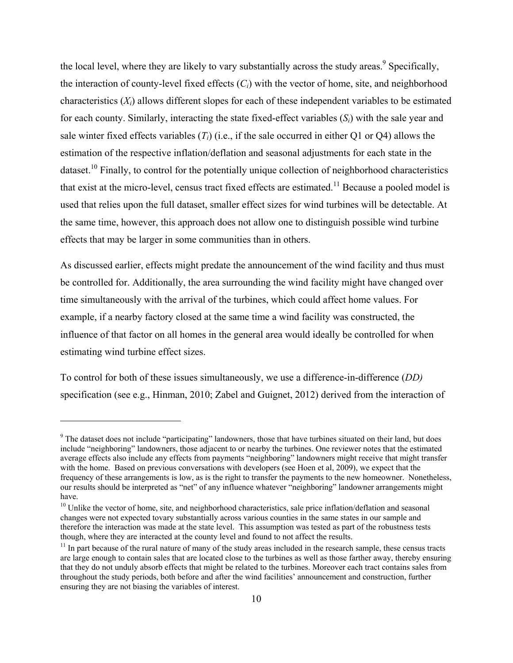the local level, where they are likely to vary substantially across the study areas.<sup>9</sup> Specifically, the interaction of county-level fixed effects (*Ci*) with the vector of home, site, and neighborhood characteristics (*Xi*) allows different slopes for each of these independent variables to be estimated for each county. Similarly, interacting the state fixed-effect variables (*Si*) with the sale year and sale winter fixed effects variables  $(T_i)$  (i.e., if the sale occurred in either Q1 or Q4) allows the estimation of the respective inflation/deflation and seasonal adjustments for each state in the dataset.<sup>10</sup> Finally, to control for the potentially unique collection of neighborhood characteristics that exist at the micro-level, census tract fixed effects are estimated.<sup>11</sup> Because a pooled model is used that relies upon the full dataset, smaller effect sizes for wind turbines will be detectable. At the same time, however, this approach does not allow one to distinguish possible wind turbine effects that may be larger in some communities than in others.

As discussed earlier, effects might predate the announcement of the wind facility and thus must be controlled for. Additionally, the area surrounding the wind facility might have changed over time simultaneously with the arrival of the turbines, which could affect home values. For example, if a nearby factory closed at the same time a wind facility was constructed, the influence of that factor on all homes in the general area would ideally be controlled for when estimating wind turbine effect sizes.

To control for both of these issues simultaneously, we use a difference-in-difference (*DD)* specification (see e.g., Hinman, 2010; Zabel and Guignet, 2012) derived from the interaction of

<sup>&</sup>lt;sup>9</sup> The dataset does not include "participating" landowners, those that have turbines situated on their land, but does include "neighboring" landowners, those adjacent to or nearby the turbines. One reviewer notes that the estimated average effects also include any effects from payments "neighboring" landowners might receive that might transfer with the home. Based on previous conversations with developers (see Hoen et al, 2009), we expect that the frequency of these arrangements is low, as is the right to transfer the payments to the new homeowner. Nonetheless, our results should be interpreted as "net" of any influence whatever "neighboring" landowner arrangements might have.

<sup>&</sup>lt;sup>10</sup> Unlike the vector of home, site, and neighborhood characteristics, sale price inflation/deflation and seasonal changes were not expected tovary substantially across various counties in the same states in our sample and therefore the interaction was made at the state level. This assumption was tested as part of the robustness tests though, where they are interacted at the county level and found to not affect the results.<br><sup>11</sup> In part because of the rural nature of many of the study areas included in the research sample, these census tracts

are large enough to contain sales that are located close to the turbines as well as those farther away, thereby ensuring that they do not unduly absorb effects that might be related to the turbines. Moreover each tract contains sales from throughout the study periods, both before and after the wind facilities' announcement and construction, further ensuring they are not biasing the variables of interest.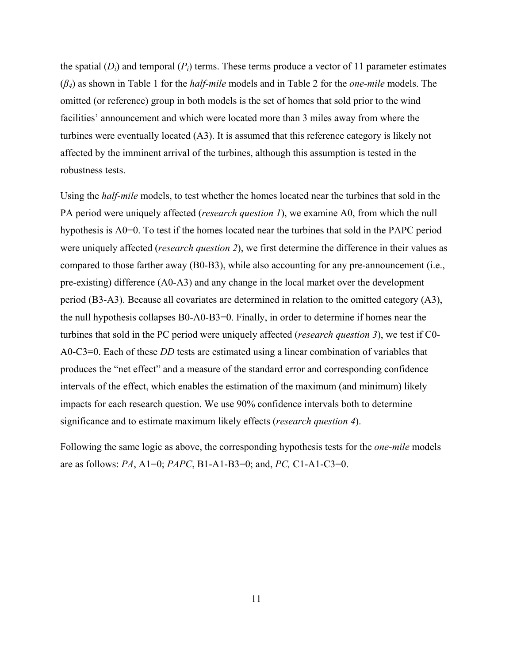the spatial  $(D_i)$  and temporal  $(P_i)$  terms. These terms produce a vector of 11 parameter estimates (*β4*) as shown in Table 1 for the *half-mile* models and in Table 2 for the *one-mile* models. The omitted (or reference) group in both models is the set of homes that sold prior to the wind facilities' announcement and which were located more than 3 miles away from where the turbines were eventually located (A3). It is assumed that this reference category is likely not affected by the imminent arrival of the turbines, although this assumption is tested in the robustness tests.

Using the *half-mile* models, to test whether the homes located near the turbines that sold in the PA period were uniquely affected (*research question 1*), we examine A0, from which the null hypothesis is A0=0. To test if the homes located near the turbines that sold in the PAPC period were uniquely affected (*research question 2*), we first determine the difference in their values as compared to those farther away (B0-B3), while also accounting for any pre-announcement (i.e., pre-existing) difference (A0-A3) and any change in the local market over the development period (B3-A3). Because all covariates are determined in relation to the omitted category (A3), the null hypothesis collapses B0-A0-B3=0. Finally, in order to determine if homes near the turbines that sold in the PC period were uniquely affected (*research question 3*), we test if C0- A0-C3=0. Each of these *DD* tests are estimated using a linear combination of variables that produces the "net effect" and a measure of the standard error and corresponding confidence intervals of the effect, which enables the estimation of the maximum (and minimum) likely impacts for each research question. We use 90% confidence intervals both to determine significance and to estimate maximum likely effects (*research question 4*).

Following the same logic as above, the corresponding hypothesis tests for the *one-mile* models are as follows: *PA*, A1=0; *PAPC*, B1-A1-B3=0; and, *PC,* C1-A1-C3=0.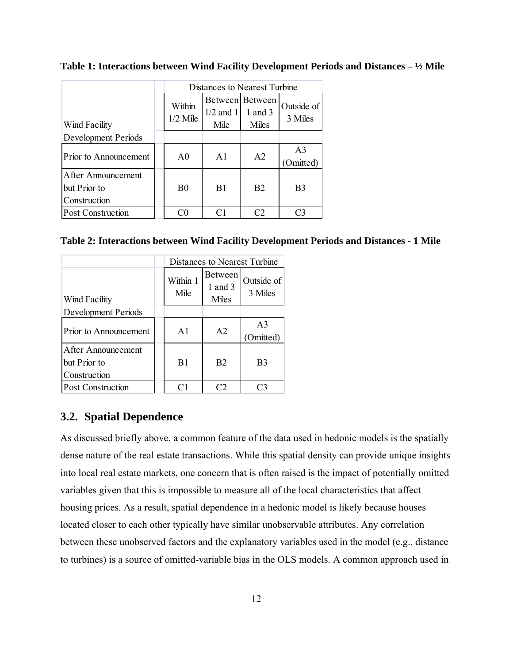|                                                    | Distances to Nearest Turbine |                       |                                       |                            |  |  |  |  |
|----------------------------------------------------|------------------------------|-----------------------|---------------------------------------|----------------------------|--|--|--|--|
| Wind Facility                                      | Within<br>$1/2$ Mile         | $1/2$ and $1$<br>Mile | Between Between<br>1 and $3$<br>Miles | Outside of<br>3 Miles      |  |  |  |  |
| Development Periods                                |                              |                       |                                       |                            |  |  |  |  |
| Prior to Announcement                              | A <sub>0</sub>               | A <sub>1</sub>        | A <sub>2</sub>                        | A <sub>3</sub><br>Omitted) |  |  |  |  |
| After Announcement<br>but Prior to<br>Construction | B <sub>0</sub>               | B <sub>1</sub>        | B <sub>2</sub>                        | B <sub>3</sub>             |  |  |  |  |
| Post Construction                                  |                              |                       | $\bigcirc$                            |                            |  |  |  |  |

**Table 1: Interactions between Wind Facility Development Periods and Distances – ½ Mile** 

| Table 2: Interactions between Wind Facility Development Periods and Distances - 1 Mile |  |  |  |  |  |  |  |  |  |  |  |  |  |  |  |  |  |
|----------------------------------------------------------------------------------------|--|--|--|--|--|--|--|--|--|--|--|--|--|--|--|--|--|
|----------------------------------------------------------------------------------------|--|--|--|--|--|--|--|--|--|--|--|--|--|--|--|--|--|

|                                                    |                  |                                      | Distances to Nearest Turbine |
|----------------------------------------------------|------------------|--------------------------------------|------------------------------|
| Wind Facility                                      | Within 1<br>Mile | <b>Between</b><br>1 and $3$<br>Miles | Outside of<br>3 Miles        |
| Development Periods                                |                  |                                      |                              |
| Prior to Announcement                              | $\mathbf{A}$ 1   | A <sub>2</sub>                       | A <sup>3</sup><br>Omitted)   |
| After Announcement<br>but Prior to<br>Construction | B1               | B <sub>2</sub>                       | B <sub>3</sub>               |
| Post Construction                                  |                  |                                      |                              |

# **3.2. Spatial Dependence**

As discussed briefly above, a common feature of the data used in hedonic models is the spatially dense nature of the real estate transactions. While this spatial density can provide unique insights into local real estate markets, one concern that is often raised is the impact of potentially omitted variables given that this is impossible to measure all of the local characteristics that affect housing prices. As a result, spatial dependence in a hedonic model is likely because houses located closer to each other typically have similar unobservable attributes. Any correlation between these unobserved factors and the explanatory variables used in the model (e.g., distance to turbines) is a source of omitted-variable bias in the OLS models. A common approach used in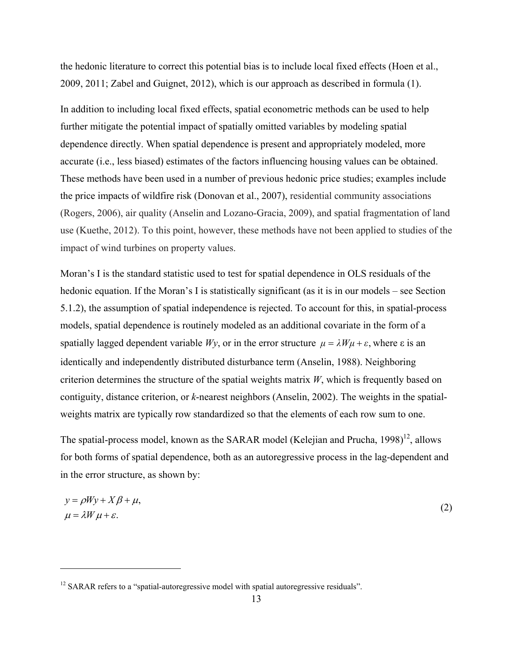the hedonic literature to correct this potential bias is to include local fixed effects (Hoen et al., 2009, 2011; Zabel and Guignet, 2012), which is our approach as described in formula (1).

In addition to including local fixed effects, spatial econometric methods can be used to help further mitigate the potential impact of spatially omitted variables by modeling spatial dependence directly. When spatial dependence is present and appropriately modeled, more accurate (i.e., less biased) estimates of the factors influencing housing values can be obtained. These methods have been used in a number of previous hedonic price studies; examples include the price impacts of wildfire risk (Donovan et al., 2007), residential community associations (Rogers, 2006), air quality (Anselin and Lozano-Gracia, 2009), and spatial fragmentation of land use (Kuethe, 2012). To this point, however, these methods have not been applied to studies of the impact of wind turbines on property values.

Moran's I is the standard statistic used to test for spatial dependence in OLS residuals of the hedonic equation. If the Moran's I is statistically significant (as it is in our models – see Section 5.1.2), the assumption of spatial independence is rejected. To account for this, in spatial-process models, spatial dependence is routinely modeled as an additional covariate in the form of a spatially lagged dependent variable *Wy*, or in the error structure  $\mu = \lambda W \mu + \varepsilon$ , where  $\varepsilon$  is an identically and independently distributed disturbance term (Anselin, 1988). Neighboring criterion determines the structure of the spatial weights matrix *W*, which is frequently based on contiguity, distance criterion, or *k*-nearest neighbors (Anselin, 2002). The weights in the spatialweights matrix are typically row standardized so that the elements of each row sum to one.

The spatial-process model, known as the SARAR model (Kelejian and Prucha,  $1998$ )<sup>12</sup>, allows for both forms of spatial dependence, both as an autoregressive process in the lag-dependent and in the error structure, as shown by:

$$
y = \rho Wy + X\beta + \mu,
$$
  
\n
$$
\mu = \lambda W\mu + \varepsilon.
$$
\n(2)

<sup>&</sup>lt;sup>12</sup> SARAR refers to a "spatial-autoregressive model with spatial autoregressive residuals".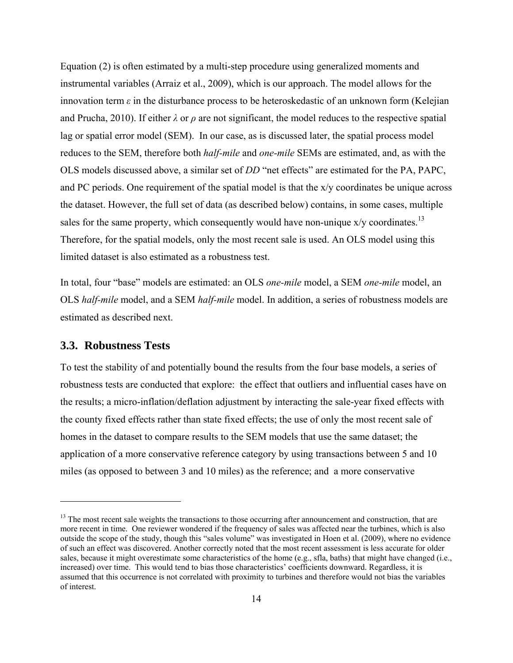Equation (2) is often estimated by a multi-step procedure using generalized moments and instrumental variables (Arraiz et al., 2009), which is our approach. The model allows for the innovation term  $\varepsilon$  in the disturbance process to be heteroskedastic of an unknown form (Kelejian and Prucha, 2010). If either  $\lambda$  or  $\rho$  are not significant, the model reduces to the respective spatial lag or spatial error model (SEM). In our case, as is discussed later, the spatial process model reduces to the SEM, therefore both *half-mile* and *one-mile* SEMs are estimated, and, as with the OLS models discussed above, a similar set of *DD* "net effects" are estimated for the PA, PAPC, and PC periods. One requirement of the spatial model is that the  $x/y$  coordinates be unique across the dataset. However, the full set of data (as described below) contains, in some cases, multiple sales for the same property, which consequently would have non-unique  $x/y$  coordinates.<sup>13</sup> Therefore, for the spatial models, only the most recent sale is used. An OLS model using this limited dataset is also estimated as a robustness test.

In total, four "base" models are estimated: an OLS *one-mile* model, a SEM *one-mile* model, an OLS *half-mile* model, and a SEM *half-mile* model. In addition, a series of robustness models are estimated as described next.

### **3.3. Robustness Tests**

 $\overline{a}$ 

To test the stability of and potentially bound the results from the four base models, a series of robustness tests are conducted that explore: the effect that outliers and influential cases have on the results; a micro-inflation/deflation adjustment by interacting the sale-year fixed effects with the county fixed effects rather than state fixed effects; the use of only the most recent sale of homes in the dataset to compare results to the SEM models that use the same dataset; the application of a more conservative reference category by using transactions between 5 and 10 miles (as opposed to between 3 and 10 miles) as the reference; and a more conservative

 $<sup>13</sup>$  The most recent sale weights the transactions to those occurring after announcement and construction, that are</sup> more recent in time. One reviewer wondered if the frequency of sales was affected near the turbines, which is also outside the scope of the study, though this "sales volume" was investigated in Hoen et al. (2009), where no evidence of such an effect was discovered. Another correctly noted that the most recent assessment is less accurate for older sales, because it might overestimate some characteristics of the home (e.g., sfla, baths) that might have changed (i.e., increased) over time. This would tend to bias those characteristics' coefficients downward. Regardless, it is assumed that this occurrence is not correlated with proximity to turbines and therefore would not bias the variables of interest.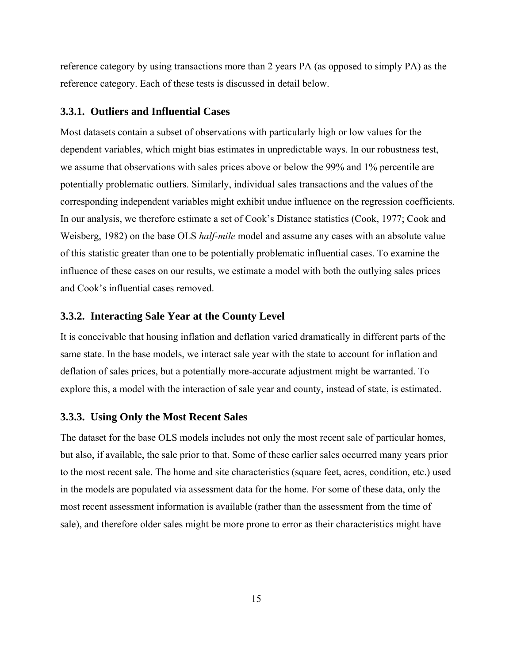reference category by using transactions more than 2 years PA (as opposed to simply PA) as the reference category. Each of these tests is discussed in detail below.

#### **3.3.1. Outliers and Influential Cases**

Most datasets contain a subset of observations with particularly high or low values for the dependent variables, which might bias estimates in unpredictable ways. In our robustness test, we assume that observations with sales prices above or below the 99% and 1% percentile are potentially problematic outliers. Similarly, individual sales transactions and the values of the corresponding independent variables might exhibit undue influence on the regression coefficients. In our analysis, we therefore estimate a set of Cook's Distance statistics (Cook, 1977; Cook and Weisberg, 1982) on the base OLS *half-mile* model and assume any cases with an absolute value of this statistic greater than one to be potentially problematic influential cases. To examine the influence of these cases on our results, we estimate a model with both the outlying sales prices and Cook's influential cases removed.

#### **3.3.2. Interacting Sale Year at the County Level**

It is conceivable that housing inflation and deflation varied dramatically in different parts of the same state. In the base models, we interact sale year with the state to account for inflation and deflation of sales prices, but a potentially more-accurate adjustment might be warranted. To explore this, a model with the interaction of sale year and county, instead of state, is estimated.

#### **3.3.3. Using Only the Most Recent Sales**

The dataset for the base OLS models includes not only the most recent sale of particular homes, but also, if available, the sale prior to that. Some of these earlier sales occurred many years prior to the most recent sale. The home and site characteristics (square feet, acres, condition, etc.) used in the models are populated via assessment data for the home. For some of these data, only the most recent assessment information is available (rather than the assessment from the time of sale), and therefore older sales might be more prone to error as their characteristics might have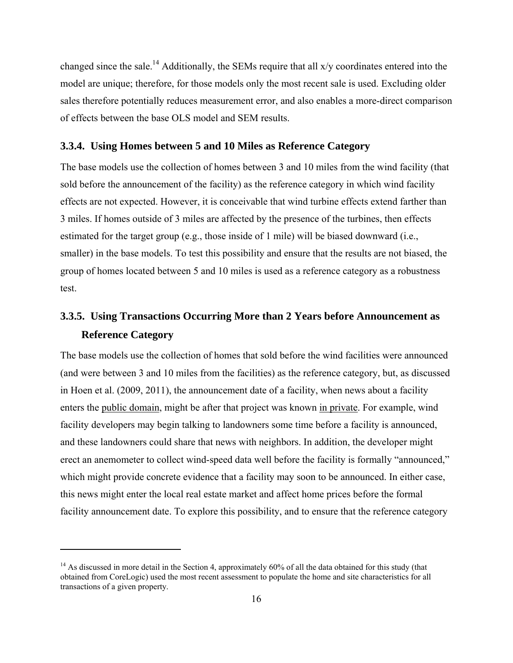changed since the sale.<sup>14</sup> Additionally, the SEMs require that all  $x/y$  coordinates entered into the model are unique; therefore, for those models only the most recent sale is used. Excluding older sales therefore potentially reduces measurement error, and also enables a more-direct comparison of effects between the base OLS model and SEM results.

#### **3.3.4. Using Homes between 5 and 10 Miles as Reference Category**

The base models use the collection of homes between 3 and 10 miles from the wind facility (that sold before the announcement of the facility) as the reference category in which wind facility effects are not expected. However, it is conceivable that wind turbine effects extend farther than 3 miles. If homes outside of 3 miles are affected by the presence of the turbines, then effects estimated for the target group (e.g., those inside of 1 mile) will be biased downward (i.e., smaller) in the base models. To test this possibility and ensure that the results are not biased, the group of homes located between 5 and 10 miles is used as a reference category as a robustness test.

# **3.3.5. Using Transactions Occurring More than 2 Years before Announcement as Reference Category**

The base models use the collection of homes that sold before the wind facilities were announced (and were between 3 and 10 miles from the facilities) as the reference category, but, as discussed in Hoen et al. (2009, 2011), the announcement date of a facility, when news about a facility enters the public domain, might be after that project was known in private. For example, wind facility developers may begin talking to landowners some time before a facility is announced, and these landowners could share that news with neighbors. In addition, the developer might erect an anemometer to collect wind-speed data well before the facility is formally "announced," which might provide concrete evidence that a facility may soon to be announced. In either case, this news might enter the local real estate market and affect home prices before the formal facility announcement date. To explore this possibility, and to ensure that the reference category

<sup>&</sup>lt;sup>14</sup> As discussed in more detail in the Section 4, approximately  $60\%$  of all the data obtained for this study (that obtained from CoreLogic) used the most recent assessment to populate the home and site characteristics for all transactions of a given property.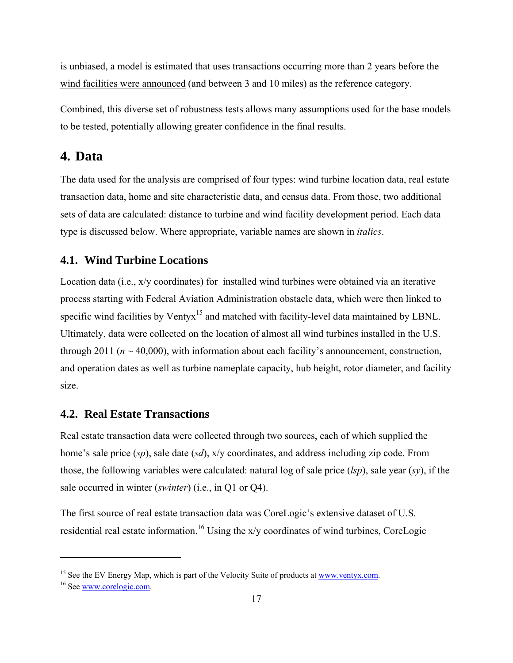is unbiased, a model is estimated that uses transactions occurring more than 2 years before the wind facilities were announced (and between 3 and 10 miles) as the reference category.

Combined, this diverse set of robustness tests allows many assumptions used for the base models to be tested, potentially allowing greater confidence in the final results.

# **4. Data**

The data used for the analysis are comprised of four types: wind turbine location data, real estate transaction data, home and site characteristic data, and census data. From those, two additional sets of data are calculated: distance to turbine and wind facility development period. Each data type is discussed below. Where appropriate, variable names are shown in *italics*.

### **4.1. Wind Turbine Locations**

Location data (i.e., x/y coordinates) for installed wind turbines were obtained via an iterative process starting with Federal Aviation Administration obstacle data, which were then linked to specific wind facilities by Ventyx<sup>15</sup> and matched with facility-level data maintained by LBNL. Ultimately, data were collected on the location of almost all wind turbines installed in the U.S. through 2011 ( $n \sim 40,000$ ), with information about each facility's announcement, construction, and operation dates as well as turbine nameplate capacity, hub height, rotor diameter, and facility size.

### **4.2. Real Estate Transactions**

Real estate transaction data were collected through two sources, each of which supplied the home's sale price (*sp*), sale date (*sd*), x/y coordinates, and address including zip code. From those, the following variables were calculated: natural log of sale price (*lsp*), sale year (*sy*), if the sale occurred in winter (*swinter*) (i.e., in Q1 or Q4).

The first source of real estate transaction data was CoreLogic's extensive dataset of U.S. residential real estate information.<sup>16</sup> Using the  $x/y$  coordinates of wind turbines, CoreLogic

<sup>&</sup>lt;sup>15</sup> See the EV Energy Map, which is part of the Velocity Suite of products at  $\frac{wwwwww.ventyx.com. <sup>16</sup> See www.corelogic.com$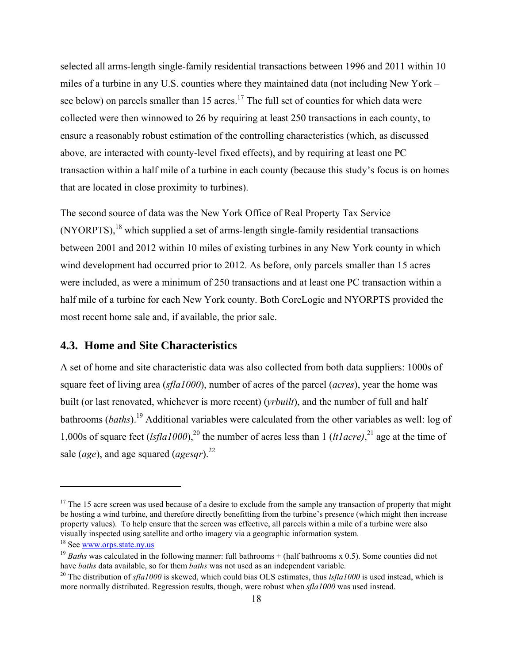selected all arms-length single-family residential transactions between 1996 and 2011 within 10 miles of a turbine in any U.S. counties where they maintained data (not including New York – see below) on parcels smaller than  $15$  acres.<sup>17</sup> The full set of counties for which data were collected were then winnowed to 26 by requiring at least 250 transactions in each county, to ensure a reasonably robust estimation of the controlling characteristics (which, as discussed above, are interacted with county-level fixed effects), and by requiring at least one PC transaction within a half mile of a turbine in each county (because this study's focus is on homes that are located in close proximity to turbines).

The second source of data was the New York Office of Real Property Tax Service (NYORPTS),<sup>18</sup> which supplied a set of arms-length single-family residential transactions between 2001 and 2012 within 10 miles of existing turbines in any New York county in which wind development had occurred prior to 2012. As before, only parcels smaller than 15 acres were included, as were a minimum of 250 transactions and at least one PC transaction within a half mile of a turbine for each New York county. Both CoreLogic and NYORPTS provided the most recent home sale and, if available, the prior sale.

### **4.3. Home and Site Characteristics**

A set of home and site characteristic data was also collected from both data suppliers: 1000s of square feet of living area (*sfla1000*), number of acres of the parcel (*acres*), year the home was built (or last renovated, whichever is more recent) (*yrbuilt*), and the number of full and half bathrooms (*baths*).19 Additional variables were calculated from the other variables as well: log of 1,000s of square feet  $(lsfla1000)$ <sup>20</sup>, the number of acres less than 1  $(ltlace)$ <sup>21</sup>, age at the time of sale (*age*), and age squared (*agesqr*).22

<u>.</u>

 $17$  The 15 acre screen was used because of a desire to exclude from the sample any transaction of property that might be hosting a wind turbine, and therefore directly benefitting from the turbine's presence (which might then increase property values). To help ensure that the screen was effective, all parcels within a mile of a turbine were also visually inspected using satellite and ortho imagery via a geographic information system.

<sup>&</sup>lt;sup>18</sup> See <u>www.orps.state.ny.us</u><br><sup>19</sup> *Baths* was calculated in the following manner: full bathrooms + (half bathrooms x 0.5). Some counties did not<br>have *baths* data available, so for them *baths* was not used as an indepe

<sup>&</sup>lt;sup>20</sup> The distribution of *sfla1000* is skewed, which could bias OLS estimates, thus *lsfla1000* is used instead, which is more normally distributed. Regression results, though, were robust when *sfla1000* was used instead.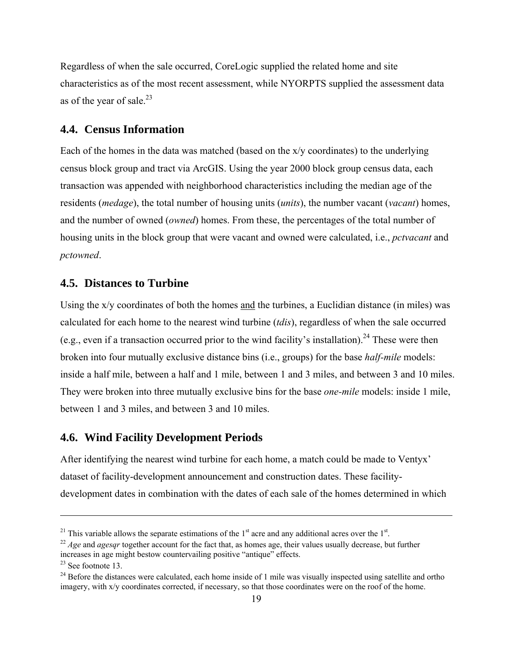Regardless of when the sale occurred, CoreLogic supplied the related home and site characteristics as of the most recent assessment, while NYORPTS supplied the assessment data as of the year of sale. $^{23}$ 

### **4.4. Census Information**

Each of the homes in the data was matched (based on the x/y coordinates) to the underlying census block group and tract via ArcGIS. Using the year 2000 block group census data, each transaction was appended with neighborhood characteristics including the median age of the residents (*medage*), the total number of housing units (*units*), the number vacant (*vacant*) homes, and the number of owned (*owned*) homes. From these, the percentages of the total number of housing units in the block group that were vacant and owned were calculated, i.e., *pctvacant* and *pctowned*.

#### **4.5. Distances to Turbine**

Using the x/y coordinates of both the homes and the turbines, a Euclidian distance (in miles) was calculated for each home to the nearest wind turbine (*tdis*), regardless of when the sale occurred (e.g., even if a transaction occurred prior to the wind facility's installation).<sup>24</sup> These were then broken into four mutually exclusive distance bins (i.e., groups) for the base *half-mile* models: inside a half mile, between a half and 1 mile, between 1 and 3 miles, and between 3 and 10 miles. They were broken into three mutually exclusive bins for the base *one-mile* models: inside 1 mile, between 1 and 3 miles, and between 3 and 10 miles.

### **4.6. Wind Facility Development Periods**

After identifying the nearest wind turbine for each home, a match could be made to Ventyx' dataset of facility-development announcement and construction dates. These facilitydevelopment dates in combination with the dates of each sale of the homes determined in which

<sup>&</sup>lt;sup>21</sup> This variable allows the separate estimations of the  $1<sup>st</sup>$  acre and any additional acres over the  $1<sup>st</sup>$ .

<sup>&</sup>lt;sup>22</sup> *Age* and *agesar* together account for the fact that, as homes age, their values usually decrease, but further increases in age might bestow countervailing positive "antique" effects.<br><sup>23</sup> See footnote 13.

 $^{24}$  Before the distances were calculated, each home inside of 1 mile was visually inspected using satellite and ortho imagery, with x/y coordinates corrected, if necessary, so that those coordinates were on the roof of the home.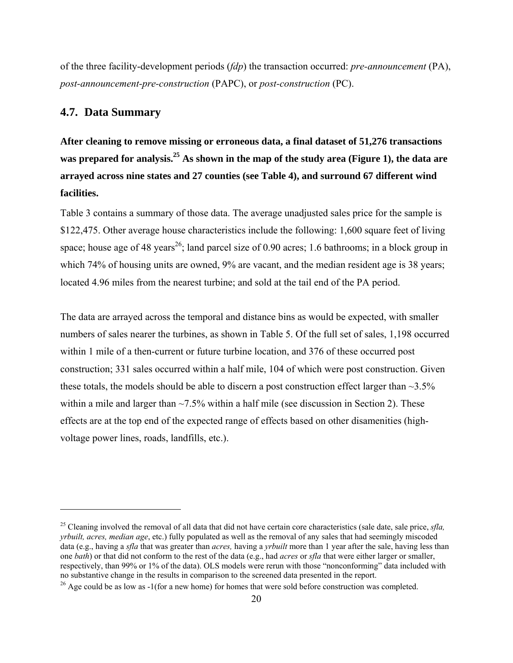of the three facility-development periods (*fdp*) the transaction occurred: *pre-announcement* (PA), *post-announcement-pre-construction* (PAPC), or *post-construction* (PC).

#### **4.7. Data Summary**

 $\overline{a}$ 

**After cleaning to remove missing or erroneous data, a final dataset of 51,276 transactions**  was prepared for analysis.<sup>25</sup> As shown in the map of the study area (Figure 1), the data are **arrayed across nine states and 27 counties (see Table 4), and surround 67 different wind facilities.** 

Table 3 contains a summary of those data. The average unadjusted sales price for the sample is \$122,475. Other average house characteristics include the following: 1,600 square feet of living space; house age of 48 years<sup>26</sup>; land parcel size of 0.90 acres; 1.6 bathrooms; in a block group in which 74% of housing units are owned, 9% are vacant, and the median resident age is 38 years; located 4.96 miles from the nearest turbine; and sold at the tail end of the PA period.

The data are arrayed across the temporal and distance bins as would be expected, with smaller numbers of sales nearer the turbines, as shown in Table 5. Of the full set of sales, 1,198 occurred within 1 mile of a then-current or future turbine location, and 376 of these occurred post construction; 331 sales occurred within a half mile, 104 of which were post construction. Given these totals, the models should be able to discern a post construction effect larger than  $\sim$ 3.5% within a mile and larger than  $\sim$  7.5% within a half mile (see discussion in Section 2). These effects are at the top end of the expected range of effects based on other disamenities (highvoltage power lines, roads, landfills, etc.).

<sup>25</sup> Cleaning involved the removal of all data that did not have certain core characteristics (sale date, sale price, *sfla, yrbuilt, acres, median age*, etc.) fully populated as well as the removal of any sales that had seemingly miscoded data (e.g., having a *sfla* that was greater than *acres,* having a *yrbuilt* more than 1 year after the sale, having less than one *bath*) or that did not conform to the rest of the data (e.g., had *acres* or *sfla* that were either larger or smaller, respectively, than 99% or 1% of the data). OLS models were rerun with those "nonconforming" data included with no substantive change in the results in comparison to the screened data presented in the report.

<sup>&</sup>lt;sup>26</sup> Age could be as low as -1(for a new home) for homes that were sold before construction was completed.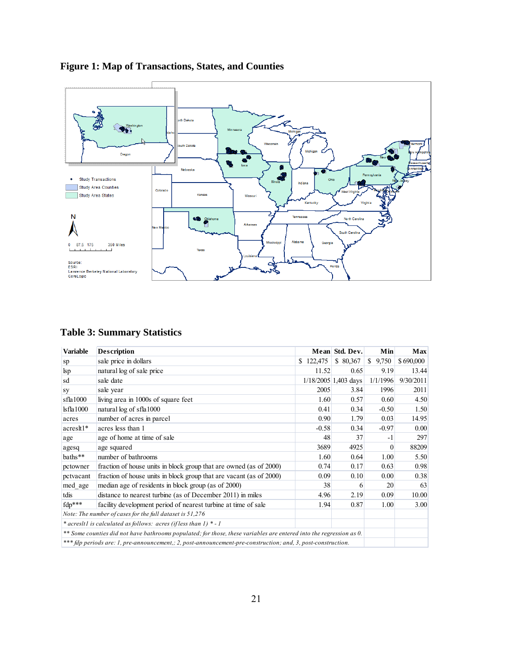

# **Figure 1: Map of Transactions, States, and Counties**

# **Table 3: Summary Statistics**

| <b>Variable</b>                                                      | <b>Description</b>                                                                                                  |           | Mean Std. Dev.         | Min                    | <b>Max</b> |
|----------------------------------------------------------------------|---------------------------------------------------------------------------------------------------------------------|-----------|------------------------|------------------------|------------|
| sp                                                                   | sale price in dollars                                                                                               | \$122,475 | \$80,367               | <sup>\$</sup><br>9,750 | \$690,000  |
| lsp                                                                  | natural log of sale price                                                                                           | 11.52     | 0.65                   | 9.19                   | 13.44      |
| sd                                                                   | sale date                                                                                                           |           | $1/18/2005$ 1,403 days | 1/1/1996               | 9/30/2011  |
| sy                                                                   | sale year                                                                                                           | 2005      | 3.84                   | 1996                   | 2011       |
| $s$ fla 1000                                                         | living area in 1000s of square feet                                                                                 | 1.60      | 0.57                   | 0.60                   | 4.50       |
| $\text{Isfla}1000$                                                   | natural log of sfla1000                                                                                             | 0.41      | 0.34                   | $-0.50$                | 1.50       |
| acres                                                                | number of acres in parcel                                                                                           | 0.90      | 1.79                   | 0.03                   | 14.95      |
| acresh1*                                                             | acres less than 1                                                                                                   | $-0.58$   | 0.34                   | $-0.97$                | 0.00       |
| age                                                                  | age of home at time of sale                                                                                         | 48        | 37                     | $-1$                   | 297        |
| agesq                                                                | age squared                                                                                                         | 3689      | 4925                   | $\Omega$               | 88209      |
| baths**                                                              | number of bathrooms                                                                                                 | 1.60      | 0.64                   | 1.00                   | 5.50       |
| pctowner                                                             | fraction of house units in block group that are owned (as of 2000)                                                  | 0.74      | 0.17                   | 0.63                   | 0.98       |
| pctvacant                                                            | fraction of house units in block group that are vacant (as of 2000)                                                 | 0.09      | 0.10                   | 0.00                   | 0.38       |
| med age                                                              | median age of residents in block group (as of 2000)                                                                 | 38        | 6                      | 20                     | 63         |
| tdis                                                                 | distance to nearest turbine (as of December 2011) in miles                                                          | 4.96      | 2.19                   | 0.09                   | 10.00      |
| $fdp***$                                                             | facility development period of nearest turbine at time of sale                                                      | 1.94      | 0.87                   | 1.00                   | 3.00       |
|                                                                      | Note: The number of cases for the full dataset is 51,276                                                            |           |                        |                        |            |
| * acreslt1 is calculated as follows: acres (if less than $1$ ) * - 1 |                                                                                                                     |           |                        |                        |            |
|                                                                      | ** Some counties did not have bathrooms populated; for those, these variables are entered into the regression as 0. |           |                        |                        |            |
|                                                                      | *** fdp periods are: 1, pre-announcement,; 2, post-announcement-pre-construction; and, 3, post-construction.        |           |                        |                        |            |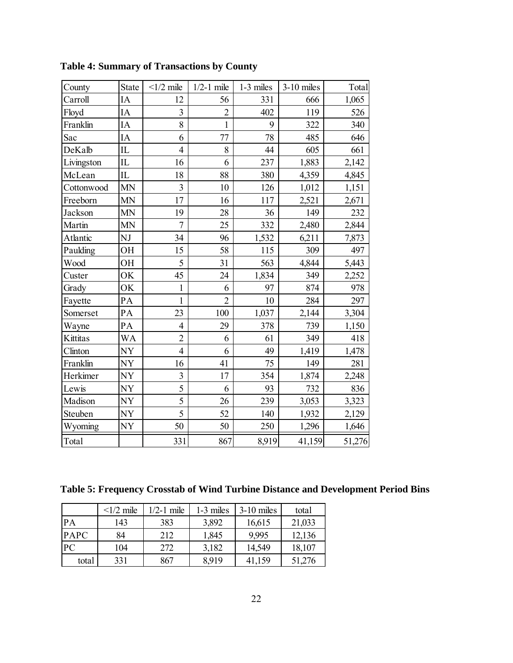| County     | <b>State</b> | $<1/2$ mile             | $1/2-1$ mile   | 1-3 miles | 3-10 miles | Total  |
|------------|--------------|-------------------------|----------------|-----------|------------|--------|
| Carroll    | IA           | 12                      | 56             | 331       | 666        | 1,065  |
| Floyd      | IA           | $\overline{3}$          | $\overline{2}$ | 402       | 119        | 526    |
| Franklin   | IA           | 8                       | $\mathbf{1}$   | 9         | 322        | 340    |
| Sac        | IA           | 6                       | 77             | 78        | 485        | 646    |
| DeKalb     | IL           | $\overline{4}$          | 8              | 44        | 605        | 661    |
| Livingston | IL           | 16                      | 6              | 237       | 1,883      | 2,142  |
| McLean     | IL           | 18                      | 88             | 380       | 4,359      | 4,845  |
| Cottonwood | MN           | $\overline{3}$          | 10             | 126       | 1,012      | 1,151  |
| Freeborn   | MN           | 17                      | 16             | 117       | 2,521      | 2,671  |
| Jackson    | MN           | 19                      | 28             | 36        | 149        | 232    |
| Martin     | MN           | $\overline{7}$          | 25             | 332       | 2,480      | 2,844  |
| Atlantic   | NJ           | 34                      | 96             | 1,532     | 6,211      | 7,873  |
| Paulding   | <b>OH</b>    | 15                      | 58             | 115       | 309        | 497    |
| Wood       | <b>OH</b>    | 5                       | 31             | 563       | 4,844      | 5,443  |
| Custer     | <b>OK</b>    | 45                      | 24             | 1,834     | 349        | 2,252  |
| Grady      | OK           | $\mathbf{1}$            | 6              | 97        | 874        | 978    |
| Fayette    | PA           | $\mathbf{1}$            | $\overline{2}$ | 10        | 284        | 297    |
| Somerset   | PA           | 23                      | 100            | 1,037     | 2,144      | 3,304  |
| Wayne      | PA           | $\overline{4}$          | 29             | 378       | 739        | 1,150  |
| Kittitas   | WA           | $\overline{2}$          | 6              | 61        | 349        | 418    |
| Clinton    | NY           | $\overline{4}$          | 6              | 49        | 1,419      | 1,478  |
| Franklin   | NY           | 16                      | 41             | 75        | 149        | 281    |
| Herkimer   | NY           | $\overline{\mathbf{3}}$ | 17             | 354       | 1,874      | 2,248  |
| Lewis      | NY           | 5                       | 6              | 93        | 732        | 836    |
| Madison    | NY           | 5                       | 26             | 239       | 3,053      | 3,323  |
| Steuben    | NY           | 5                       | 52             | 140       | 1,932      | 2,129  |
| Wyoming    | NY           | 50                      | 50             | 250       | 1,296      | 1,646  |
| Total      |              | 331                     | 867            | 8,919     | 41,159     | 51,276 |

**Table 4: Summary of Transactions by County** 

**Table 5: Frequency Crosstab of Wind Turbine Distance and Development Period Bins** 

|             | $\leq$ 1/2 mile | $1/2-1$ mile | 1-3 miles | $3-10$ miles | total  |
|-------------|-----------------|--------------|-----------|--------------|--------|
| PA          | 143             | 383          | 3,892     | 16,615       | 21,033 |
| <b>PAPC</b> | 84              | 212          | 1,845     | 9.995        | 12,136 |
| PC          | 104             | 272          | 3,182     | 14,549       | 18,107 |
| total       | 331             | 867          | 8.919     | 41,159       | 51,276 |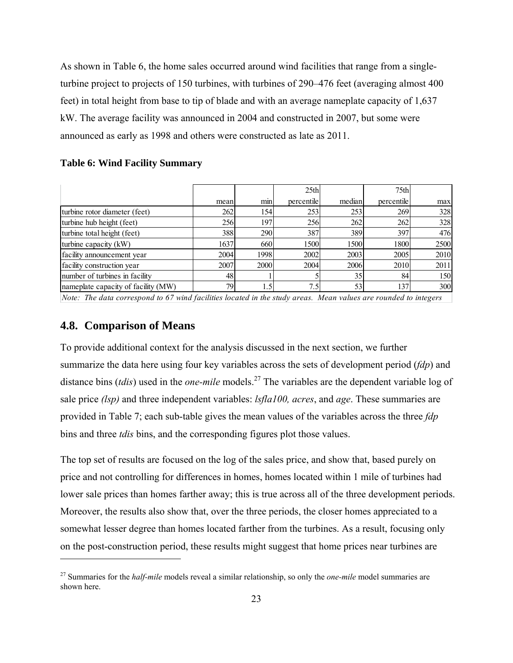As shown in Table 6, the home sales occurred around wind facilities that range from a singleturbine project to projects of 150 turbines, with turbines of 290–476 feet (averaging almost 400 feet) in total height from base to tip of blade and with an average nameplate capacity of 1,637 kW. The average facility was announced in 2004 and constructed in 2007, but some were announced as early as 1998 and others were constructed as late as 2011.

#### **Table 6: Wind Facility Summary**

|                                     |      |      | 25th       |        | 75 <sub>th</sub> |      |
|-------------------------------------|------|------|------------|--------|------------------|------|
|                                     | mean | min  | percentile | median | percentile       | max  |
| turbine rotor diameter (feet)       | 262  | 1541 | 253        | 253    | 269              | 328  |
| turbine hub height (feet)           | 256  | 197  | 256        | 262    | 262              | 328  |
| turbine total height (feet)         | 388  | 290  | 387        | 389    | 397              | 476  |
| turbine capacity (kW)               | 1637 | 660  | 1500       | 1500   | 1800             | 2500 |
| facility announcement year          | 2004 | 1998 | 2002       | 2003   | 2005             | 2010 |
| facility construction year          | 2007 | 2000 | 2004       | 2006   | 2010             | 2011 |
| number of turbines in facility      | 48   |      |            | 35     | 84               | 150  |
| nameplate capacity of facility (MW) | 79   | l.5  | 7.5        | 53     | 137              | 300  |

 *Note: The data correspond to 67 wind facilities located in the study areas. Mean values are rounded to integers*

#### **4.8. Comparison of Means**

 $\overline{a}$ 

To provide additional context for the analysis discussed in the next section, we further summarize the data here using four key variables across the sets of development period (*fdp*) and distance bins (*tdis*) used in the *one-mile* models.<sup>27</sup> The variables are the dependent variable log of sale price *(lsp)* and three independent variables: *lsfla100, acres*, and *age*. These summaries are provided in Table 7; each sub-table gives the mean values of the variables across the three *fdp* bins and three *tdis* bins, and the corresponding figures plot those values.

The top set of results are focused on the log of the sales price, and show that, based purely on price and not controlling for differences in homes, homes located within 1 mile of turbines had lower sale prices than homes farther away; this is true across all of the three development periods. Moreover, the results also show that, over the three periods, the closer homes appreciated to a somewhat lesser degree than homes located farther from the turbines. As a result, focusing only on the post-construction period, these results might suggest that home prices near turbines are

<sup>27</sup> Summaries for the *half-mile* models reveal a similar relationship, so only the *one-mile* model summaries are shown here.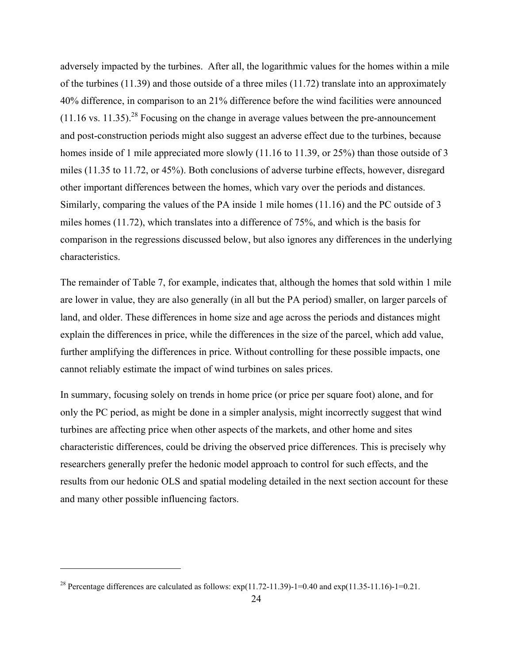adversely impacted by the turbines. After all, the logarithmic values for the homes within a mile of the turbines  $(11.39)$  and those outside of a three miles  $(11.72)$  translate into an approximately 40% difference, in comparison to an 21% difference before the wind facilities were announced  $(11.16 \text{ vs. } 11.35)$ .<sup>28</sup> Focusing on the change in average values between the pre-announcement and post-construction periods might also suggest an adverse effect due to the turbines, because homes inside of 1 mile appreciated more slowly (11.16 to 11.39, or 25%) than those outside of 3 miles (11.35 to 11.72, or 45%). Both conclusions of adverse turbine effects, however, disregard other important differences between the homes, which vary over the periods and distances. Similarly, comparing the values of the PA inside 1 mile homes (11.16) and the PC outside of 3 miles homes (11.72), which translates into a difference of 75%, and which is the basis for comparison in the regressions discussed below, but also ignores any differences in the underlying characteristics.

The remainder of Table 7, for example, indicates that, although the homes that sold within 1 mile are lower in value, they are also generally (in all but the PA period) smaller, on larger parcels of land, and older. These differences in home size and age across the periods and distances might explain the differences in price, while the differences in the size of the parcel, which add value, further amplifying the differences in price. Without controlling for these possible impacts, one cannot reliably estimate the impact of wind turbines on sales prices.

In summary, focusing solely on trends in home price (or price per square foot) alone, and for only the PC period, as might be done in a simpler analysis, might incorrectly suggest that wind turbines are affecting price when other aspects of the markets, and other home and sites characteristic differences, could be driving the observed price differences. This is precisely why researchers generally prefer the hedonic model approach to control for such effects, and the results from our hedonic OLS and spatial modeling detailed in the next section account for these and many other possible influencing factors.

<sup>&</sup>lt;sup>28</sup> Percentage differences are calculated as follows:  $\exp(11.72-11.39)$ -1=0.40 and  $\exp(11.35-11.16)$ -1=0.21.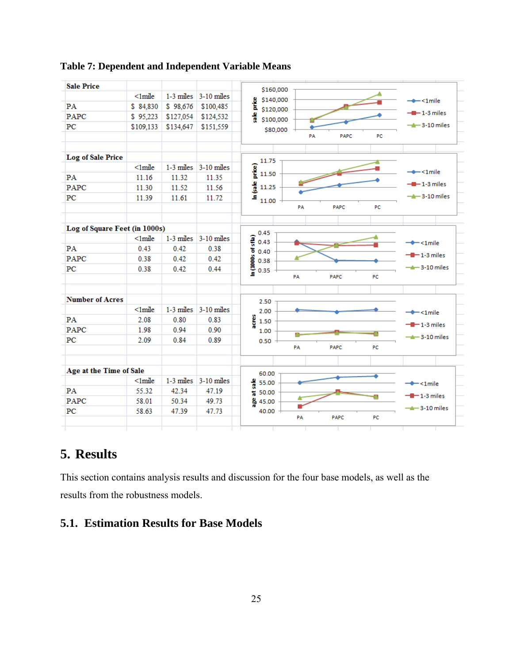| <b>Sale Price</b><br>\$160,000<br>$\leq$ 1mile<br>$1-3$ miles $3-10$ miles<br>\$140,000<br>sale price<br>-<1mile<br>\$84,830<br>\$98,676<br>PA<br>\$100,485<br>\$120,000<br>$-1-3$ miles<br><b>PAPC</b><br>\$95,223<br>\$127,054<br>\$124,532<br>\$100,000<br>$-4$ 3-10 miles<br>PC<br>\$109,133<br>\$134,647<br>\$151,559<br>\$80,000<br>PC<br>PAPC<br>PA<br><b>Log of Sale Price</b><br>11.75<br>price)<br>$1-3$ miles<br>$1$ mile<br>$3-10$ miles<br>$-1$ mile<br>11.50<br>PA<br>11.16<br>11.32<br>11.35<br>in (sale<br>$-$ -1-3 miles<br>11.25<br><b>PAPC</b><br>11.30<br>11.52<br>11.56<br>$-4$ 3-10 miles<br>PC<br>11.39<br>11.61<br>11.72<br>11.00<br>PAPC<br>PA<br>PC<br>Log of Square Feet (in 1000s)<br>0.45<br>In (1000s of sfla)<br>$1-3$ miles<br>$3-10$ miles<br>$1$ mile<br>0.43<br>-<1mile<br>PA<br>0.43<br>0.42<br>0.38<br>0.40<br>$ -$ 1-3 miles<br><b>PAPC</b><br>0.38<br>0.42<br>0.42<br>0.38<br>$-4$ -3-10 miles<br>PC<br>0.38<br>0.42<br>0.44<br>0.35<br>PC<br>PA<br>PAPC<br><b>Number of Acres</b><br>2.50<br>1-3 miles<br>$<1$ mile<br>$3-10$ miles<br>2.00<br>$\leftarrow$ <1mile<br>acres<br>PA<br>2.08<br>0.80<br>0.83<br>1.50<br>$-$ -1-3 miles<br><b>PAPC</b><br>1.98<br>0.94<br>0.90<br>1.00<br>r.<br>$-4$ 3-10 miles<br>PC<br>2.09<br>0.84<br>0.89<br>0.50<br>PAPC<br>PA<br>PC<br>Age at the Time of Sale<br>60.00<br>$<1$ mile<br>1-3 miles<br>$3-10$ miles<br>at sale<br>55.00<br>$\leftarrow$ <1mile<br>PA<br>55.32<br>42.34<br>47.19<br>50.00<br>$-$ -1-3 miles<br><b>PAPC</b><br>월 45.00<br>58.01<br>50.34<br>49.73<br>$-4$ -3-10 miles<br>PC<br>58.63<br>47.39<br>47.73<br>40.00<br>PA<br>PAPC<br>PC |  |  |  |
|-------------------------------------------------------------------------------------------------------------------------------------------------------------------------------------------------------------------------------------------------------------------------------------------------------------------------------------------------------------------------------------------------------------------------------------------------------------------------------------------------------------------------------------------------------------------------------------------------------------------------------------------------------------------------------------------------------------------------------------------------------------------------------------------------------------------------------------------------------------------------------------------------------------------------------------------------------------------------------------------------------------------------------------------------------------------------------------------------------------------------------------------------------------------------------------------------------------------------------------------------------------------------------------------------------------------------------------------------------------------------------------------------------------------------------------------------------------------------------------------------------------------------------------------------------------------------------------------------------------------------------------------|--|--|--|
|                                                                                                                                                                                                                                                                                                                                                                                                                                                                                                                                                                                                                                                                                                                                                                                                                                                                                                                                                                                                                                                                                                                                                                                                                                                                                                                                                                                                                                                                                                                                                                                                                                           |  |  |  |
|                                                                                                                                                                                                                                                                                                                                                                                                                                                                                                                                                                                                                                                                                                                                                                                                                                                                                                                                                                                                                                                                                                                                                                                                                                                                                                                                                                                                                                                                                                                                                                                                                                           |  |  |  |
|                                                                                                                                                                                                                                                                                                                                                                                                                                                                                                                                                                                                                                                                                                                                                                                                                                                                                                                                                                                                                                                                                                                                                                                                                                                                                                                                                                                                                                                                                                                                                                                                                                           |  |  |  |
|                                                                                                                                                                                                                                                                                                                                                                                                                                                                                                                                                                                                                                                                                                                                                                                                                                                                                                                                                                                                                                                                                                                                                                                                                                                                                                                                                                                                                                                                                                                                                                                                                                           |  |  |  |
|                                                                                                                                                                                                                                                                                                                                                                                                                                                                                                                                                                                                                                                                                                                                                                                                                                                                                                                                                                                                                                                                                                                                                                                                                                                                                                                                                                                                                                                                                                                                                                                                                                           |  |  |  |
|                                                                                                                                                                                                                                                                                                                                                                                                                                                                                                                                                                                                                                                                                                                                                                                                                                                                                                                                                                                                                                                                                                                                                                                                                                                                                                                                                                                                                                                                                                                                                                                                                                           |  |  |  |
|                                                                                                                                                                                                                                                                                                                                                                                                                                                                                                                                                                                                                                                                                                                                                                                                                                                                                                                                                                                                                                                                                                                                                                                                                                                                                                                                                                                                                                                                                                                                                                                                                                           |  |  |  |
|                                                                                                                                                                                                                                                                                                                                                                                                                                                                                                                                                                                                                                                                                                                                                                                                                                                                                                                                                                                                                                                                                                                                                                                                                                                                                                                                                                                                                                                                                                                                                                                                                                           |  |  |  |
|                                                                                                                                                                                                                                                                                                                                                                                                                                                                                                                                                                                                                                                                                                                                                                                                                                                                                                                                                                                                                                                                                                                                                                                                                                                                                                                                                                                                                                                                                                                                                                                                                                           |  |  |  |
|                                                                                                                                                                                                                                                                                                                                                                                                                                                                                                                                                                                                                                                                                                                                                                                                                                                                                                                                                                                                                                                                                                                                                                                                                                                                                                                                                                                                                                                                                                                                                                                                                                           |  |  |  |
|                                                                                                                                                                                                                                                                                                                                                                                                                                                                                                                                                                                                                                                                                                                                                                                                                                                                                                                                                                                                                                                                                                                                                                                                                                                                                                                                                                                                                                                                                                                                                                                                                                           |  |  |  |
|                                                                                                                                                                                                                                                                                                                                                                                                                                                                                                                                                                                                                                                                                                                                                                                                                                                                                                                                                                                                                                                                                                                                                                                                                                                                                                                                                                                                                                                                                                                                                                                                                                           |  |  |  |
|                                                                                                                                                                                                                                                                                                                                                                                                                                                                                                                                                                                                                                                                                                                                                                                                                                                                                                                                                                                                                                                                                                                                                                                                                                                                                                                                                                                                                                                                                                                                                                                                                                           |  |  |  |
|                                                                                                                                                                                                                                                                                                                                                                                                                                                                                                                                                                                                                                                                                                                                                                                                                                                                                                                                                                                                                                                                                                                                                                                                                                                                                                                                                                                                                                                                                                                                                                                                                                           |  |  |  |
|                                                                                                                                                                                                                                                                                                                                                                                                                                                                                                                                                                                                                                                                                                                                                                                                                                                                                                                                                                                                                                                                                                                                                                                                                                                                                                                                                                                                                                                                                                                                                                                                                                           |  |  |  |
|                                                                                                                                                                                                                                                                                                                                                                                                                                                                                                                                                                                                                                                                                                                                                                                                                                                                                                                                                                                                                                                                                                                                                                                                                                                                                                                                                                                                                                                                                                                                                                                                                                           |  |  |  |
|                                                                                                                                                                                                                                                                                                                                                                                                                                                                                                                                                                                                                                                                                                                                                                                                                                                                                                                                                                                                                                                                                                                                                                                                                                                                                                                                                                                                                                                                                                                                                                                                                                           |  |  |  |
|                                                                                                                                                                                                                                                                                                                                                                                                                                                                                                                                                                                                                                                                                                                                                                                                                                                                                                                                                                                                                                                                                                                                                                                                                                                                                                                                                                                                                                                                                                                                                                                                                                           |  |  |  |
|                                                                                                                                                                                                                                                                                                                                                                                                                                                                                                                                                                                                                                                                                                                                                                                                                                                                                                                                                                                                                                                                                                                                                                                                                                                                                                                                                                                                                                                                                                                                                                                                                                           |  |  |  |
|                                                                                                                                                                                                                                                                                                                                                                                                                                                                                                                                                                                                                                                                                                                                                                                                                                                                                                                                                                                                                                                                                                                                                                                                                                                                                                                                                                                                                                                                                                                                                                                                                                           |  |  |  |
|                                                                                                                                                                                                                                                                                                                                                                                                                                                                                                                                                                                                                                                                                                                                                                                                                                                                                                                                                                                                                                                                                                                                                                                                                                                                                                                                                                                                                                                                                                                                                                                                                                           |  |  |  |
|                                                                                                                                                                                                                                                                                                                                                                                                                                                                                                                                                                                                                                                                                                                                                                                                                                                                                                                                                                                                                                                                                                                                                                                                                                                                                                                                                                                                                                                                                                                                                                                                                                           |  |  |  |
|                                                                                                                                                                                                                                                                                                                                                                                                                                                                                                                                                                                                                                                                                                                                                                                                                                                                                                                                                                                                                                                                                                                                                                                                                                                                                                                                                                                                                                                                                                                                                                                                                                           |  |  |  |
|                                                                                                                                                                                                                                                                                                                                                                                                                                                                                                                                                                                                                                                                                                                                                                                                                                                                                                                                                                                                                                                                                                                                                                                                                                                                                                                                                                                                                                                                                                                                                                                                                                           |  |  |  |
|                                                                                                                                                                                                                                                                                                                                                                                                                                                                                                                                                                                                                                                                                                                                                                                                                                                                                                                                                                                                                                                                                                                                                                                                                                                                                                                                                                                                                                                                                                                                                                                                                                           |  |  |  |
|                                                                                                                                                                                                                                                                                                                                                                                                                                                                                                                                                                                                                                                                                                                                                                                                                                                                                                                                                                                                                                                                                                                                                                                                                                                                                                                                                                                                                                                                                                                                                                                                                                           |  |  |  |
|                                                                                                                                                                                                                                                                                                                                                                                                                                                                                                                                                                                                                                                                                                                                                                                                                                                                                                                                                                                                                                                                                                                                                                                                                                                                                                                                                                                                                                                                                                                                                                                                                                           |  |  |  |
|                                                                                                                                                                                                                                                                                                                                                                                                                                                                                                                                                                                                                                                                                                                                                                                                                                                                                                                                                                                                                                                                                                                                                                                                                                                                                                                                                                                                                                                                                                                                                                                                                                           |  |  |  |
|                                                                                                                                                                                                                                                                                                                                                                                                                                                                                                                                                                                                                                                                                                                                                                                                                                                                                                                                                                                                                                                                                                                                                                                                                                                                                                                                                                                                                                                                                                                                                                                                                                           |  |  |  |
|                                                                                                                                                                                                                                                                                                                                                                                                                                                                                                                                                                                                                                                                                                                                                                                                                                                                                                                                                                                                                                                                                                                                                                                                                                                                                                                                                                                                                                                                                                                                                                                                                                           |  |  |  |
|                                                                                                                                                                                                                                                                                                                                                                                                                                                                                                                                                                                                                                                                                                                                                                                                                                                                                                                                                                                                                                                                                                                                                                                                                                                                                                                                                                                                                                                                                                                                                                                                                                           |  |  |  |
|                                                                                                                                                                                                                                                                                                                                                                                                                                                                                                                                                                                                                                                                                                                                                                                                                                                                                                                                                                                                                                                                                                                                                                                                                                                                                                                                                                                                                                                                                                                                                                                                                                           |  |  |  |
|                                                                                                                                                                                                                                                                                                                                                                                                                                                                                                                                                                                                                                                                                                                                                                                                                                                                                                                                                                                                                                                                                                                                                                                                                                                                                                                                                                                                                                                                                                                                                                                                                                           |  |  |  |
|                                                                                                                                                                                                                                                                                                                                                                                                                                                                                                                                                                                                                                                                                                                                                                                                                                                                                                                                                                                                                                                                                                                                                                                                                                                                                                                                                                                                                                                                                                                                                                                                                                           |  |  |  |

# **Table 7: Dependent and Independent Variable Means**

# **5. Results**

This section contains analysis results and discussion for the four base models, as well as the results from the robustness models.

# **5.1. Estimation Results for Base Models**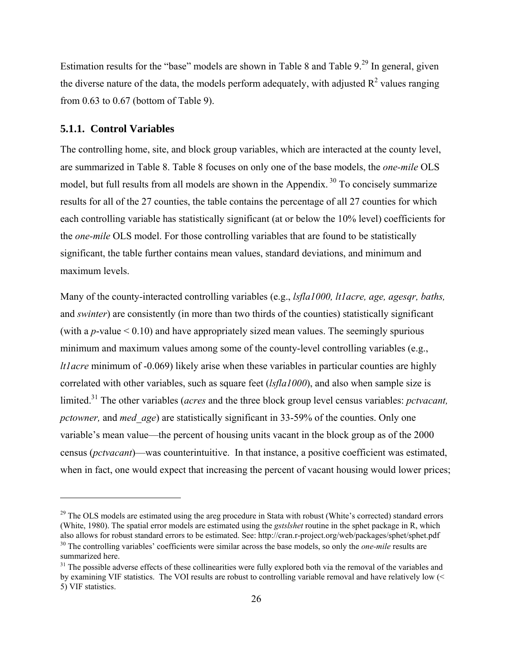Estimation results for the "base" models are shown in Table 8 and Table 9.29 In general, given the diverse nature of the data, the models perform adequately, with adjusted  $R^2$  values ranging from 0.63 to 0.67 (bottom of Table 9).

#### **5.1.1. Control Variables**

<u>.</u>

The controlling home, site, and block group variables, which are interacted at the county level, are summarized in Table 8. Table 8 focuses on only one of the base models, the *one-mile* OLS model, but full results from all models are shown in the Appendix.<sup>30</sup> To concisely summarize results for all of the 27 counties, the table contains the percentage of all 27 counties for which each controlling variable has statistically significant (at or below the 10% level) coefficients for the *one-mile* OLS model. For those controlling variables that are found to be statistically significant, the table further contains mean values, standard deviations, and minimum and maximum levels.

Many of the county-interacted controlling variables (e.g., *lsfla1000, lt1acre, age, agesqr, baths,*  and *swinter*) are consistently (in more than two thirds of the counties) statistically significant (with a *p*-value  $\leq$  0.10) and have appropriately sized mean values. The seemingly spurious minimum and maximum values among some of the county-level controlling variables (e.g., *lt1acre* minimum of -0.069) likely arise when these variables in particular counties are highly correlated with other variables, such as square feet (*lsfla1000*), and also when sample size is limited.31 The other variables (*acres* and the three block group level census variables: *pctvacant, pctowner,* and *med\_age*) are statistically significant in 33-59% of the counties. Only one variable's mean value—the percent of housing units vacant in the block group as of the 2000 census (*pctvacant*)—was counterintuitive. In that instance, a positive coefficient was estimated, when in fact, one would expect that increasing the percent of vacant housing would lower prices;

<sup>&</sup>lt;sup>29</sup> The OLS models are estimated using the areg procedure in Stata with robust (White's corrected) standard errors (White, 1980). The spatial error models are estimated using the *gstslshet* routine in the sphet package in R, which also allows for robust standard errors to be estimated. See: http://cran.r-project.org/web/packages/sphet/sphet.pdf <sup>30</sup> The controlling variables' coefficients were similar across the base models, so only the *one-mile* r summarized here.

 $31$  The possible adverse effects of these collinearities were fully explored both via the removal of the variables and by examining VIF statistics. The VOI results are robust to controlling variable removal and have relatively low (< 5) VIF statistics.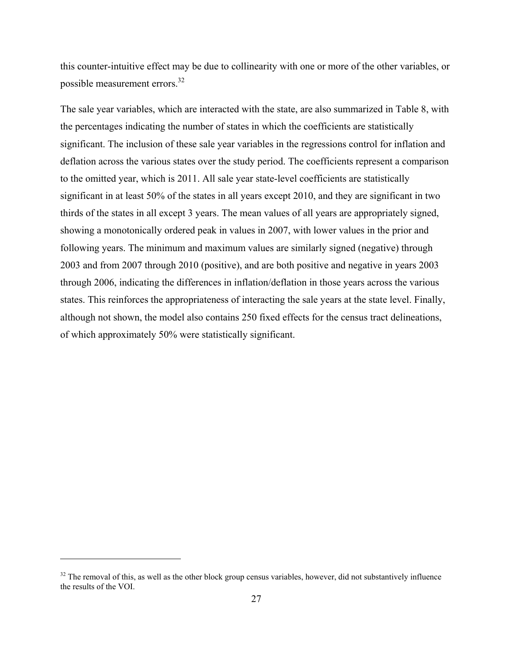this counter-intuitive effect may be due to collinearity with one or more of the other variables, or possible measurement errors.32

The sale year variables, which are interacted with the state, are also summarized in Table 8, with the percentages indicating the number of states in which the coefficients are statistically significant. The inclusion of these sale year variables in the regressions control for inflation and deflation across the various states over the study period. The coefficients represent a comparison to the omitted year, which is 2011. All sale year state-level coefficients are statistically significant in at least 50% of the states in all years except 2010, and they are significant in two thirds of the states in all except 3 years. The mean values of all years are appropriately signed, showing a monotonically ordered peak in values in 2007, with lower values in the prior and following years. The minimum and maximum values are similarly signed (negative) through 2003 and from 2007 through 2010 (positive), and are both positive and negative in years 2003 through 2006, indicating the differences in inflation/deflation in those years across the various states. This reinforces the appropriateness of interacting the sale years at the state level. Finally, although not shown, the model also contains 250 fixed effects for the census tract delineations, of which approximately 50% were statistically significant.

 $32$  The removal of this, as well as the other block group census variables, however, did not substantively influence the results of the VOI.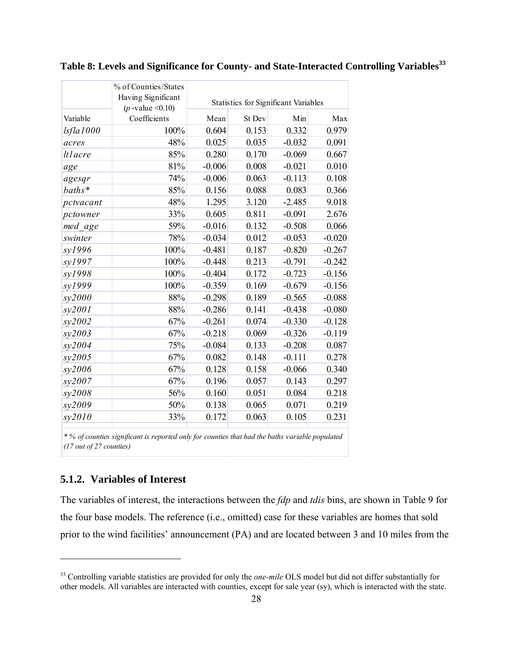|           | % of Counties/States<br>Having Significant<br>$(p$ -value < 0.10) |          | <b>Statistics for Significant Variables</b> |          |          |
|-----------|-------------------------------------------------------------------|----------|---------------------------------------------|----------|----------|
| Variable  | Coefficients                                                      | Mean     | St Dev                                      | Min      | Max      |
| lsfla1000 | 100%                                                              | 0.604    | 0.153                                       | 0.332    | 0.979    |
| acres     | 48%                                                               | 0.025    | 0.035                                       | $-0.032$ | 0.091    |
| ltl acre  | 85%                                                               | 0.280    | 0.170                                       | $-0.069$ | 0.667    |
| age       | 81%                                                               | $-0.006$ | 0.008                                       | $-0.021$ | 0.010    |
| agesqr    | 74%                                                               | $-0.006$ | 0.063                                       | $-0.113$ | 0.108    |
| baths*    | 85%                                                               | 0.156    | 0.088                                       | 0.083    | 0.366    |
| pctvacant | 48%                                                               | 1.295    | 3.120                                       | $-2.485$ | 9.018    |
| pctowner  | 33%                                                               | 0.605    | 0.811                                       | $-0.091$ | 2.676    |
| med age   | 59%                                                               | $-0.016$ | 0.132                                       | $-0.508$ | 0.066    |
| swinter   | 78%                                                               | $-0.034$ | 0.012                                       | $-0.053$ | $-0.020$ |
| sy1996    | 100%                                                              | $-0.481$ | 0.187                                       | $-0.820$ | $-0.267$ |
| sy1997    | 100%                                                              | $-0.448$ | 0.213                                       | $-0.791$ | $-0.242$ |
| sy1998    | 100%                                                              | $-0.404$ | 0.172                                       | $-0.723$ | $-0.156$ |
| sy1999    | 100%                                                              | $-0.359$ | 0.169                                       | $-0.679$ | $-0.156$ |
| syz000    | 88%                                                               | $-0.298$ | 0.189                                       | $-0.565$ | $-0.088$ |
| sy2001    | 88%                                                               | $-0.286$ | 0.141                                       | $-0.438$ | $-0.080$ |
| $s$ y2002 | 67%                                                               | $-0.261$ | 0.074                                       | $-0.330$ | $-0.128$ |
| sy2003    | 67%                                                               | $-0.218$ | 0.069                                       | $-0.326$ | $-0.119$ |
| $s$ y2004 | 75%                                                               | $-0.084$ | 0.133                                       | $-0.208$ | 0.087    |
| $s$ y2005 | 67%                                                               | 0.082    | 0.148                                       | $-0.111$ | 0.278    |
| $s$ y2006 | 67%                                                               | 0.128    | 0.158                                       | $-0.066$ | 0.340    |
| $s$ y2007 | 67%                                                               | 0.196    | 0.057                                       | 0.143    | 0.297    |
| sy2008    | 56%                                                               | 0.160    | 0.051                                       | 0.084    | 0.218    |
| sy2009    | 50%                                                               | 0.138    | 0.065                                       | 0.071    | 0.219    |
| $s$ y2010 | 33%                                                               | 0.172    | 0.063                                       | 0.105    | 0.231    |
|           |                                                                   |          |                                             |          |          |

Table 8: Levels and Significance for County- and State-Interacted Controlling Variables<sup>33</sup>

*\* % of counties significant is reported only for counties that had the baths variable populated (17 out of 27 counties)*

### **5.1.2. Variables of Interest**

 $\overline{a}$ 

The variables of interest, the interactions between the *fdp* and *tdis* bins, are shown in Table 9 for the four base models. The reference (i.e., omitted) case for these variables are homes that sold prior to the wind facilities' announcement (PA) and are located between 3 and 10 miles from the

<sup>&</sup>lt;sup>33</sup> Controlling variable statistics are provided for only the *one-mile* OLS model but did not differ substantially for other models. All variables are interacted with counties, except for sale year (sy), which is interacted with the state.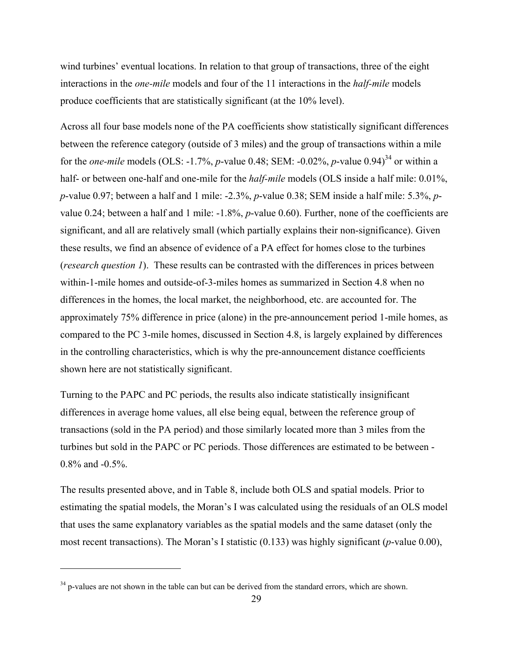wind turbines' eventual locations. In relation to that group of transactions, three of the eight interactions in the *one-mile* models and four of the 11 interactions in the *half-mile* models produce coefficients that are statistically significant (at the 10% level).

Across all four base models none of the PA coefficients show statistically significant differences between the reference category (outside of 3 miles) and the group of transactions within a mile for the *one-mile* models (OLS: -1.7%, *p*-value 0.48; SEM: -0.02%, *p*-value 0.94)<sup>34</sup> or within a half- or between one-half and one-mile for the *half-mile* models (OLS inside a half mile: 0.01%, *p*-value 0.97; between a half and 1 mile: -2.3%, *p*-value 0.38; SEM inside a half mile: 5.3%, *p*value 0.24; between a half and 1 mile: -1.8%, *p*-value 0.60). Further, none of the coefficients are significant, and all are relatively small (which partially explains their non-significance). Given these results, we find an absence of evidence of a PA effect for homes close to the turbines (*research question 1*). These results can be contrasted with the differences in prices between within-1-mile homes and outside-of-3-miles homes as summarized in Section 4.8 when no differences in the homes, the local market, the neighborhood, etc. are accounted for. The approximately 75% difference in price (alone) in the pre-announcement period 1-mile homes, as compared to the PC 3-mile homes, discussed in Section 4.8, is largely explained by differences in the controlling characteristics, which is why the pre-announcement distance coefficients shown here are not statistically significant.

Turning to the PAPC and PC periods, the results also indicate statistically insignificant differences in average home values, all else being equal, between the reference group of transactions (sold in the PA period) and those similarly located more than 3 miles from the turbines but sold in the PAPC or PC periods. Those differences are estimated to be between -  $0.8\%$  and  $-0.5\%$ .

The results presented above, and in Table 8, include both OLS and spatial models. Prior to estimating the spatial models, the Moran's I was calculated using the residuals of an OLS model that uses the same explanatory variables as the spatial models and the same dataset (only the most recent transactions). The Moran's I statistic (0.133) was highly significant (*p*-value 0.00),

<sup>&</sup>lt;sup>34</sup> p-values are not shown in the table can but can be derived from the standard errors, which are shown.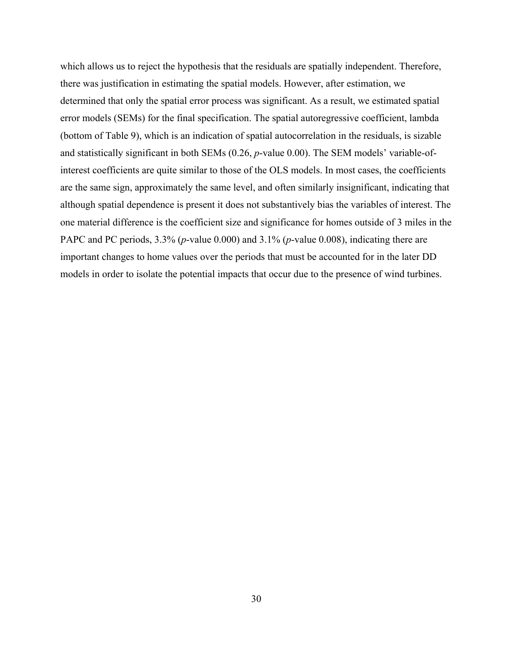which allows us to reject the hypothesis that the residuals are spatially independent. Therefore, there was justification in estimating the spatial models. However, after estimation, we determined that only the spatial error process was significant. As a result, we estimated spatial error models (SEMs) for the final specification. The spatial autoregressive coefficient, lambda (bottom of Table 9), which is an indication of spatial autocorrelation in the residuals, is sizable and statistically significant in both SEMs (0.26, *p*-value 0.00). The SEM models' variable-ofinterest coefficients are quite similar to those of the OLS models. In most cases, the coefficients are the same sign, approximately the same level, and often similarly insignificant, indicating that although spatial dependence is present it does not substantively bias the variables of interest. The one material difference is the coefficient size and significance for homes outside of 3 miles in the PAPC and PC periods, 3.3% (*p*-value 0.000) and 3.1% (*p*-value 0.008), indicating there are important changes to home values over the periods that must be accounted for in the later DD models in order to isolate the potential impacts that occur due to the presence of wind turbines.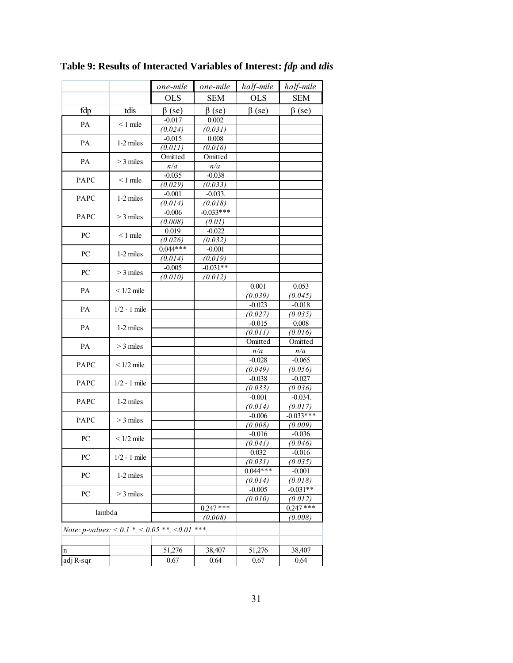|                                                       |                 | one-mile     | one-mile     | half-mile        | half-mile           |
|-------------------------------------------------------|-----------------|--------------|--------------|------------------|---------------------|
|                                                       |                 | <b>OLS</b>   | <b>SEM</b>   | <b>OLS</b>       | <b>SEM</b>          |
| fdp                                                   | tdis            | $\beta$ (se) | $\beta$ (se) | $\beta$ (se)     | $\beta$ (se)        |
|                                                       |                 | $-0.017$     | 0.002        |                  |                     |
| PA                                                    | $< 1$ mile      | (0.024)      | (0.031)      |                  |                     |
|                                                       |                 | $-0.015$     | 0.008        |                  |                     |
| PA                                                    | 1-2 miles       | (0.011)      | (0.016)      |                  |                     |
| PA                                                    | $>$ 3 miles     | Omitted      | Omitted      |                  |                     |
|                                                       |                 | n/a          | n/a          |                  |                     |
| PAPC                                                  | $< 1$ mile      | $-0.035$     | $-0.038$     |                  |                     |
|                                                       |                 | (0.029)      | (0.033)      |                  |                     |
| PAPC                                                  | 1-2 miles       | $-0.001$     | $-0.033$ .   |                  |                     |
|                                                       |                 | (0.014)      | (0.018)      |                  |                     |
| PAPC                                                  | $>$ 3 miles     | $-0.006$     | $-0.033***$  |                  |                     |
|                                                       |                 | (0.008)      | (0.01)       |                  |                     |
| PC                                                    | $< 1$ mile      | 0.019        | $-0.022$     |                  |                     |
|                                                       |                 | (0.026)      | (0.032)      |                  |                     |
| PC                                                    | 1-2 miles       | $0.044***$   | $-0.001$     |                  |                     |
|                                                       |                 | (0.014)      | (0.019)      |                  |                     |
| PC                                                    | $>$ 3 miles     | $-0.005$     | $-0.031**$   |                  |                     |
|                                                       |                 | (0.010)      | (0.012)      |                  |                     |
| PA                                                    | $< 1/2$ mile    |              |              | 0.001            | 0.053               |
|                                                       |                 |              |              | (0.039)          | (0.045)             |
| PA                                                    | $1/2 - 1$ mile  |              |              | $-0.023$         | $-0.018$            |
|                                                       |                 |              |              | (0.027)          | (0.035)             |
| PA                                                    | 1-2 miles       |              |              | $-0.015$         | 0.008               |
|                                                       |                 |              |              | (0.011)          | (0.016)             |
| PA                                                    | $>$ 3 miles     |              |              | Omitted          | Omitted             |
|                                                       |                 |              |              | n/a              | n/a                 |
| <b>PAPC</b>                                           | $< 1/2$ mile    |              |              | $-0.028$         | $-0.065$            |
|                                                       |                 |              |              | (0.049)          | (0.056)             |
| PAPC                                                  | $1/2 - 1$ mile  |              |              | $-0.038$         | $-0.027$            |
|                                                       |                 |              |              | (0.033)          | (0.036)             |
| PAPC                                                  | 1-2 miles       |              |              | $-0.001$         | $-0.034.$           |
|                                                       |                 |              |              | (0.014)          | (0.017)             |
| <b>PAPC</b>                                           | $>$ 3 miles     |              |              | $-0.006$         | $-0.033***$         |
|                                                       |                 |              |              | (0.008)          | (0.009)             |
| PC                                                    | $\leq$ 1/2 mile |              |              | $-0.016$         | $-0.036$            |
|                                                       |                 |              |              | (0.041)          | (0.046)             |
| PC                                                    | $1/2 - 1$ mile  |              |              | 0.032<br>(0.031) | $-0.016$            |
|                                                       |                 |              |              | $0.044***$       | (0.035)             |
| PC                                                    | 1-2 miles       |              |              | (0.014)          | $-0.001$<br>(0.018) |
|                                                       |                 |              |              | $-0.005$         | $-0.031**$          |
| PC                                                    | $>$ 3 miles     |              |              | (0.010)          | (0.012)             |
|                                                       |                 |              | $0.247***$   |                  | $0.247$ ***         |
| lambda                                                |                 |              | (0.008)      |                  | (0.008)             |
|                                                       |                 |              |              |                  |                     |
| Note: p-values: $< 0.1$ *, $< 0.05$ **, $< 0.01$ ***. |                 |              |              |                  |                     |
|                                                       |                 |              |              |                  |                     |
| n                                                     |                 | 51,276       | 38,407       | 51,276           | 38,407              |
| adj R-sqr                                             |                 | 0.67         | 0.64         | 0.67             | 0.64                |

**Table 9: Results of Interacted Variables of Interest:** *fdp* **and** *tdis*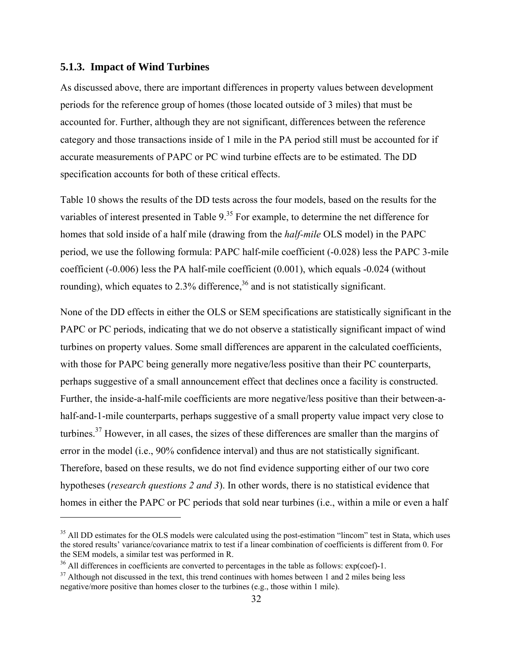#### **5.1.3. Impact of Wind Turbines**

1

As discussed above, there are important differences in property values between development periods for the reference group of homes (those located outside of 3 miles) that must be accounted for. Further, although they are not significant, differences between the reference category and those transactions inside of 1 mile in the PA period still must be accounted for if accurate measurements of PAPC or PC wind turbine effects are to be estimated. The DD specification accounts for both of these critical effects.

Table 10 shows the results of the DD tests across the four models, based on the results for the variables of interest presented in Table 9.<sup>35</sup> For example, to determine the net difference for homes that sold inside of a half mile (drawing from the *half-mile* OLS model) in the PAPC period, we use the following formula: PAPC half-mile coefficient (-0.028) less the PAPC 3-mile coefficient (-0.006) less the PA half-mile coefficient (0.001), which equals -0.024 (without rounding), which equates to 2.3% difference,  $36$  and is not statistically significant.

None of the DD effects in either the OLS or SEM specifications are statistically significant in the PAPC or PC periods, indicating that we do not observe a statistically significant impact of wind turbines on property values. Some small differences are apparent in the calculated coefficients, with those for PAPC being generally more negative/less positive than their PC counterparts, perhaps suggestive of a small announcement effect that declines once a facility is constructed. Further, the inside-a-half-mile coefficients are more negative/less positive than their between-ahalf-and-1-mile counterparts, perhaps suggestive of a small property value impact very close to turbines.<sup>37</sup> However, in all cases, the sizes of these differences are smaller than the margins of error in the model (i.e., 90% confidence interval) and thus are not statistically significant. Therefore, based on these results, we do not find evidence supporting either of our two core hypotheses (*research questions 2 and 3*). In other words, there is no statistical evidence that homes in either the PAPC or PC periods that sold near turbines (i.e., within a mile or even a half

<sup>&</sup>lt;sup>35</sup> All DD estimates for the OLS models were calculated using the post-estimation "lincom" test in Stata, which uses the stored results' variance/covariance matrix to test if a linear combination of coefficients is different from 0. For the SEM models, a similar test was performed in R.

<sup>&</sup>lt;sup>36</sup> All differences in coefficients are converted to percentages in the table as follows:  $\exp(\text{coef})-1$ .<br><sup>37</sup> Although not discussed in the text, this trend continues with homes between 1 and 2 miles being less

negative/more positive than homes closer to the turbines (e.g., those within 1 mile).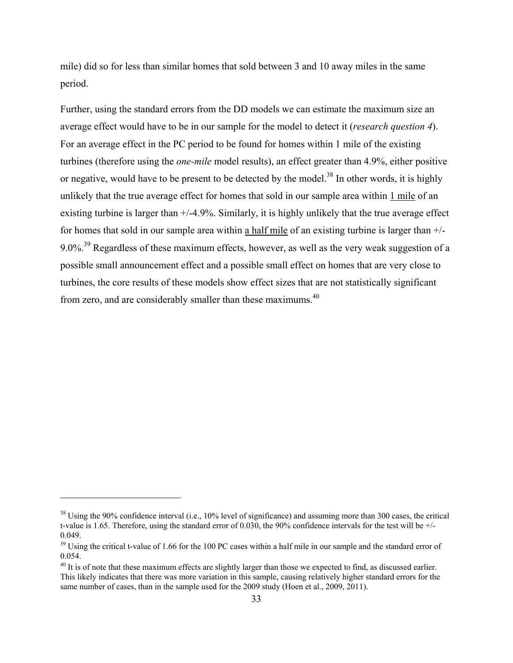mile) did so for less than similar homes that sold between 3 and 10 away miles in the same period.

Further, using the standard errors from the DD models we can estimate the maximum size an average effect would have to be in our sample for the model to detect it (*research question 4*). For an average effect in the PC period to be found for homes within 1 mile of the existing turbines (therefore using the *one-mile* model results), an effect greater than 4.9%, either positive or negative, would have to be present to be detected by the model.<sup>38</sup> In other words, it is highly unlikely that the true average effect for homes that sold in our sample area within 1 mile of an existing turbine is larger than +/-4.9%. Similarly, it is highly unlikely that the true average effect for homes that sold in our sample area within a half mile of an existing turbine is larger than  $+/-$ 9.0%.39 Regardless of these maximum effects, however, as well as the very weak suggestion of a possible small announcement effect and a possible small effect on homes that are very close to turbines, the core results of these models show effect sizes that are not statistically significant from zero, and are considerably smaller than these maximums.<sup>40</sup>

<sup>&</sup>lt;sup>38</sup> Using the 90% confidence interval (i.e., 10% level of significance) and assuming more than 300 cases, the critical t-value is 1.65. Therefore, using the standard error of 0.030, the 90% confidence intervals for the test will be +/- 0.049.

 $39$  Using the critical t-value of 1.66 for the 100 PC cases within a half mile in our sample and the standard error of 0.054.

 $40$  It is of note that these maximum effects are slightly larger than those we expected to find, as discussed earlier. This likely indicates that there was more variation in this sample, causing relatively higher standard errors for the same number of cases, than in the sample used for the 2009 study (Hoen et al., 2009, 2011).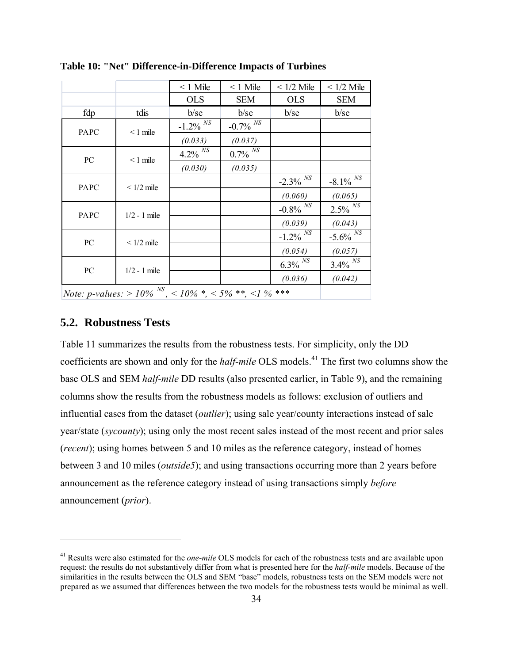|      |                                                                           | $\leq 1$ Mile          | $\leq 1$ Mile          | $< 1/2$ Mile           | $< 1/2$ Mile            |  |  |  |  |
|------|---------------------------------------------------------------------------|------------------------|------------------------|------------------------|-------------------------|--|--|--|--|
|      |                                                                           | <b>OLS</b>             | <b>SEM</b>             | <b>OLS</b>             | <b>SEM</b>              |  |  |  |  |
| fdp  | tdis                                                                      | $b$ /se                | $b$ /se                | b/se                   | b/se                    |  |  |  |  |
| PAPC | $< 1$ mile                                                                | $-1.2\%$ <sup>NS</sup> | $-0.7\%$ <sup>NS</sup> |                        |                         |  |  |  |  |
|      |                                                                           | (0.033)                | (0.037)                |                        |                         |  |  |  |  |
| PC   | $\leq 1$ mile                                                             | $4.2\%$ <sup>NS</sup>  | $0.7\%$ <sup>NS</sup>  |                        |                         |  |  |  |  |
|      |                                                                           | (0.030)                | (0.035)                |                        |                         |  |  |  |  |
| PAPC | $\leq$ 1/2 mile                                                           |                        |                        | $-2.3\%$ $\sqrt{8}$    | $-8.1\%$ <sup>NS</sup>  |  |  |  |  |
|      |                                                                           |                        |                        | (0.060)                | (0.065)                 |  |  |  |  |
| PAPC | $1/2 - 1$ mile                                                            |                        |                        | $-0.8\%$ <sup>NS</sup> | $2.5\%$ <sup>NS</sup>   |  |  |  |  |
|      |                                                                           |                        |                        | (0.039)                | (0.043)                 |  |  |  |  |
| PC   | $\leq$ 1/2 mile                                                           |                        |                        | $-1.2\%$ <sup>NS</sup> | $-5.6\%$ <sup>NS</sup>  |  |  |  |  |
|      |                                                                           |                        |                        | (0.054)                | (0.057)                 |  |  |  |  |
| PC   | $1/2 - 1$ mile                                                            |                        |                        | $6.3\%$ <sup>NS</sup>  | $3.4\%$ $\overline{NS}$ |  |  |  |  |
|      |                                                                           |                        |                        | (0.036)                | (0.042)                 |  |  |  |  |
|      | <i>Note: p</i> -values: > 10% <sup>NS</sup> , < 10% *, < 5% **, < 1 % *** |                        |                        |                        |                         |  |  |  |  |

**Table 10: "Net" Difference-in-Difference Impacts of Turbines** 

**5.2. Robustness Tests** 

 $\overline{a}$ 

Table 11 summarizes the results from the robustness tests. For simplicity, only the DD coefficients are shown and only for the *half-mile* OLS models.<sup>41</sup> The first two columns show the base OLS and SEM *half-mile* DD results (also presented earlier, in Table 9), and the remaining columns show the results from the robustness models as follows: exclusion of outliers and influential cases from the dataset (*outlier*); using sale year/county interactions instead of sale year/state (*sycounty*); using only the most recent sales instead of the most recent and prior sales (*recent*); using homes between 5 and 10 miles as the reference category, instead of homes between 3 and 10 miles (*outside5*); and using transactions occurring more than 2 years before announcement as the reference category instead of using transactions simply *before* announcement (*prior*).

<sup>41</sup> Results were also estimated for the *one-mile* OLS models for each of the robustness tests and are available upon request: the results do not substantively differ from what is presented here for the *half-mile* models. Because of the similarities in the results between the OLS and SEM "base" models, robustness tests on the SEM models were not prepared as we assumed that differences between the two models for the robustness tests would be minimal as well.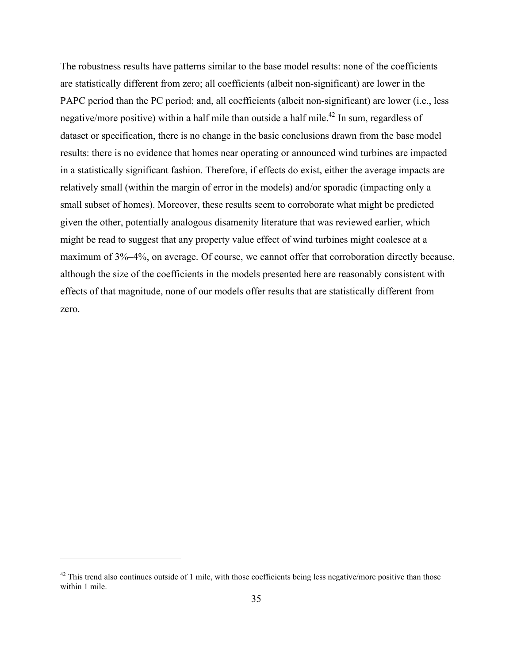The robustness results have patterns similar to the base model results: none of the coefficients are statistically different from zero; all coefficients (albeit non-significant) are lower in the PAPC period than the PC period; and, all coefficients (albeit non-significant) are lower (i.e., less negative/more positive) within a half mile than outside a half mile.<sup>42</sup> In sum, regardless of dataset or specification, there is no change in the basic conclusions drawn from the base model results: there is no evidence that homes near operating or announced wind turbines are impacted in a statistically significant fashion. Therefore, if effects do exist, either the average impacts are relatively small (within the margin of error in the models) and/or sporadic (impacting only a small subset of homes). Moreover, these results seem to corroborate what might be predicted given the other, potentially analogous disamenity literature that was reviewed earlier, which might be read to suggest that any property value effect of wind turbines might coalesce at a maximum of 3%–4%, on average. Of course, we cannot offer that corroboration directly because, although the size of the coefficients in the models presented here are reasonably consistent with effects of that magnitude, none of our models offer results that are statistically different from zero.

 $42$  This trend also continues outside of 1 mile, with those coefficients being less negative/more positive than those within 1 mile.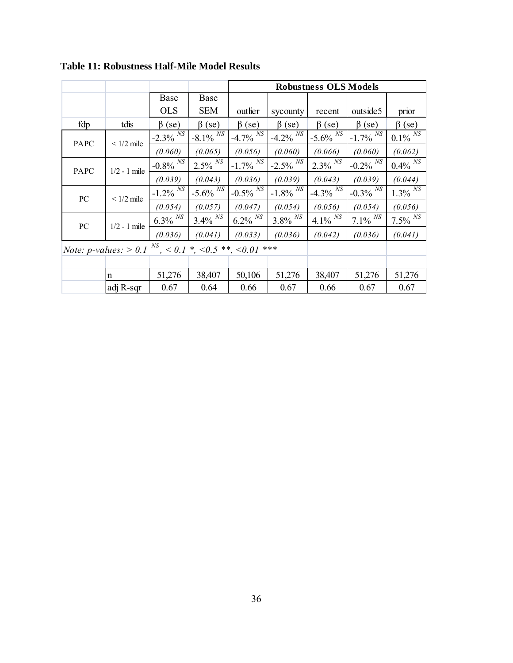|             |                                                                                  |                        |                                |                                 |                          | <b>Robustness OLS Models</b> |                                  |                       |
|-------------|----------------------------------------------------------------------------------|------------------------|--------------------------------|---------------------------------|--------------------------|------------------------------|----------------------------------|-----------------------|
|             |                                                                                  | Base                   | Base                           |                                 |                          |                              |                                  |                       |
|             |                                                                                  | <b>OLS</b>             | <b>SEM</b>                     | outlier                         | sycounty                 | recent                       | outside5                         | prior                 |
| fdp         | tdis                                                                             | $\beta$ (se)           | $\beta$ (se)                   | $\beta$ (se)                    | $\beta$ (se)             | $\beta$ (se)                 | $\beta$ (se)                     | $\beta$ (se)          |
| <b>PAPC</b> | $< 1/2$ mile                                                                     | $-2.3\%$ $^{NS}$       | $-8.1\%$                       | $-4.7\%$ <sup>NS</sup>          | $-4.2\%$ $^{NS}$         | $-5.6\%$ <sup>NS</sup>       | $-1.7\%$ <sup>NS</sup>           | $0.1\%$ <sup>NS</sup> |
|             |                                                                                  | (0.060)                | (0.065)                        | (0.056)                         | (0.060)                  | (0.066)                      | (0.060)                          | (0.062)               |
| <b>PAPC</b> | $1/2 - 1$ mile                                                                   | $-0.8\%$ <sup>NS</sup> | $2.5\%$ <sup>NS</sup>          | $-1.7\%$ $\frac{\sqrt{SS}}{SS}$ | $-2.5\%$ $\overline{NS}$ | $2.3\%$ $\overline{NS}$      | $-0.2\%$ NS                      | $0.4\%$ <sup>NS</sup> |
|             |                                                                                  | (0.039)                | (0.043)                        | (0.036)                         | (0.039)                  | (0.043)                      | (0.039)                          | (0.044)               |
| PC          | $< 1/2$ mile                                                                     | $-1.2\%$ <sup>NS</sup> | $-5.6\%$ <sup>NS</sup>         | $-0.5\%$ <sup>NS</sup>          | $-1.8\%$ <sup>NS</sup>   | $-4.3\%$ <sup>NS</sup>       | $-0.3\%$ <sup>NS</sup>           | $1.3\%$ $^{NS}$       |
|             |                                                                                  | (0.054)                | (0.057)                        | (0.047)                         | (0.054)                  | (0.056)                      | (0.054)                          | (0.056)               |
| PC          | $1/2 - 1$ mile                                                                   | $6.3\%$ <sup>NS</sup>  | $3.4\%$ $\frac{\sqrt{SS}}{SS}$ | $6.2\%$ $\frac{\sqrt{S}}{S}$    | $3.8\%$ <sup>NS</sup>    | 4.1% $\frac{\sqrt{SS}}{S}$   | $7.1\%$ $\frac{\overline{NS}}{}$ | $7.5\%$ <sup>NS</sup> |
|             |                                                                                  | (0.036)                | (0.041)                        | (0.033)                         | (0.036)                  | (0.042)                      | (0.036)                          | (0.041)               |
|             | <i>Note:</i> p-values: $> 0.1^{NS}$ , $< 0.1^{*}$ , $< 0.5^{**}$ , $< 0.01^{**}$ |                        |                                |                                 |                          |                              |                                  |                       |
|             |                                                                                  |                        |                                |                                 |                          |                              |                                  |                       |
|             | n                                                                                | 51,276                 | 38,407                         | 50,106                          | 51,276                   | 38,407                       | 51,276                           | 51,276                |
|             | adj R-sqr                                                                        | 0.67                   | 0.64                           | 0.66                            | 0.67                     | 0.66                         | 0.67                             | 0.67                  |

**Table 11: Robustness Half-Mile Model Results**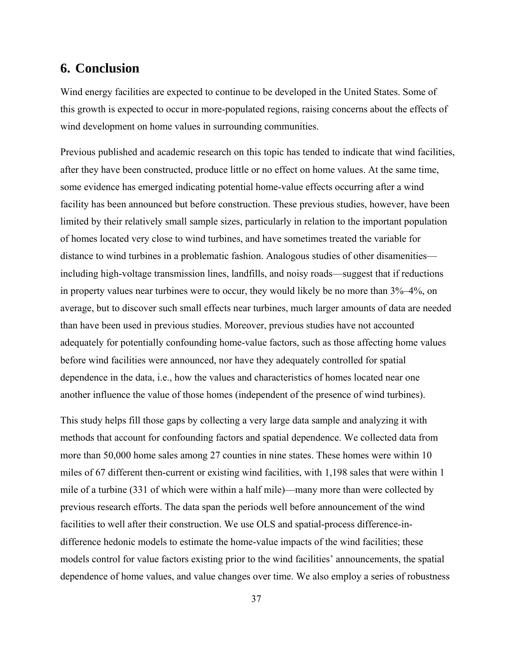# **6. Conclusion**

Wind energy facilities are expected to continue to be developed in the United States. Some of this growth is expected to occur in more-populated regions, raising concerns about the effects of wind development on home values in surrounding communities.

Previous published and academic research on this topic has tended to indicate that wind facilities, after they have been constructed, produce little or no effect on home values. At the same time, some evidence has emerged indicating potential home-value effects occurring after a wind facility has been announced but before construction. These previous studies, however, have been limited by their relatively small sample sizes, particularly in relation to the important population of homes located very close to wind turbines, and have sometimes treated the variable for distance to wind turbines in a problematic fashion. Analogous studies of other disamenities including high-voltage transmission lines, landfills, and noisy roads—suggest that if reductions in property values near turbines were to occur, they would likely be no more than 3%–4%, on average, but to discover such small effects near turbines, much larger amounts of data are needed than have been used in previous studies. Moreover, previous studies have not accounted adequately for potentially confounding home-value factors, such as those affecting home values before wind facilities were announced, nor have they adequately controlled for spatial dependence in the data, i.e., how the values and characteristics of homes located near one another influence the value of those homes (independent of the presence of wind turbines).

This study helps fill those gaps by collecting a very large data sample and analyzing it with methods that account for confounding factors and spatial dependence. We collected data from more than 50,000 home sales among 27 counties in nine states. These homes were within 10 miles of 67 different then-current or existing wind facilities, with 1,198 sales that were within 1 mile of a turbine (331 of which were within a half mile)—many more than were collected by previous research efforts. The data span the periods well before announcement of the wind facilities to well after their construction. We use OLS and spatial-process difference-indifference hedonic models to estimate the home-value impacts of the wind facilities; these models control for value factors existing prior to the wind facilities' announcements, the spatial dependence of home values, and value changes over time. We also employ a series of robustness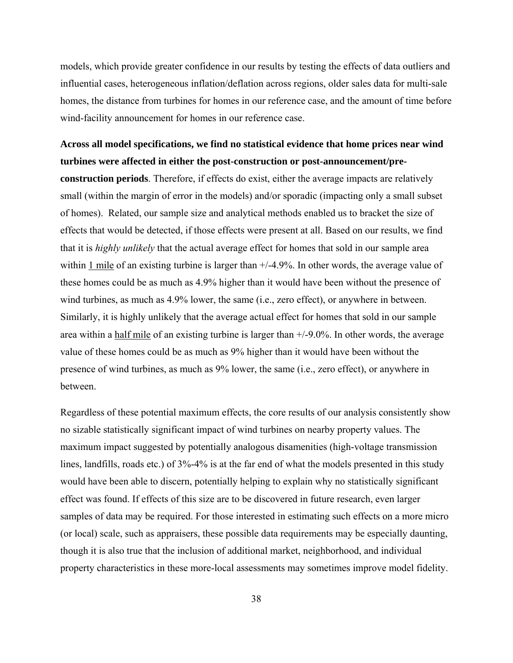models, which provide greater confidence in our results by testing the effects of data outliers and influential cases, heterogeneous inflation/deflation across regions, older sales data for multi-sale homes, the distance from turbines for homes in our reference case, and the amount of time before wind-facility announcement for homes in our reference case.

**Across all model specifications, we find no statistical evidence that home prices near wind turbines were affected in either the post-construction or post-announcement/preconstruction periods**. Therefore, if effects do exist, either the average impacts are relatively small (within the margin of error in the models) and/or sporadic (impacting only a small subset of homes). Related, our sample size and analytical methods enabled us to bracket the size of effects that would be detected, if those effects were present at all. Based on our results, we find that it is *highly unlikely* that the actual average effect for homes that sold in our sample area within 1 mile of an existing turbine is larger than  $+/4.9\%$ . In other words, the average value of these homes could be as much as 4.9% higher than it would have been without the presence of wind turbines, as much as 4.9% lower, the same (i.e., zero effect), or anywhere in between. Similarly, it is highly unlikely that the average actual effect for homes that sold in our sample area within a half mile of an existing turbine is larger than +/-9.0%. In other words, the average value of these homes could be as much as 9% higher than it would have been without the presence of wind turbines, as much as 9% lower, the same (i.e., zero effect), or anywhere in between.

Regardless of these potential maximum effects, the core results of our analysis consistently show no sizable statistically significant impact of wind turbines on nearby property values. The maximum impact suggested by potentially analogous disamenities (high-voltage transmission lines, landfills, roads etc.) of 3%-4% is at the far end of what the models presented in this study would have been able to discern, potentially helping to explain why no statistically significant effect was found. If effects of this size are to be discovered in future research, even larger samples of data may be required. For those interested in estimating such effects on a more micro (or local) scale, such as appraisers, these possible data requirements may be especially daunting, though it is also true that the inclusion of additional market, neighborhood, and individual property characteristics in these more-local assessments may sometimes improve model fidelity.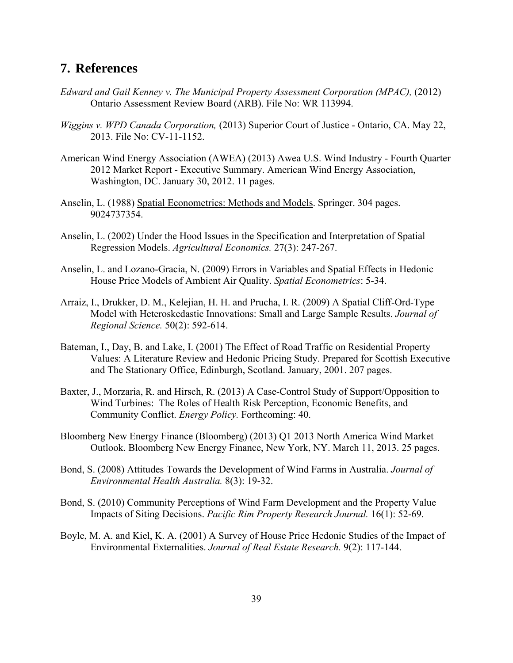# **7. References**

- *Edward and Gail Kenney v. The Municipal Property Assessment Corporation (MPAC),* (2012) Ontario Assessment Review Board (ARB). File No: WR 113994.
- *Wiggins v. WPD Canada Corporation,* (2013) Superior Court of Justice Ontario, CA. May 22, 2013. File No: CV-11-1152.
- American Wind Energy Association (AWEA) (2013) Awea U.S. Wind Industry Fourth Quarter 2012 Market Report - Executive Summary. American Wind Energy Association, Washington, DC. January 30, 2012. 11 pages.
- Anselin, L. (1988) Spatial Econometrics: Methods and Models. Springer. 304 pages. 9024737354.
- Anselin, L. (2002) Under the Hood Issues in the Specification and Interpretation of Spatial Regression Models. *Agricultural Economics.* 27(3): 247-267.
- Anselin, L. and Lozano-Gracia, N. (2009) Errors in Variables and Spatial Effects in Hedonic House Price Models of Ambient Air Quality. *Spatial Econometrics*: 5-34.
- Arraiz, I., Drukker, D. M., Kelejian, H. H. and Prucha, I. R. (2009) A Spatial Cliff-Ord-Type Model with Heteroskedastic Innovations: Small and Large Sample Results. *Journal of Regional Science.* 50(2): 592-614.
- Bateman, I., Day, B. and Lake, I. (2001) The Effect of Road Traffic on Residential Property Values: A Literature Review and Hedonic Pricing Study. Prepared for Scottish Executive and The Stationary Office, Edinburgh, Scotland. January, 2001. 207 pages.
- Baxter, J., Morzaria, R. and Hirsch, R. (2013) A Case-Control Study of Support/Opposition to Wind Turbines: The Roles of Health Risk Perception, Economic Benefits, and Community Conflict. *Energy Policy.* Forthcoming: 40.
- Bloomberg New Energy Finance (Bloomberg) (2013) Q1 2013 North America Wind Market Outlook. Bloomberg New Energy Finance, New York, NY. March 11, 2013. 25 pages.
- Bond, S. (2008) Attitudes Towards the Development of Wind Farms in Australia. *Journal of Environmental Health Australia.* 8(3): 19-32.
- Bond, S. (2010) Community Perceptions of Wind Farm Development and the Property Value Impacts of Siting Decisions. *Pacific Rim Property Research Journal.* 16(1): 52-69.
- Boyle, M. A. and Kiel, K. A. (2001) A Survey of House Price Hedonic Studies of the Impact of Environmental Externalities. *Journal of Real Estate Research.* 9(2): 117-144.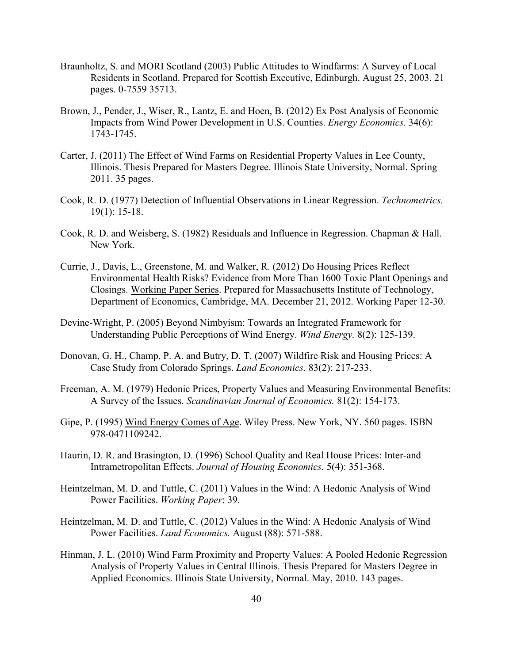- Braunholtz, S. and MORI Scotland (2003) Public Attitudes to Windfarms: A Survey of Local Residents in Scotland. Prepared for Scottish Executive, Edinburgh. August 25, 2003. 21 pages. 0-7559 35713.
- Brown, J., Pender, J., Wiser, R., Lantz, E. and Hoen, B. (2012) Ex Post Analysis of Economic Impacts from Wind Power Development in U.S. Counties. *Energy Economics.* 34(6): 1743-1745.
- Carter, J. (2011) The Effect of Wind Farms on Residential Property Values in Lee County, Illinois. Thesis Prepared for Masters Degree. Illinois State University, Normal. Spring 2011. 35 pages.
- Cook, R. D. (1977) Detection of Influential Observations in Linear Regression. *Technometrics.* 19(1): 15-18.
- Cook, R. D. and Weisberg, S. (1982) Residuals and Influence in Regression. Chapman & Hall. New York.
- Currie, J., Davis, L., Greenstone, M. and Walker, R. (2012) Do Housing Prices Reflect Environmental Health Risks? Evidence from More Than 1600 Toxic Plant Openings and Closings. Working Paper Series. Prepared for Massachusetts Institute of Technology, Department of Economics, Cambridge, MA. December 21, 2012. Working Paper 12-30.
- Devine-Wright, P. (2005) Beyond Nimbyism: Towards an Integrated Framework for Understanding Public Perceptions of Wind Energy. *Wind Energy.* 8(2): 125-139.
- Donovan, G. H., Champ, P. A. and Butry, D. T. (2007) Wildfire Risk and Housing Prices: A Case Study from Colorado Springs. *Land Economics.* 83(2): 217-233.
- Freeman, A. M. (1979) Hedonic Prices, Property Values and Measuring Environmental Benefits: A Survey of the Issues. *Scandinavian Journal of Economics.* 81(2): 154-173.
- Gipe, P. (1995) Wind Energy Comes of Age. Wiley Press. New York, NY. 560 pages. ISBN 978-0471109242.
- Haurin, D. R. and Brasington, D. (1996) School Quality and Real House Prices: Inter-and Intrametropolitan Effects. *Journal of Housing Economics.* 5(4): 351-368.
- Heintzelman, M. D. and Tuttle, C. (2011) Values in the Wind: A Hedonic Analysis of Wind Power Facilities. *Working Paper*: 39.
- Heintzelman, M. D. and Tuttle, C. (2012) Values in the Wind: A Hedonic Analysis of Wind Power Facilities. *Land Economics.* August (88): 571-588.
- Hinman, J. L. (2010) Wind Farm Proximity and Property Values: A Pooled Hedonic Regression Analysis of Property Values in Central Illinois. Thesis Prepared for Masters Degree in Applied Economics. Illinois State University, Normal. May, 2010. 143 pages.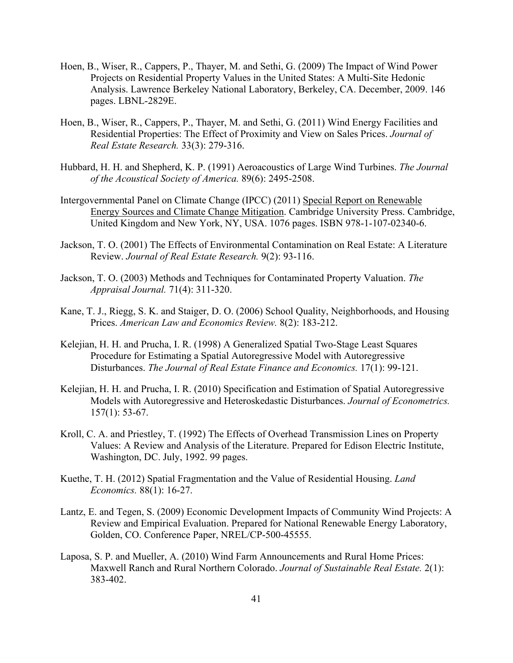- Hoen, B., Wiser, R., Cappers, P., Thayer, M. and Sethi, G. (2009) The Impact of Wind Power Projects on Residential Property Values in the United States: A Multi-Site Hedonic Analysis. Lawrence Berkeley National Laboratory, Berkeley, CA. December, 2009. 146 pages. LBNL-2829E.
- Hoen, B., Wiser, R., Cappers, P., Thayer, M. and Sethi, G. (2011) Wind Energy Facilities and Residential Properties: The Effect of Proximity and View on Sales Prices. *Journal of Real Estate Research.* 33(3): 279-316.
- Hubbard, H. H. and Shepherd, K. P. (1991) Aeroacoustics of Large Wind Turbines. *The Journal of the Acoustical Society of America.* 89(6): 2495-2508.
- Intergovernmental Panel on Climate Change (IPCC) (2011) Special Report on Renewable Energy Sources and Climate Change Mitigation. Cambridge University Press. Cambridge, United Kingdom and New York, NY, USA. 1076 pages. ISBN 978-1-107-02340-6.
- Jackson, T. O. (2001) The Effects of Environmental Contamination on Real Estate: A Literature Review. *Journal of Real Estate Research.* 9(2): 93-116.
- Jackson, T. O. (2003) Methods and Techniques for Contaminated Property Valuation. *The Appraisal Journal.* 71(4): 311-320.
- Kane, T. J., Riegg, S. K. and Staiger, D. O. (2006) School Quality, Neighborhoods, and Housing Prices. *American Law and Economics Review.* 8(2): 183-212.
- Kelejian, H. H. and Prucha, I. R. (1998) A Generalized Spatial Two-Stage Least Squares Procedure for Estimating a Spatial Autoregressive Model with Autoregressive Disturbances. *The Journal of Real Estate Finance and Economics.* 17(1): 99-121.
- Kelejian, H. H. and Prucha, I. R. (2010) Specification and Estimation of Spatial Autoregressive Models with Autoregressive and Heteroskedastic Disturbances. *Journal of Econometrics.* 157(1): 53-67.
- Kroll, C. A. and Priestley, T. (1992) The Effects of Overhead Transmission Lines on Property Values: A Review and Analysis of the Literature. Prepared for Edison Electric Institute, Washington, DC. July, 1992. 99 pages.
- Kuethe, T. H. (2012) Spatial Fragmentation and the Value of Residential Housing. *Land Economics.* 88(1): 16-27.
- Lantz, E. and Tegen, S. (2009) Economic Development Impacts of Community Wind Projects: A Review and Empirical Evaluation. Prepared for National Renewable Energy Laboratory, Golden, CO. Conference Paper, NREL/CP-500-45555.
- Laposa, S. P. and Mueller, A. (2010) Wind Farm Announcements and Rural Home Prices: Maxwell Ranch and Rural Northern Colorado. *Journal of Sustainable Real Estate.* 2(1): 383-402.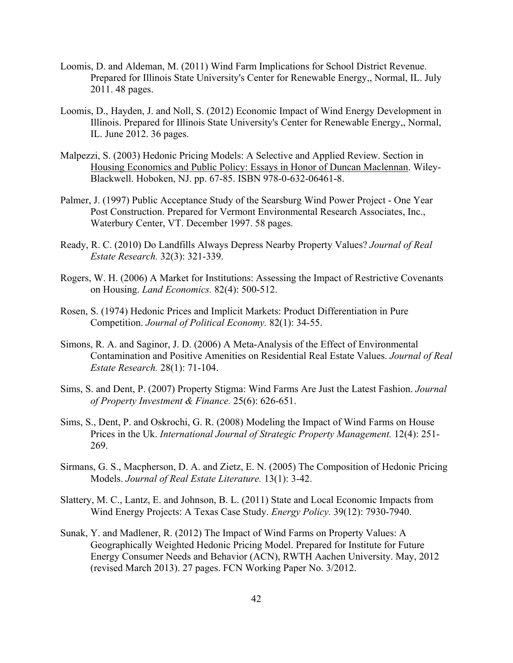- Loomis, D. and Aldeman, M. (2011) Wind Farm Implications for School District Revenue. Prepared for Illinois State University's Center for Renewable Energy,, Normal, IL. July 2011. 48 pages.
- Loomis, D., Hayden, J. and Noll, S. (2012) Economic Impact of Wind Energy Development in Illinois. Prepared for Illinois State University's Center for Renewable Energy,, Normal, IL. June 2012. 36 pages.
- Malpezzi, S. (2003) Hedonic Pricing Models: A Selective and Applied Review. Section in Housing Economics and Public Policy: Essays in Honor of Duncan Maclennan. Wiley-Blackwell. Hoboken, NJ. pp. 67-85. ISBN 978-0-632-06461-8.
- Palmer, J. (1997) Public Acceptance Study of the Searsburg Wind Power Project One Year Post Construction. Prepared for Vermont Environmental Research Associates, Inc., Waterbury Center, VT. December 1997. 58 pages.
- Ready, R. C. (2010) Do Landfills Always Depress Nearby Property Values? *Journal of Real Estate Research.* 32(3): 321-339.
- Rogers, W. H. (2006) A Market for Institutions: Assessing the Impact of Restrictive Covenants on Housing. *Land Economics.* 82(4): 500-512.
- Rosen, S. (1974) Hedonic Prices and Implicit Markets: Product Differentiation in Pure Competition. *Journal of Political Economy.* 82(1): 34-55.
- Simons, R. A. and Saginor, J. D. (2006) A Meta-Analysis of the Effect of Environmental Contamination and Positive Amenities on Residential Real Estate Values. *Journal of Real Estate Research.* 28(1): 71-104.
- Sims, S. and Dent, P. (2007) Property Stigma: Wind Farms Are Just the Latest Fashion. *Journal of Property Investment & Finance.* 25(6): 626-651.
- Sims, S., Dent, P. and Oskrochi, G. R. (2008) Modeling the Impact of Wind Farms on House Prices in the Uk. *International Journal of Strategic Property Management.* 12(4): 251- 269.
- Sirmans, G. S., Macpherson, D. A. and Zietz, E. N. (2005) The Composition of Hedonic Pricing Models. *Journal of Real Estate Literature.* 13(1): 3-42.
- Slattery, M. C., Lantz, E. and Johnson, B. L. (2011) State and Local Economic Impacts from Wind Energy Projects: A Texas Case Study. *Energy Policy.* 39(12): 7930-7940.
- Sunak, Y. and Madlener, R. (2012) The Impact of Wind Farms on Property Values: A Geographically Weighted Hedonic Pricing Model. Prepared for Institute for Future Energy Consumer Needs and Behavior (ACN), RWTH Aachen University. May, 2012 (revised March 2013). 27 pages. FCN Working Paper No. 3/2012.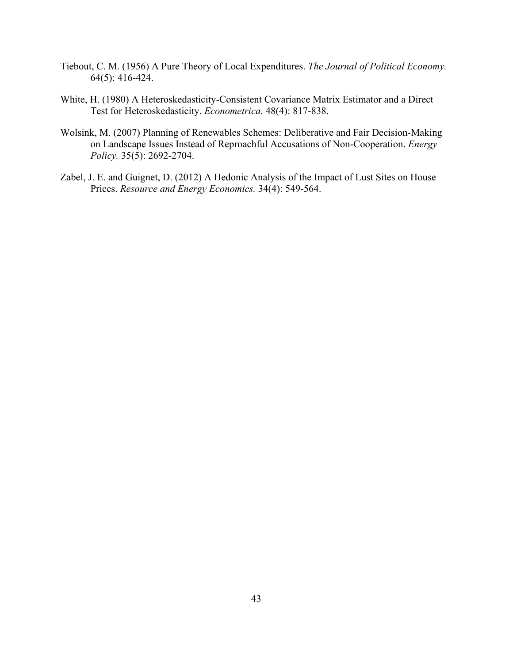- Tiebout, C. M. (1956) A Pure Theory of Local Expenditures. *The Journal of Political Economy.* 64(5): 416-424.
- White, H. (1980) A Heteroskedasticity-Consistent Covariance Matrix Estimator and a Direct Test for Heteroskedasticity. *Econometrica.* 48(4): 817-838.
- Wolsink, M. (2007) Planning of Renewables Schemes: Deliberative and Fair Decision-Making on Landscape Issues Instead of Reproachful Accusations of Non-Cooperation. *Energy Policy.* 35(5): 2692-2704.
- Zabel, J. E. and Guignet, D. (2012) A Hedonic Analysis of the Impact of Lust Sites on House Prices. *Resource and Energy Economics.* 34(4): 549-564.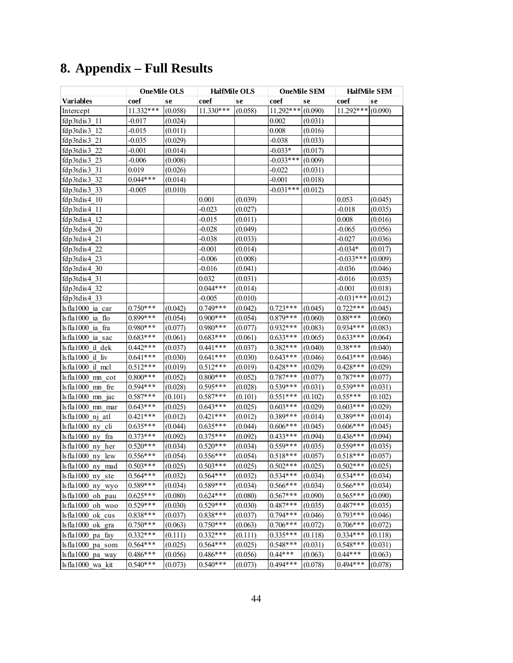|                               | <b>OneMile OLS</b> |         | <b>HalfMile OLS</b> |         |                    | <b>OneMile SEM</b> |             | <b>HalfMile SEM</b> |
|-------------------------------|--------------------|---------|---------------------|---------|--------------------|--------------------|-------------|---------------------|
| <b>Variables</b>              | coef               | se      | coef                | se      | coef               | se                 | coef        | se                  |
| Intercept                     | 11.332***          | (0.058) | $11.330***$         | (0.058) | $11.292***(0.090)$ |                    | $11.292***$ | (0.090)             |
| fdp3tdis3 11                  | $-0.017$           | (0.024) |                     |         | 0.002              | (0.031)            |             |                     |
| $fdp3tdis3_12$                | -0.015             | (0.011) |                     |         | 0.008              | (0.016)            |             |                     |
| fdp3tdis3 21                  | $-0.035$           | (0.029) |                     |         | $-0.038$           | (0.033)            |             |                     |
| $fdp3tdis3_22$                | $-0.001$           | (0.014) |                     |         | $-0.033*$          | (0.017)            |             |                     |
| fdp3tdis3 23                  | $-0.006$           | (0.008) |                     |         | $-0.033***$        | (0.009)            |             |                     |
| fdp3tdis3 31                  | 0.019              | (0.026) |                     |         | $-0.022$           | (0.031)            |             |                     |
| fdp3tdis3 32                  | $0.044***$         | (0.014) |                     |         | -0.001             | (0.018)            |             |                     |
| fdp3tdis3 33                  | $-0.005$           | (0.010) |                     |         | $-0.031***$        | (0.012)            |             |                     |
| fdp3tdis4 10                  |                    |         | 0.001               | (0.039) |                    |                    | 0.053       | (0.045)             |
| fdp3tdis4 11                  |                    |         | $-0.023$            | (0.027) |                    |                    | $-0.018$    | (0.035)             |
| fdp3tdis4 12                  |                    |         | $-0.015$            | (0.011) |                    |                    | 0.008       | (0.016)             |
| fdp3tdis4 20                  |                    |         | $-0.028$            | (0.049) |                    |                    | $-0.065$    | (0.056)             |
| fdp3tdis4 21                  |                    |         | $-0.038$            | (0.033) |                    |                    | $-0.027$    | (0.036)             |
| fdp3tdis4 22                  |                    |         | $-0.001$            | (0.014) |                    |                    | $-0.034*$   | (0.017)             |
| fdp3tdis4 23                  |                    |         | $-0.006$            | (0.008) |                    |                    | $-0.033***$ | (0.009)             |
| fdp3tdis4 30                  |                    |         | $-0.016$            | (0.041) |                    |                    | -0.036      | (0.046)             |
| fdp3tdis4 31                  |                    |         | 0.032               | (0.031) |                    |                    | -0.016      | (0.035)             |
| fdp3tdis4 32                  |                    |         | $0.044***$          | (0.014) |                    |                    | -0.001      | (0.018)             |
| fdp3tdis4 33                  |                    |         | $-0.005$            | (0.010) |                    |                    | $-0.031***$ | (0.012)             |
| lsfla1000 ia car              | $0.750***$         | (0.042) | $0.749***$          | (0.042) | $0.723***$         | (0.045)            | $0.722***$  | (0.045)             |
| lsfla1000 ia flo              | 0.899***           | (0.054) | $0.900***$          | (0.054) | $0.879***$         | (0.060)            | $0.88***$   | (0.060)             |
| lsfla1000 ia fra              | $0.980***$         | (0.077) | 0.980***            | (0.077) | $0.932***$         | (0.083)            | $0.934***$  | (0.083)             |
| $lsfla1000$ ia sac            | $0.683***$         | (0.061) | $0.683***$          | (0.061) | $0.633***$         | (0.065)            | $0.633***$  | (0.064)             |
| lsfla1000 il dek              | $0.442***$         | (0.037) | $0.441***$          | (0.037) | $0.382***$         | (0.040)            | $0.38***$   | (0.040)             |
| $lsfla1000$ il liv            | $0.641***$         | (0.030) | $0.641***$          | (0.030) | $0.643***$         | (0.046)            | $0.643***$  | (0.046)             |
| lsfla1000 il mcl              | $0.512***$         | (0.019) | $0.512***$          | (0.019) | $0.428***$         | (0.029)            | $0.428***$  | (0.029)             |
| lsfla1000 mn cot              | $0.800***$         | (0.052) | $0.800***$          | (0.052) | $0.787***$         | (0.077)            | $0.787***$  | (0.077)             |
| lsfla1000 mn fre              | $0.594***$         | (0.028) | $0.595***$          | (0.028) | $0.539***$         | (0.031)            | $0.539***$  | (0.031)             |
| lsfla1000 mn jac              | $0.587***$         | (0.101) | $0.587***$          | (0.101) | $0.551***$         | (0.102)            | $0.55***$   | (0.102)             |
| lsfla1000 mn mar              | $0.643***$         | (0.025) | $0.643***$          | (0.025) | $0.603***$         | (0.029)            | $0.603***$  | (0.029)             |
| lsfla1000 nj atl              | $0.421***$         | (0.012) | $0.421***$          | (0.012) | $0.389***$         | (0.014)            | $0.389***$  | (0.014)             |
| lsfla1000 ny cli              | $0.635***$         | (0.044) | $0.635***$          | (0.044) | $0.606***$         | (0.045)            | $0.606***$  | (0.045)             |
| lsfla1000 ny fra              | $0.373***$         | (0.092) | $0.375***$          | (0.092) | $0.433***$         | (0.094)            | $0.436***$  | (0.094)             |
| lsfla1000 ny her              | $0.520***$         | (0.034) | $0.520***$          | (0.034) | $0.559***$         | (0.035)            | $0.559***$  | (0.035)             |
| lsfla1000 ny lew              | $0.556***$         | (0.054) | $0.556***$          | (0.054) | $0.518***$         | (0.057)            | $0.518***$  | (0.057)             |
| Isfla1000 ny mad              | $0.503***$         | (0.025) | $0.503***$          | (0.025) | $0.502***$         | (0.025)            | $0.502***$  | (0.025)             |
| lsfla1000 ny ste              | $0.564***$         | (0.032) | $0.564***$          | (0.032) | $0.534***$         | (0.034)            | $0.534***$  | (0.034)             |
| lsfla1000_ny_wyo              | $0.589***$         | (0.034) | $0.589***$          | (0.034) | $0.566$ ***        | (0.034)            | $0.566***$  | (0.034)             |
| lsfla1000_oh_pau              | $0.625***$         | (0.080) | $0.624***$          | (0.080) | $0.567***$         | (0.090)            | $0.565***$  | (0.090)             |
| lsfla1000 oh woo              | $0.529***$         | (0.030) | $0.529***$          | (0.030) | $0.487***$         | (0.035)            | $0.487***$  | (0.035)             |
| lsfla1000_ok_cus              | $0.838***$         | (0.037) | $0.838***$          | (0.037) | $0.794***$         | (0.046)            | $0.793***$  | (0.046)             |
| lsfla1000_ok_gra              | $0.750***$         | (0.063) | $0.750***$          | (0.063) | $0.706***$         | (0.072)            | $0.706***$  | (0.072)             |
| $ls$ fla $1000$<br>_fay<br>pa | $0.332***$         | (0.111) | $0.332***$          | (0.111) | $0.335***$         | (0.118)            | $0.334***$  | (0.118)             |
| $\lg$ fla 1000<br>pa som      | $0.564***$         | (0.025) | $0.564***$          | (0.025) | $0.548***$         | (0.031)            | $0.548***$  | (0.031)             |
| lsfla1000_pa_way              | $0.486***$         | (0.056) | $0.486***$          | (0.056) | $0.44***$          | (0.063)            | $0.44***$   | (0.063)             |
| lsfla1000 wa kit              | $0.540***$         | (0.073) | $0.540***$          | (0.073) | $0.494***$         | (0.078)            | $0.494***$  | (0.078)             |

# **8. Appendix – Full Results**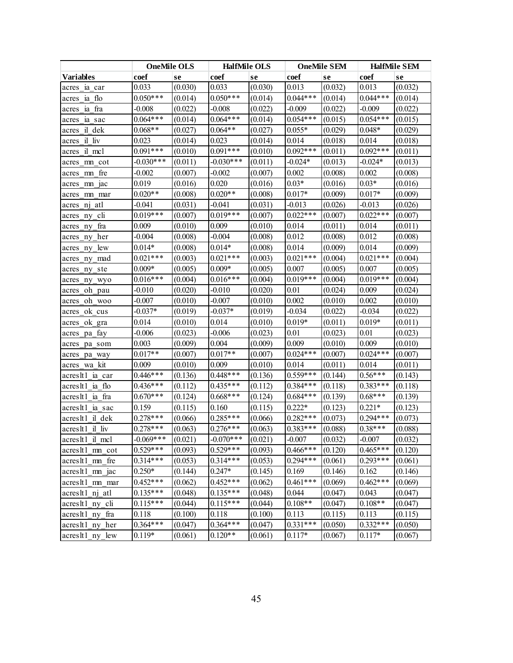|                                | <b>OneMile OLS</b> |         | <b>HalfMile OLS</b> |         |             | <b>OneMile SEM</b> |            | <b>HalfMile SEM</b> |
|--------------------------------|--------------------|---------|---------------------|---------|-------------|--------------------|------------|---------------------|
| <b>Variables</b>               | coef               | se      | coef                | se      | coef        | se                 | coef       | se                  |
| acres ia car                   | 0.033              | (0.030) | 0.033               | (0.030) | 0.013       | (0.032)            | 0.013      | (0.032)             |
| ia flo<br>acres                | $0.050***$         | (0.014) | $0.050***$          | (0.014) | $0.044***$  | (0.014)            | $0.044***$ | (0.014)             |
| ia fra<br>acres                | $-0.008$           | (0.022) | $-0.008$            | (0.022) | $-0.009$    | (0.022)            | $-0.009$   | (0.022)             |
| ia sac<br>acres                | $0.064***$         | (0.014) | $0.064***$          | (0.014) | $0.054***$  | (0.015)            | $0.054***$ | (0.015)             |
| acres il dek                   | $0.068**$          | (0.027) | $0.064**$           | (0.027) | $0.055*$    | (0.029)            | $0.048*$   | (0.029)             |
| acres il liv                   | 0.023              | (0.014) | 0.023               | (0.014) | 0.014       | (0.018)            | 0.014      | (0.018)             |
| il mel<br>acres                | $0.091***$         | (0.010) | $0.091***$          | (0.010) | $0.092***$  | (0.011)            | $0.092***$ | (0.011)             |
| mn cot<br>acres                | $-0.030***$        | (0.011) | $-0.030***$         | (0.011) | $-0.024*$   | (0.013)            | $-0.024*$  | (0.013)             |
| fre<br>acres<br>mn             | $-0.002$           | (0.007) | $-0.002$            | (0.007) | 0.002       | (0.008)            | 0.002      | (0.008)             |
| jac<br>mn<br>acres             | 0.019              | (0.016) | 0.020               | (0.016) | $0.03*$     | (0.016)            | $0.03*$    | (0.016)             |
| mn mar<br>acres                | $0.020**$          | (0.008) | $0.020**$           | (0.008) | $0.017*$    | (0.009)            | $0.017*$   | (0.009)             |
| acres n <sub>1</sub> atl       | $-0.041$           | (0.031) | $-0.041$            | (0.031) | $-0.013$    | (0.026)            | $-0.013$   | (0.026)             |
| ny cli<br>acres                | $0.019***$         | (0.007) | $0.019***$          | (0.007) | $0.022***$  | (0.007)            | $0.022***$ | (0.007)             |
| acres ny fra                   | 0.009              | (0.010) | 0.009               | (0.010) | 0.014       | (0.011)            | 0.014      | (0.011)             |
| her<br>acres<br>ny             | $-0.004$           | (0.008) | $-0.004$            | (0.008) | 0.012       | (0.008)            | 0.012      | (0.008)             |
| lew<br>acres<br>ny             | $0.014*$           | (0.008) | $0.014*$            | (0.008) | 0.014       | (0.009)            | 0.014      | (0.009)             |
| ny mad<br>acres                | $0.021***$         | (0.003) | $0.021***$          | (0.003) | $0.021***$  | (0.004)            | $0.021***$ | (0.004)             |
| acres ny ste                   | $0.009*$           | (0.005) | $0.009*$            | (0.005) | 0.007       | (0.005)            | 0.007      | (0.005)             |
| ny wyo<br>acres                | $0.016***$         | (0.004) | $0.016***$          | (0.004) | $0.019***$  | (0.004)            | $0.019***$ | (0.004)             |
| acres_oh_pau                   | $-0.010$           | (0.020) | $-0.010$            | (0.020) | 0.01        | (0.024)            | 0.009      | (0.024)             |
| oh woo<br>acres                | $-0.007$           | (0.010) | $-0.007$            | (0.010) | 0.002       | (0.010)            | 0.002      | (0.010)             |
| ok cus<br>acres                | $-0.037*$          | (0.019) | $-0.037*$           | (0.019) | $-0.034$    | (0.022)            | $-0.034$   | (0.022)             |
| ok gra<br>acres                | 0.014              | (0.010) | 0.014               | (0.010) | $0.019*$    | (0.011)            | $0.019*$   | (0.011)             |
| pa fay<br>acres                | $-0.006$           | (0.023) | $-0.006$            | (0.023) | 0.01        | (0.023)            | 0.01       | (0.023)             |
| pa som<br>acres                | 0.003              | (0.009) | 0.004               | (0.009) | 0.009       | (0.010)            | 0.009      | (0.010)             |
| pa way<br>acres                | $0.017**$          | (0.007) | $0.017**$           | (0.007) | $0.024***$  | (0.007)            | $0.024***$ | (0.007)             |
| kit<br>acres wa                | 0.009              | (0.010) | 0.009               | (0.010) | 0.014       | (0.011)            | 0.014      | (0.011)             |
| acresti a car                  | $0.446***$         | (0.136) | $0.448***$          | (0.136) | $0.559***$  | (0.144)            | $0.56***$  | (0.143)             |
| ia flo<br>acres <sub>It1</sub> | $0.436***$         | (0.112) | $0.435***$          | (0.112) | $0.384***$  | (0.118)            | $0.383***$ | (0.118)             |
| acresht1 ia fra                | $0.670***$         | (0.124) | $0.668***$          | (0.124) | $0.684***$  | (0.139)            | $0.68***$  | (0.139)             |
| acresht1 ia sac                | 0.159              | (0.115) | 0.160               | (0.115) | $0.222*$    | (0.123)            | $0.221*$   | (0.123)             |
| acresht1 il dek                | $0.278***$         | (0.066) | $0.285***$          | (0.066) | $0.282***$  | (0.073)            | $0.294***$ | (0.073)             |
| acresht1 il liv                | $0.278***$         | (0.063) | $0.276***$          | (0.063) | $0.383***$  | (0.088)            | $0.38***$  | (0.088)             |
| acres <sub>it</sub> if mel     | $-0.069***$        | (0.021) | $-0.070$ ***        | (0.021) | $-0.007$    | (0.032)            | $-0.007$   | (0.032)             |
| acrest <sub>1</sub> m cot      | $0.529***$         | (0.093) | $0.529***$          | (0.093) | $0.466$ *** | (0.120)            | $0.465***$ | (0.120)             |
| acresht1 mn fre                | $0.314***$         | (0.053) | $0.314***$          | (0.053) | $0.294***$  | (0.061)            | $0.293***$ | (0.061)             |
| acres <sub>lt1</sub> mn<br>jac | $0.250*$           | (0.144) | $0.247*$            | (0.145) | 0.169       | (0.146)            | 0.162      | (0.146)             |
| acresht1 mn mar                | $0.452***$         | (0.062) | $0.452***$          | (0.062) | $0.461***$  | (0.069)            | $0.462***$ | (0.069)             |
| acresht1 nj atl                | $0.135***$         | (0.048) | $0.135***$          | (0.048) | 0.044       | (0.047)            | 0.043      | (0.047)             |
| acresht1 ny cli                | $0.115***$         | (0.044) | $0.115***$          | (0.044) | $0.108**$   | (0.047)            | $0.108**$  | (0.047)             |
| fra<br>acresht1 ny             | 0.118              | (0.100) | 0.118               | (0.100) | 0.113       | (0.115)            | 0.113      | (0.115)             |
| acresht1 ny her                | $0.364***$         | (0.047) | $0.364***$          | (0.047) | $0.331***$  | (0.050)            | $0.332***$ | (0.050)             |
| acresht1 ny lew                | $0.119*$           | (0.061) | $0.120**$           | (0.061) | $0.117*$    | (0.067)            | $0.117*$   | (0.067)             |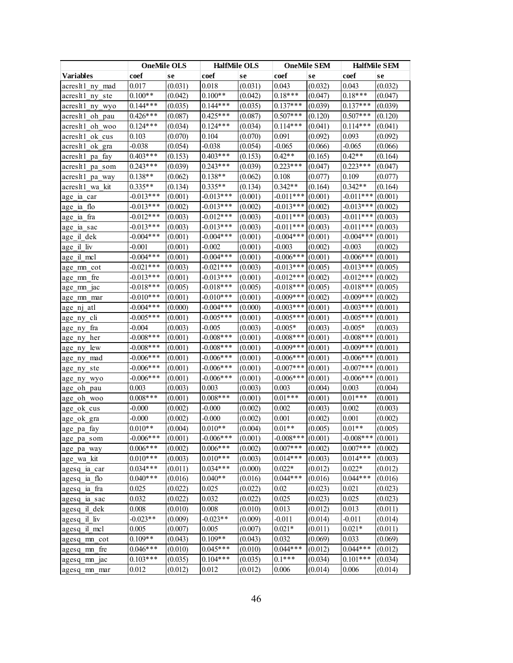|                                   | <b>OneMile OLS</b> |         | <b>HalfMile OLS</b><br><b>OneMile SEM</b> |         |              | <b>HalfMile SEM</b> |              |         |
|-----------------------------------|--------------------|---------|-------------------------------------------|---------|--------------|---------------------|--------------|---------|
| <b>Variables</b>                  | coef               | se      | coef                                      | se      | coef         | se                  | coef         | se      |
| acresht1 ny mad                   | 0.017              | (0.031) | 0.018                                     | (0.031) | 0.043        | (0.032)             | 0.043        | (0.032) |
| acresht ny ste                    | $0.100**$          | (0.042) | $0.100**$                                 | (0.042) | $0.18***$    | (0.047)             | $0.18***$    | (0.047) |
| acreshel ny wyo                   | $0.144***$         | (0.035) | $0.144***$                                | (0.035) | $0.137***$   | (0.039)             | $0.137***$   | (0.039) |
| acres <sub>lt1</sub><br>oh<br>pau | $0.426***$         | (0.087) | $0.425***$                                | (0.087) | $0.507***$   | (0.120)             | $0.507***$   | (0.120) |
| acreshtl<br>oh woo                | $0.124***$         | (0.034) | $0.124***$                                | (0.034) | $0.114***$   | (0.041)             | $0.114***$   | (0.041) |
| acreshtl<br>ok cus                | 0.103              | (0.070) | 0.104                                     | (0.070) | 0.091        | (0.092)             | 0.093        | (0.092) |
| $\arcsin 1$<br>ok gra             | -0.038             | (0.054) | -0.038                                    | (0.054) | $-0.065$     | (0.066)             | $-0.065$     | (0.066) |
| acres <sub>lt1</sub><br>pa fay    | $0.403***$         | (0.153) | $0.403***$                                | (0.153) | $0.42**$     | (0.165)             | $0.42**$     | (0.164) |
| acres <sub>lt1</sub><br>pa som    | $0.243***$         | (0.039) | $0.243***$                                | (0.039) | $0.223***$   | (0.047)             | $0.223***$   | (0.047) |
| acres <sub>lt1</sub><br>pa way    | $0.138**$          | (0.062) | $0.138**$                                 | (0.062) | 0.108        | (0.077)             | 0.109        | (0.077) |
| acresht1 wa kit                   | $0.335**$          | (0.134) | $0.335**$                                 | (0.134) | $0.342**$    | (0.164)             | $0.342**$    | (0.164) |
| age ia car                        | $-0.013***$        | (0.001) | $-0.013***$                               | (0.001) | $-0.011***$  | (0.001)             | $-0.011***$  | (0.001) |
| flo<br>age ia                     | $-0.013***$        | (0.002) | $-0.013***$                               | (0.002) | $-0.013***$  | (0.002)             | $-0.013***$  | (0.002) |
| fra<br>age ia                     | $-0.012***$        | (0.003) | $-0.012***$                               | (0.003) | $-0.011***$  | (0.003)             | $-0.011***$  | (0.003) |
| age_ia sac                        | $-0.013***$        | (0.003) | $-0.013***$                               | (0.003) | $-0.011***$  | (0.003)             | $-0.011***$  | (0.003) |
| age il dek                        | $-0.004***$        | (0.001) | $-0.004***$                               | (0.001) | $-0.004***$  | (0.001)             | -0.004***    | (0.001) |
| age il liv                        | $-0.001$           | (0.001) | $-0.002$                                  | (0.001) | -0.003       | (0.002)             | $-0.003$     | (0.002) |
| age il mel                        | $-0.004***$        | (0.001) | $-0.004***$                               | (0.001) | $-0.006***$  | (0.001)             | $-0.006***$  | (0.001) |
| age_mn cot                        | $-0.021***$        | (0.003) | $-0.021***$                               | (0.003) | $-0.013***$  | (0.005)             | $-0.013***$  | (0.005) |
| fre<br>age mn                     | $-0.013***$        | (0.001) | $-0.013***$                               | (0.001) | $-0.012***$  | (0.002)             | $-0.012***$  | (0.002) |
| age mn<br><sub>1</sub> ac         | $-0.018***$        | (0.005) | $-0.018***$                               | (0.005) | $-0.018***$  | (0.005)             | $-0.018***$  | (0.005) |
| age_mn mar                        | $-0.010***$        | (0.001) | $-0.010***$                               | (0.001) | $-0.009***$  | (0.002)             | $-0.009$ *** | (0.002) |
| age_nj atl                        | $-0.004***$        | (0.000) | $-0.004***$                               | (0.000) | $-0.003***$  | (0.001)             | $-0.003***$  | (0.001) |
| age_ny cli                        | $-0.005***$        | (0.001) | $-0.005***$                               | (0.001) | $-0.005***$  | (0.001)             | $-0.005***$  | (0.001) |
| fra<br>age ny                     | -0.004             | (0.003) | $-0.005$                                  | (0.003) | $-0.005*$    | (0.003)             | $-0.005*$    | (0.003) |
| age_ny her                        | $-0.008$ ***       | (0.001) | $-0.008$ ***                              | (0.001) | $-0.008***$  | (0.001)             | $-0.008$ *** | (0.001) |
| lew<br>age ny                     | $-0.008$ ***       | (0.001) | $-0.008$ ***                              | (0.001) | $-0.009***$  | (0.001)             | $-0.009$ *** | (0.001) |
| age ny mad                        | $-0.006$ ***       | (0.001) | $-0.006$ ***                              | (0.001) | $-0.006***$  | (0.001)             | $-0.006$ *** | (0.001) |
| age_ny_ste                        | $-0.006$ ***       | (0.001) | $-0.006$ ***                              | (0.001) | $-0.007$ *** | (0.001)             | $-0.007$ *** | (0.001) |
| age ny wyo                        | $-0.006$ ***       | (0.001) | $-0.006***$                               | (0.001) | $-0.006***$  | (0.001)             | $-0.006***$  | (0.001) |
| age oh pau                        | 0.003              | (0.003) | 0.003                                     | (0.003) | 0.003        | (0.004)             | 0.003        | (0.004) |
| age oh woo                        | $0.008***$         | (0.001) | $0.008***$                                | (0.001) | $0.01***$    | (0.001)             | $0.01***$    | (0.001) |
| age ok cus                        | $-0.000$           | (0.002) | $-0.000$                                  | (0.002) | 0.002        | (0.003)             | 0.002        | (0.003) |
| age_ok_gra                        | $-0.000$           | (0.002) | $-0.000$                                  | (0.002) | 0.001        | (0.002)             | 0.001        | (0.002) |
| age_pa_fay                        | $0.010**$          | (0.004) | $0.010**$                                 | (0.004) | $0.01**$     | (0.005)             | $0.01**$     | (0.005) |
| age_pa_som                        | $-0.006$ ***       | (0.001) | $-0.006$ ***                              | (0.001) | $-0.008$ *** | (0.001)             | $-0.008$ *** | (0.001) |
| age_pa_way                        | $0.006***$         | (0.002) | $0.006***$                                | (0.002) | $0.007***$   | (0.002)             | $0.007$ ***  | (0.002) |
| age_wa_kit                        | $0.010***$         | (0.003) | $0.010***$                                | (0.003) | $0.014***$   | (0.003)             | $0.014***$   | (0.003) |
| agesq_ia_car                      | $0.034***$         | (0.011) | $0.034***$                                | (0.000) | $0.022*$     | (0.012)             | $0.022*$     | (0.012) |
| agesq ia flo                      | $0.040***$         | (0.016) | $0.040**$                                 | (0.016) | $0.044***$   | (0.016)             | $0.044***$   | (0.016) |
| agesq ia fra                      | 0.025              | (0.022) | 0.025                                     | (0.022) | 0.02         | (0.023)             | 0.021        | (0.023) |
| agesq ia sac                      | 0.032              | (0.022) | 0.032                                     | (0.022) | 0.025        | (0.023)             | 0.025        | (0.023) |
| agesq il dek                      | 0.008              | (0.010) | 0.008                                     | (0.010) | 0.013        | (0.012)             | 0.013        | (0.011) |
| agesq il liv                      | $-0.023**$         | (0.009) | $-0.023**$                                | (0.009) | $-0.011$     | (0.014)             | $-0.011$     | (0.014) |
| agesq_il_mcl                      | 0.005              | (0.007) | 0.005                                     | (0.007) | $0.021*$     | (0.011)             | $0.021*$     | (0.011) |
| agesq_mn_cot                      | $0.109**$          | (0.043) | $0.109**$                                 | (0.043) | 0.032        | (0.069)             | 0.033        | (0.069) |
| agesq_mn_fre                      | $0.046***$         | (0.010) | $0.045***$                                | (0.010) | $0.044***$   | (0.012)             | $0.044***$   | (0.012) |
| jac<br>agesq mn                   | $0.103***$         | (0.035) | $0.104***$                                | (0.035) | $0.1***$     | (0.034)             | $0.101***$   | (0.034) |
| agesq_mn_mar                      | 0.012              | (0.012) | 0.012                                     | (0.012) | 0.006        | (0.014)             | 0.006        | (0.014) |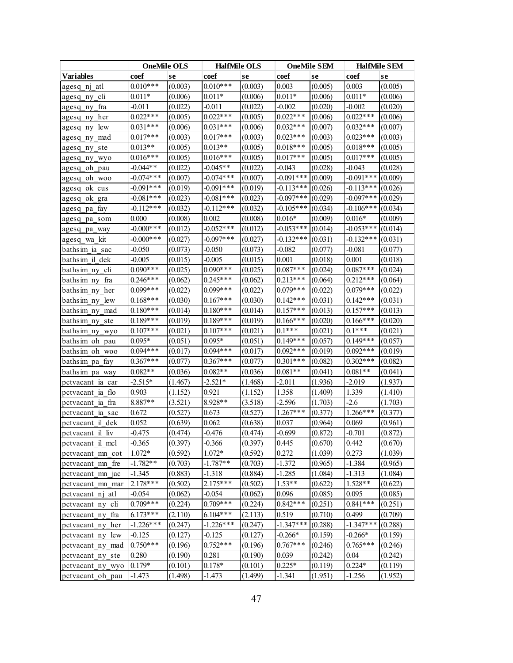|                     | <b>OneMile OLS</b> |         | <b>HalfMile OLS</b><br><b>OneMile SEM</b> |         |             |         | <b>HalfMile SEM</b> |         |
|---------------------|--------------------|---------|-------------------------------------------|---------|-------------|---------|---------------------|---------|
| <b>Variables</b>    | coef               | se      | coef                                      | se      | coef        | se      | coef                | se      |
| agesq_nj_atl        | $0.010***$         | (0.003) | $0.010***$                                | (0.003) | 0.003       | (0.005) | 0.003               | (0.005) |
| agesq_ny_cli        | $0.011*$           | (0.006) | $0.011*$                                  | (0.006) | $0.011*$    | (0.006) | $0.011*$            | (0.006) |
| fra<br>agesq_ny     | -0.011             | (0.022) | $-0.011$                                  | (0.022) | $-0.002$    | (0.020) | -0.002              | (0.020) |
| her<br>agesq_ny     | $0.022***$         | (0.005) | $0.022***$                                | (0.005) | $0.022***$  | (0.006) | $0.022***$          | (0.006) |
| lew<br>agesq_ny     | $0.031***$         | (0.006) | $0.031***$                                | (0.006) | $0.032***$  | (0.007) | $0.032***$          | (0.007) |
| agesq_ny_mad        | $0.017***$         | (0.003) | $0.017***$                                | (0.003) | $0.023***$  | (0.003) | $0.023***$          | (0.003) |
| agesq_ny_ste        | $0.013**$          | (0.005) | $0.013**$                                 | (0.005) | $0.018***$  | (0.005) | $0.018***$          | (0.005) |
| agesq_ny_wyo        | $0.016***$         | (0.005) | $0.016***$                                | (0.005) | $0.017***$  | (0.005) | $0.017***$          | (0.005) |
| agesq_oh_pau        | $-0.044**$         | (0.022) | $-0.045**$                                | (0.022) | $-0.043$    | (0.028) | $-0.043$            | (0.028) |
| agesq_oh_woo        | $-0.074***$        | (0.007) | $-0.074***$                               | (0.007) | $-0.091***$ | (0.009) | $-0.091***$         | (0.009) |
| agesq_ok_cus        | $-0.091***$        | (0.019) | $-0.091***$                               | (0.019) | $-0.113***$ | (0.026) | $-0.113***$         | (0.026) |
| agesq ok gra        | $-0.081***$        | (0.023) | $-0.081***$                               | (0.023) | $-0.097***$ | (0.029) | $-0.097***$         | (0.029) |
| agesq_pa_fay        | $-0.112***$        | (0.032) | $-0.112***$                               | (0.032) | $-0.105***$ | (0.034) | $-0.106***$         | (0.034) |
| agesq_pa_som        | 0.000              | (0.008) | 0.002                                     | (0.008) | $0.016*$    | (0.009) | $0.016*$            | (0.009) |
| agesq pa way        | $-0.000$ ***       | (0.012) | $-0.052***$                               | (0.012) | $-0.053***$ | (0.014) | $-0.053***$         | (0.014) |
| agesq_wa kit        | $-0.000***$        | (0.027) | $-0.097***$                               | (0.027) | $-0.132***$ | (0.031) | $-0.132***$         | (0.031) |
| bathsim ia sac      | $-0.050$           | (0.073) | $-0.050$                                  | (0.073) | $-0.082$    | (0.077) | $-0.081$            | (0.077) |
| bathsim il dek      | -0.005             | (0.015) | $-0.005$                                  | (0.015) | 0.001       | (0.018) | 0.001               | (0.018) |
| bathsim ny cli      | $0.090***$         | (0.025) | $0.090***$                                | (0.025) | $0.087***$  | (0.024) | $0.087***$          | (0.024) |
| bathsim_ny_fra      | $0.246***$         | (0.062) | $0.245***$                                | (0.062) | $0.213***$  | (0.064) | $0.212***$          | (0.064) |
| bathsim ny her      | $0.099***$         | (0.022) | $0.099***$                                | (0.022) | $0.079***$  | (0.022) | $0.079***$          | (0.022) |
| bathsim ny lew      | $0.168***$         | (0.030) | $0.167***$                                | (0.030) | $0.142***$  | (0.031) | $0.142***$          | (0.031) |
| bathsim ny mad      | $0.180***$         | (0.014) | $0.180***$                                | (0.014) | $0.157***$  | (0.013) | $0.157***$          | (0.013) |
| bathsim ny ste      | $0.189***$         | (0.019) | $0.189***$                                | (0.019) | $0.166***$  | (0.020) | $0.166***$          | (0.020) |
| bathsim_ny_wyo      | $0.107***$         | (0.021) | $0.107***$                                | (0.021) | $0.1***$    | (0.021) | $0.1***$            | (0.021) |
| bathsim oh pau      | $0.095*$           | (0.051) | $0.095*$                                  | (0.051) | $0.149***$  | (0.057) | $0.149***$          | (0.057) |
| bathsim oh woo      | $0.094***$         | (0.017) | $0.094***$                                | (0.017) | $0.092***$  | (0.019) | $0.092***$          | (0.019) |
| bathsim_pa_fay      | $0.367***$         | (0.077) | $0.367***$                                | (0.077) | $0.301***$  | (0.082) | $0.302***$          | (0.082) |
| bathsim_pa_way      | $0.082**$          | (0.036) | $0.082**$                                 | (0.036) | $0.081**$   | (0.041) | $0.081**$           | (0.041) |
| petvacant ia car    | $-2.515*$          | (1.467) | $-2.521*$                                 | (1.468) | $-2.011$    | (1.936) | $-2.019$            | (1.937) |
| pctvacant ia flo    | 0.903              | (1.152) | 0.921                                     | (1.152) | 1.358       | (1.409) | 1.339               | (1.410) |
| pctvacant ia fra    | 8.887**            | (3.521) | 8.928**                                   | (3.518) | $-2.596$    | (1.703) | $-2.6$              | (1.703) |
| petvacant ia sac    | 0.672              | (0.527) | 0.673                                     | (0.527) | $1.267***$  | (0.377) | $1.266***$          | (0.377) |
| pctvacant il dek    | 0.052              | (0.639) | 0.062                                     | (0.638) | 0.037       | (0.964) | 0.069               | (0.961) |
| petvacant il liv    | $-0.475$           | (0.474) | $-0.476$                                  | (0.474) | -0.699      | (0.872) | $-0.701$            | (0.872) |
| pctvacant il mel    | $-0.365$           | (0.397) | $-0.366$                                  | (0.397) | 0.445       | (0.670) | 0.442               | (0.670) |
| pctvacant mn cot    | $1.072*$           | (0.592) | $1.072*$                                  | (0.592) | 0.272       | (1.039) | 0.273               | (1.039) |
| fre<br>pctvacant mn | $-1.782**$         | (0.703) | $-1.787**$                                | (0.703) | $-1.372$    | (0.965) | $-1.384$            | (0.965) |
| pctvacant_mn<br>jac | -1.345             | (0.883) | -1.318                                    | (0.884) | $-1.285$    | (1.084) | -1.313              | (1.084) |
| pctvacant mn mar    | 2.178***           | (0.502) | 2.175***                                  | (0.502) | $1.53**$    | (0.622) | $1.528**$           | (0.622) |
| pctvacant_nj atl    | -0.054             | (0.062) | $-0.054$                                  | (0.062) | 0.096       | (0.085) | 0.095               | (0.085) |
| pctvacant ny cli    | $0.709***$         | (0.224) | $0.709***$                                | (0.224) | $0.842***$  | (0.251) | $0.841***$          | (0.251) |
| fra<br>pctvacant ny | $6.173***$         | (2.110) | $6.104***$                                | (2.113) | 0.519       | (0.710) | 0.499               | (0.709) |
| her<br>pctvacant ny | $-1.226***$        | (0.247) | $-1.226***$                               | (0.247) | $-1.347***$ | (0.288) | $-1.347***$         | (0.288) |
| pctvacant_ny_lew    | $-0.125$           | (0.127) | -0.125                                    | (0.127) | $-0.266*$   | (0.159) | $-0.266*$           | (0.159) |
| pctvacant ny mad    | $0.750***$         | (0.196) | $0.752***$                                | (0.196) | $0.767***$  | (0.246) | $0.765***$          | (0.246) |
| pctvacant ny ste    | 0.280              | (0.190) | 0.281                                     | (0.190) | 0.039       | (0.242) | 0.04                | (0.242) |
| pctvacant ny wyo    | $0.179*$           | (0.101) | $0.178*$                                  | (0.101) | $0.225*$    | (0.119) | $0.224*$            | (0.119) |
| pctvacant oh pau    | $-1.473$           | (1.498) | $-1.473$                                  | (1.499) | $-1.341$    | (1.951) | $-1.256$            | (1.952) |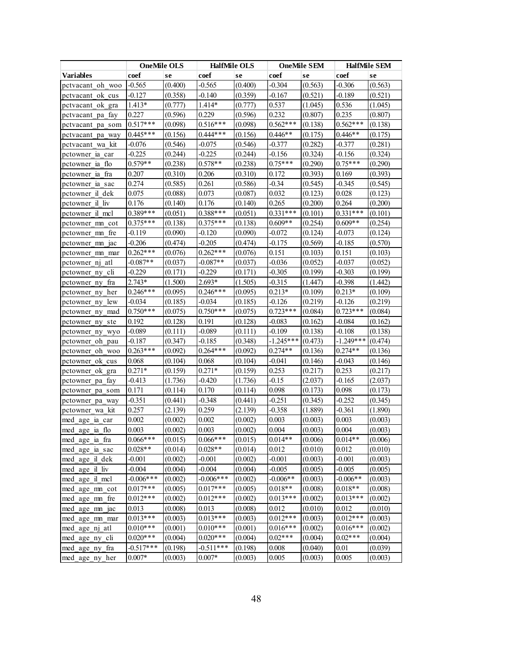|                                  | <b>OneMile OLS</b> |                    | <b>HalfMile OLS</b> |                    |                    | <b>OneMile SEM</b> | <b>HalfMile SEM</b> |                    |
|----------------------------------|--------------------|--------------------|---------------------|--------------------|--------------------|--------------------|---------------------|--------------------|
| <b>Variables</b>                 | coef               | se                 | coef                | se                 | coef               | se                 | coef                | se                 |
| pctvacant oh woo                 | $-0.565$           | (0.400)            | $-0.565$            | (0.400)            | $-0.304$           | (0.563)            | $-0.306$            | (0.563)            |
| pctvacant ok cus                 | $-0.127$           | (0.358)            | -0.140              | (0.359)            | $-0.167$           | (0.521)            | $-0.189$            | (0.521)            |
| pctvacant ok gra                 | $1.413*$           | (0.777)            | $1.414*$            | (0.777)            | 0.537              | (1.045)            | 0.536               | (1.045)            |
| pctvacant pa fay                 | 0.227              | (0.596)            | 0.229               | (0.596)            | 0.232              | (0.807)            | 0.235               | (0.807)            |
| pctvacant pa som                 | $0.517***$         | (0.098)            | $0.516***$          | (0.098)            | $0.562***$         | (0.138)            | $0.562***$          | (0.138)            |
| pctvacant pa way                 | $0.445***$         | (0.156)            | $0.444***$          | (0.156)            | $0.446**$          | (0.175)            | $0.446**$           | (0.175)            |
| pctvacant wa kit                 | -0.076             | (0.546)            | $-0.075$            | (0.546)            | $-0.377$           | (0.282)            | $-0.377$            | (0.281)            |
| pctowner ia car                  | $-0.225$           | (0.244)            | $-0.225$            | (0.244)            | $-0.156$           | (0.324)            | $-0.156$            | (0.324)            |
| pctowner ia flo                  | $0.579**$          | (0.238)            | $0.578**$           | (0.238)            | $0.75***$          | (0.290)            | $0.75***$           | (0.290)            |
| pctowner ia fra                  | 0.207              | (0.310)            | 0.206               | (0.310)            | 0.172              | (0.393)            | 0.169               | (0.393)            |
| pctowner ia sac                  | 0.274              | (0.585)            | 0.261               | (0.586)            | $-0.34$            | (0.545)            | $-0.345$            | (0.545)            |
| pctowner il dek                  | 0.075              | (0.088)            | 0.073               | (0.087)            | 0.032              | (0.123)            | 0.028               | (0.123)            |
| pctowner il liv                  | 0.176              | (0.140)            | 0.176               | (0.140)            | 0.265              | (0.200)            | 0.264               | (0.200)            |
| pctowner il mel                  | 0.389***           | (0.051)            | $0.388***$          | (0.051)            | $0.331***$         | (0.101)            | $0.331***$          | (0.101)            |
| pctowner mn cot                  | $0.375***$         | (0.138)            | $0.375***$          | (0.138)            | $0.609**$          | (0.254)            | $0.609**$           | (0.254)            |
| fre<br>pctowner mn               | $-0.119$           | (0.090)            | $-0.120$            | (0.090)            | $-0.072$           | (0.124)            | $-0.073$            | (0.124)            |
| jac<br>pctowner mn               | $-0.206$           | (0.474)            | $-0.205$            | (0.474)            | -0.175             | (0.569)            | $-0.185$            | (0.570)            |
| pctowner mn mar                  | $0.262***$         | (0.076)            | $0.262***$          | (0.076)            | 0.151              | (0.103)            | 0.151               | (0.103)            |
| pctowner ni atl                  | $-0.087**$         | (0.037)            | $-0.087**$          | (0.037)            | $-0.036$           | (0.052)            | $-0.037$            | (0.052)            |
| pctowner ny cli                  | -0.229             | (0.171)            | $-0.229$            | (0.171)            | $-0.305$           | (0.199)            | $-0.303$            | (0.199)            |
| fra<br>pctowner ny               | $2.743*$           | (1.500)            | $2.693*$            | (1.505)            | $-0.315$           | (1.447)            | $-0.398$            | (1.442)            |
| pctowner ny her                  | $0.246***$         | (0.095)            | $0.246***$          | (0.095)            | $0.213*$           | (0.109)            | $0.213*$            | (0.109)            |
| pctowner_ny_lew                  | $-0.034$           | (0.185)            | $-0.034$            | (0.185)            | $-0.126$           | (0.219)            | $-0.126$            | (0.219)            |
| pctowner ny mad                  | $0.750***$         | (0.075)            | $0.750***$          | (0.075)            | $0.723***$         | (0.084)            | $0.723***$          | (0.084)            |
| pctowner ny ste                  | 0.192              | (0.128)            | 0.191               | (0.128)            | $-0.083$           | (0.162)            | $-0.084$            | (0.162)            |
| pctowner ny wyo                  | -0.089             | (0.111)            | -0.089              | (0.111)            | -0.109             | (0.138)            | -0.108              | (0.138)            |
| pctowner oh pau                  | $-0.187$           | (0.347)            | $-0.185$            | (0.348)            | $-1.245***$        | (0.473)            | $-1.249***$         | (0.474)            |
| pctowner oh woo                  | $0.263***$         | (0.092)            | $0.264***$          | (0.092)            | $0.274**$          | (0.136)            | $0.274**$           | (0.136)            |
| pctowner ok cus                  | 0.068              | (0.104)            | 0.068               | (0.104)            | $-0.041$           | (0.146)            | $-0.043$            | (0.146)            |
|                                  | $0.271*$           | (0.159)            | $0.271*$            | (0.159)            | 0.253              | (0.217)            | 0.253               | (0.217)            |
| pctowner ok gra                  | $-0.413$           | (1.736)            | $-0.420$            |                    | $-0.15$            |                    | $-0.165$            |                    |
| pctowner pa fay                  | 0.171              | (0.114)            | 0.170               | (1.736)<br>(0.114) | 0.098              | (2.037)<br>(0.173) | 0.098               | (2.037)            |
| pctowner pa som                  | $-0.351$           |                    |                     |                    |                    |                    |                     | (0.173)<br>(0.345) |
| pctowner pa way                  |                    | (0.441)            | $-0.348$            | (0.441)            | $-0.251$           | (0.345)            | $-0.252$            |                    |
| pctowner wa kit                  | 0.257              | (2.139)            | 0.259               | (2.139)            | $-0.358$           | (1.889)            | $-0.361$            | (1.890)            |
| med_age_ia_car                   | 0.002<br>0.003     | (0.002)            | 0.002               | (0.002)            | 0.003              | (0.003)<br>(0.003) | 0.003               | (0.003)<br>(0.003) |
| med age ia flo<br>med age ia fra | $0.066***$         | (0.002)<br>(0.015) | 0.003<br>$0.066***$ | (0.002)<br>(0.015) | 0.004<br>$0.014**$ | (0.006)            | 0.004<br>$0.014**$  | (0.006)            |
|                                  |                    |                    | $0.028**$           |                    | 0.012              |                    |                     |                    |
| med age ia sac                   | $0.028**$          | (0.014)            |                     | (0.014)            |                    | (0.010)            | 0.012               | (0.010)            |
| med age il dek                   | $-0.001$           | (0.002)            | $-0.001$            | (0.002)            | $-0.001$           | (0.003)            | $-0.001$            | (0.003)            |
| med age il liv                   | $-0.004$           | (0.004)            | $-0.004$            | (0.004)            | $-0.005$           | (0.005)            | $-0.005$            | (0.005)            |
| age il mel<br>med                | $-0.006***$        | (0.002)            | $-0.006***$         | (0.002)            | $-0.006**$         | (0.003)            | $-0.006**$          | (0.003)            |
| med age mn cot                   | $0.017***$         | (0.005)            | $0.017***$          | (0.005)            | $0.018**$          | (0.008)            | $0.018**$           | (0.008)            |
| med_age_mn fre                   | $0.012***$         | (0.002)            | $0.012***$          | (0.002)            | $0.013***$         | (0.002)            | $0.013***$          | (0.002)            |
| med age mn<br>jac                | 0.013              | (0.008)            | 0.013               | (0.008)            | 0.012              | (0.010)            | 0.012               | (0.010)            |
| med age mn mar                   | $0.013***$         | (0.003)            | $0.013***$          | (0.003)            | $0.012***$         | (0.003)            | $0.012***$          | (0.003)            |
| med age nj atl                   | $0.010***$         | (0.001)            | $0.010***$          | (0.001)            | $0.016***$         | (0.002)            | $0.016***$          | (0.002)            |
| med_age_ny cli                   | $0.020***$         | (0.004)            | $0.020$ ***         | (0.004)            | $0.02***$          | (0.004)            | $0.02***$           | (0.004)            |
| med_age_ny fra                   | $-0.517***$        | (0.198)            | $-0.511***$         | (0.198)            | 0.008              | (0.040)            | 0.01                | (0.039)            |
| med_age_ny_her                   | $0.007*$           | (0.003)            | $0.007*$            | (0.003)            | 0.005              | (0.003)            | 0.005               | (0.003)            |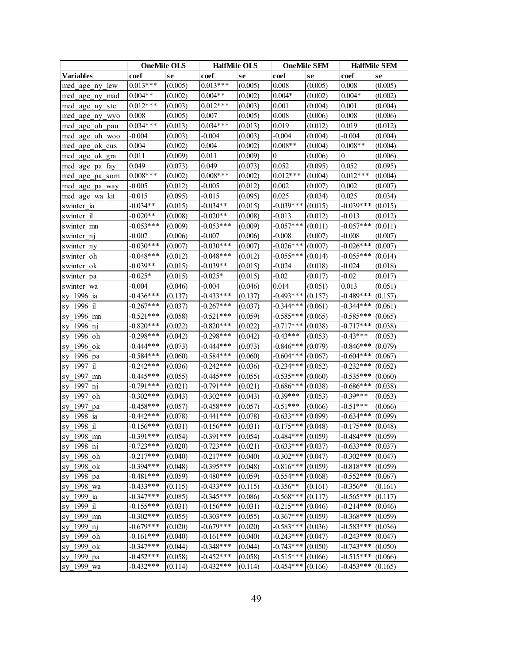|                         | <b>OneMile OLS</b> |         | <b>HalfMile OLS</b> |         | <b>OneMile SEM</b>  |         | <b>HalfMile SEM</b> |         |
|-------------------------|--------------------|---------|---------------------|---------|---------------------|---------|---------------------|---------|
| <b>Variables</b>        | coef               | se      | coef                | se      | coef                | se      | coef                | se      |
| med age ny lew          | $0.013***$         | (0.005) | $0.013***$          | (0.005) | 0.008               | (0.005) | 0.008               | (0.005) |
| med<br>age ny mad       | $0.004**$          | (0.002) | $0.004**$           | (0.002) | $0.004*$            | (0.002) | $0.004*$            | (0.002) |
| med<br>age ny ste       | $0.012***$         | (0.003) | $0.012***$          | (0.003) | 0.001               | (0.004) | 0.001               | (0.004) |
| med<br>age ny wyo       | 0.008              | (0.005) | 0.007               | (0.005) | 0.008               | (0.006) | 0.008               | (0.006) |
| age oh<br>med<br>pau    | $0.034***$         | (0.013) | $0.034***$          | (0.013) | 0.019               | (0.012) | 0.019               | (0.012) |
| age oh woo<br>med       | $-0.004$           | (0.003) | $-0.004$            | (0.003) | $-0.004$            | (0.004) | $-0.004$            | (0.004) |
| med<br>age ok cus       | 0.004              | (0.002) | 0.004               | (0.002) | $0.008**$           | (0.004) | $0.008**$           | (0.004) |
| med<br>age ok gra       | 0.011              | (0.009) | 0.011               | (0.009) | $\boldsymbol{0}$    | (0.006) | $\boldsymbol{0}$    | (0.006) |
| age_pa fay<br>med       | 0.049              | (0.073) | 0.049               | (0.073) | 0.052               | (0.095) | 0.052               | (0.095) |
| med<br>age pa som       | $0.008$ ***        | (0.002) | $0.008***$          | (0.002) | $0.012***$          | (0.004) | $0.012***$          | (0.004) |
| med<br>age pa way       | $-0.005$           | (0.012) | $-0.005$            | (0.012) | 0.002               | (0.007) | 0.002               | (0.007) |
| age wa kit<br>med       | $-0.015$           | (0.095) | $-0.015$            | (0.095) | 0.025               | (0.034) | 0.025               | (0.034) |
| swinter ia              | $-0.034**$         | (0.015) | $-0.034**$          | (0.015) | $-0.039***$         | (0.015) | $-0.039***$         | (0.015) |
| swinter il              | $-0.020**$         | (0.008) | $-0.020**$          | (0.008) | $-0.013$            | (0.012) | $-0.013$            | (0.012) |
| swinter mn              | $-0.053***$        | (0.009) | $-0.053***$         | (0.009) | $-0.057***$         | (0.011) | $-0.057***$         | (0.011) |
| swinter nj              | -0.007             | (0.006) | -0.007              | (0.006) | $-0.008$            | (0.007) | $-0.008$            | (0.007) |
| swinter ny              | $-0.030***$        | (0.007) | $-0.030***$         | (0.007) | $-0.026***$         | (0.007) | $-0.026***$         | (0.007) |
| swinter oh              | $-0.048***$        | (0.012) | $-0.048$ ***        | (0.012) | $-0.055***$         | (0.014) | $-0.055***$         | (0.014) |
| swinter ok              | $-0.039**$         | (0.015) | $-0.039**$          | (0.015) | $-0.024$            | (0.018) | $-0.024$            | (0.018) |
| swinter pa              | $-0.025*$          | (0.015) | $-0.025*$           | (0.015) | $-0.02$             | (0.017) | $-0.02$             | (0.017) |
| swinter wa              | $-0.004$           | (0.046) | $-0.004$            | (0.046) | 0.014               | (0.051) | 0.013               | (0.051) |
| sy 1996 ia              | $-0.436***$        | (0.137) | $-0.433***$         | (0.137) | $-0.493***$         | (0.157) | $-0.489***$         | (0.157) |
| sy 1996 il              | $-0.267***$        | (0.037) | $-0.267***$         | (0.037) | $-0.344***$         | (0.061) | $-0.344***$         | (0.061) |
| sy 1996 mn              | $-0.521***$        | (0.058) | $-0.521***$         | (0.059) | $-0.585***$         | (0.065) | $-0.585***$         | (0.065) |
| sy 1996 nj              | $-0.820***$        | (0.022) | $-0.820***$         | (0.022) | $-0.717***$         | (0.038) | $-0.717***$         | (0.038) |
| 1996 oh<br>S V          | $-0.298***$        | (0.042) | $-0.298***$         | (0.042) | $-0.43***$          | (0.053) | $-0.43***$          | (0.053) |
| sy 1996 ok              | $-0.444***$        | (0.073) | $-0.444***$         | (0.073) | $-0.846***$         | (0.079) | $-0.846***$         | (0.079) |
| 1996 pa<br>sy           | $-0.584***$        | (0.060) | $-0.584***$         | (0.060) | $-0.604***$         | (0.067) | $-0.604***$         | (0.067) |
| sy 1997 il              | $-0.242***$        | (0.036) | $-0.242***$         | (0.036) | $-0.234***$         | (0.052) | $-0.232***$         | (0.052) |
| sy 1997<br>mn           | $-0.445***$        | (0.055) | -0.445***           | (0.055) | $-0.535***$         | (0.060) | $-0.535***$         | (0.060) |
| 1997 nj<br>s y          | $-0.791***$        | (0.021) | $-0.791***$         | (0.021) | $-0.686***$         | (0.038) | $-0.686***$         | (0.038) |
| 1997<br>oh<br>S V       | $-0.302***$        | (0.043) | $-0.302$ ***        | (0.043) | $-0.39***$          | (0.053) | $-0.39***$          | (0.053) |
| 1997<br>pa<br><b>SV</b> | $-0.458***$        | (0.057) | $-0.458***$         | (0.057) | $-0.51***$          | (0.066) | $-0.51***$          | (0.066) |
| 1998 ia<br>s y          | $-0.442***$        | (0.078) | $-0.441***$         | (0.078) | $-0.633***$         | (0.099) | $-0.634***$         | (0.099) |
| sy 1998 il              | $-0.156***$        | (0.031) | $-0.156***$         | (0.031) | $-0.175***$         | (0.048) | $-0.175***$ (0.048) |         |
| sy_1998_mn              | $-0.391***$        | (0.054) | $-0.391***$         | (0.054) | $-0.484***$ (0.059) |         | $-0.484***$ (0.059) |         |
| sy_1998 ni              | $-0.723***$        | (0.020) | $-0.723***$         | (0.021) | $-0.633***$         | (0.037) | $-0.633***$ (0.037) |         |
| sy 1998 oh              | $-0.217***$        | (0.040) | $-0.217***$         | (0.040) | $-0.302***$         | (0.047) | $-0.302***$         | (0.047) |
| sy 1998 ok              | $-0.394***$        | (0.048) | $-0.395***$         | (0.048) | $-0.816***$         | (0.059) | $-0.818***$         | (0.059) |
| sy_1998 pa              | $-0.481***$        | (0.059) | $-0.480***$         | (0.059) | $-0.554***$         | (0.068) | $-0.552***$         | (0.067) |
| sy_1998 wa              | $-0.433***$        | (0.115) | $-0.433***$         | (0.115) | $-0.356**$          | (0.161) | $-0.356**$          | (0.161) |
| sy_1999 ia              | $-0.347***$        | (0.085) | $-0.345***$         | (0.086) | $-0.568***$         | (0.117) | $-0.565***$         | (0.117) |
| sy_1999 il              | $-0.155***$        | (0.031) | $-0.156***$         | (0.031) | $-0.215***$         | (0.046) | $-0.214***$         | (0.046) |
| sy_1999 mn              | $-0.302***$        | (0.055) | $-0.303***$         | (0.055) | $-0.367***$         | (0.059) | $-0.368***$         | (0.059) |
| sy_1999 ni              | $-0.679***$        | (0.020) | $-0.679***$         | (0.020) | $-0.583***$         | (0.036) | $-0.583***$         | (0.036) |
| sy_1999 oh              | $-0.161***$        | (0.040) | $-0.161***$         | (0.040) | $-0.243***$         | (0.047) | $-0.243***$         | (0.047) |
| sy_1999 ok              | $-0.347***$        | (0.044) | $-0.348***$         | (0.044) | $-0.743***$         | (0.050) | $-0.743***$         | (0.050) |
| sy_1999_pa              | $-0.452***$        | (0.058) | $-0.452***$         | (0.058) | $-0.515***$         | (0.066) | $-0.515***$         | (0.066) |
| sy_1999 wa              | $-0.432***$        | (0.114) | $-0.432***$         | (0.114) | $-0.454***$         | (0.166) | $-0.453***$         | (0.165) |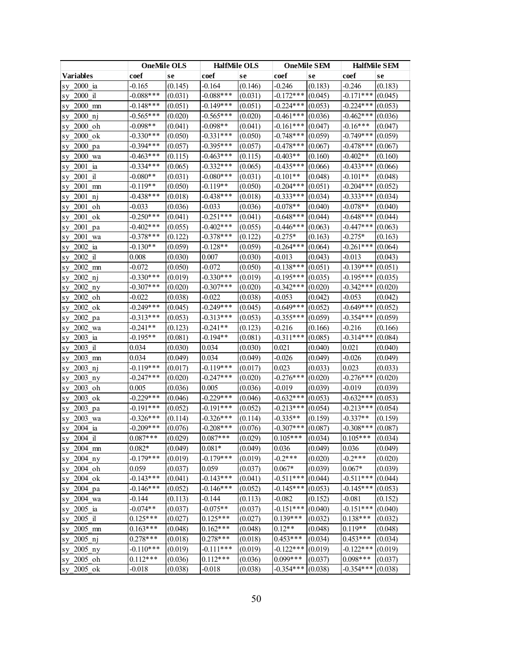|                                     | <b>OneMile OLS</b> |         |             | <b>HalfMile OLS</b> |             | <b>OneMile SEM</b> |              | <b>HalfMile SEM</b> |
|-------------------------------------|--------------------|---------|-------------|---------------------|-------------|--------------------|--------------|---------------------|
| <b>Variables</b>                    | coef               | se      | coef        | se                  | coef        | se                 | coef         | se                  |
| 2000 ia<br><b>SV</b>                | $-0.165$           | (0.145) | $-0.164$    | (0.146)             | $-0.246$    | (0.183)            | $-0.246$     | (0.183)             |
| 2000 il<br><b>SV</b>                | $-0.088***$        | (0.031) | $-0.088***$ | (0.031)             | $-0.172***$ | (0.045)            | $-0.171***$  | (0.045)             |
| 2000 mn<br>sy                       | $-0.148***$        | (0.051) | $-0.149***$ | (0.051)             | $-0.224***$ | (0.053)            | $-0.224***$  | (0.053)             |
| 2000 nj<br>sy                       | $-0.565***$        | (0.020) | $-0.565***$ | (0.020)             | $-0.461***$ | (0.036)            | $-0.462***$  | (0.036)             |
| 2000 oh<br><b>SV</b>                | $-0.098**$         | (0.041) | $-0.098**$  | (0.041)             | $-0.161***$ | (0.047)            | $-0.16***$   | (0.047)             |
| 2000<br>ok<br><b>SV</b>             | $-0.330***$        | (0.050) | $-0.331***$ | (0.050)             | $-0.748***$ | (0.059)            | $-0.749***$  | (0.059)             |
| 2000<br>pa<br>sy                    | $-0.394***$        | (0.057) | $-0.395***$ | (0.057)             | $-0.478***$ | (0.067)            | $-0.478***$  | (0.067)             |
| 2000<br>wa<br>sy                    | $-0.463***$        | (0.115) | $-0.463***$ | (0.115)             | $-0.403**$  | (0.160)            | $-0.402**$   | (0.160)             |
| 2001<br>ia<br>sy                    | $-0.334***$        | (0.065) | $-0.332***$ | (0.065)             | $-0.435***$ | (0.066)            | $-0.433***$  | (0.066)             |
| 2001<br>il<br><b>SV</b>             | $-0.080**$         | (0.031) | $-0.080***$ | (0.031)             | $-0.101**$  | (0.048)            | $-0.101**$   | (0.048)             |
| 2001<br>mn<br><b>SV</b>             | $-0.119**$         | (0.050) | $-0.119**$  | (0.050)             | $-0.204***$ | (0.051)            | $-0.204***$  | (0.052)             |
| 2001<br>$\overline{n}$<br><b>sy</b> | $-0.438***$        | (0.018) | $-0.438***$ | (0.018)             | $-0.333***$ | (0.034)            | $-0.333***$  | (0.034)             |
| 2001<br>oh<br><b>SV</b>             | $-0.033$           | (0.036) | -0.033      | (0.036)             | $-0.078**$  | (0.040)            | $-0.078**$   | (0.040)             |
| 2001<br>ok<br><b>SV</b>             | $-0.250***$        | (0.041) | $-0.251***$ | (0.041)             | $-0.648***$ | (0.044)            | $-0.648***$  | (0.044)             |
| 2001<br>pa<br><b>sy</b>             | $-0.402***$        | (0.055) | $-0.402***$ | (0.055)             | -0.446***   | (0.063)            | $-0.447***$  | (0.063)             |
| 2001<br>wa<br><b>sy</b>             | $-0.378***$        | (0.122) | $-0.378***$ | (0.122)             | $-0.275*$   | (0.163)            | $-0.275*$    | (0.163)             |
| 2002<br>ia<br><b>sy</b>             | $-0.130**$         | (0.059) | $-0.128**$  | (0.059)             | $-0.264***$ | (0.064)            | $-0.261***$  | (0.064)             |
| 2002 il<br><b>SV</b>                | 0.008              | (0.030) | 0.007       | (0.030)             | -0.013      | (0.043)            | -0.013       | (0.043)             |
| 2002<br>mn<br><b>S</b> y            | $-0.072$           | (0.050) | $-0.072$    | (0.050)             | $-0.138***$ | (0.051)            | $-0.139***$  | (0.051)             |
| 2002<br>nj<br>sy                    | $-0.330***$        | (0.019) | $-0.330***$ | (0.019)             | $-0.195***$ | (0.035)            | $-0.195***$  | (0.035)             |
| 2002 ny<br><b>SV</b>                | $-0.307***$        | (0.020) | $-0.307***$ | (0.020)             | $-0.342***$ | (0.020)            | $-0.342***$  | (0.020)             |
| 2002<br>0h<br><b>SV</b>             | -0.022             | (0.038) | -0.022      | (0.038)             | -0.053      | (0.042)            | -0.053       | (0.042)             |
| 2002<br>ok<br>sy                    | $-0.249***$        | (0.045) | $-0.249***$ | (0.045)             | $-0.649***$ | (0.052)            | $-0.649***$  | (0.052)             |
| 2002<br>pa<br>sy                    | $-0.313***$        | (0.053) | $-0.313***$ | (0.053)             | $-0.355***$ | (0.059)            | $-0.354***$  | (0.059)             |
| 2002<br>wa<br>sy                    | $-0.241**$         | (0.123) | $-0.241**$  | (0.123)             | -0.216      | (0.166)            | -0.216       | (0.166)             |
| 2003<br>ia<br>sy                    | $-0.195**$         | (0.081) | -0.194**    | (0.081)             | $-0.311***$ | (0.085)            | $-0.314***$  | (0.084)             |
| il<br>2003<br>sy                    | 0.034              | (0.030) | 0.034       | (0.030)             | 0.021       | (0.040)            | 0.021        | (0.040)             |
| 2003<br>mn<br>sy                    | 0.034              | (0.049) | 0.034       | (0.049)             | -0.026      | (0.049)            | -0.026       | (0.049)             |
| 2003 nj<br>sy                       | $-0.119***$        | (0.017) | $-0.119***$ | (0.017)             | 0.023       | (0.033)            | 0.023        | (0.033)             |
| 2003 ny<br>sy                       | $-0.247***$        | (0.020) | $-0.247***$ | (0.020)             | $-0.276***$ | (0.020)            | $-0.276***$  | (0.020)             |
| 2003<br>0h<br>sy                    | 0.005              | (0.036) | 0.005       | (0.036)             | -0.019      | (0.039)            | -0.019       | (0.039)             |
| 2003<br>ok<br>sy                    | $-0.229***$        | (0.046) | $-0.229***$ | (0.046)             | $-0.632***$ | (0.053)            | $-0.632***$  | (0.053)             |
| 2003<br>pa<br>sy                    | $-0.191***$        | (0.052) | $-0.191***$ | (0.052)             | $-0.213***$ | (0.054)            | $-0.213***$  | (0.054)             |
| 2003<br>wa<br>sy                    | $-0.326***$        | (0.114) | $-0.326***$ | (0.114)             | $-0.335**$  | (0.159)            | $-0.337**$   | (0.159)             |
| sy_2004 ia                          | -0.209***          | (0.076) | $-0.208***$ | (0.076)             | $-0.307***$ | (0.087)            | $-0.308$ *** | (0.087)             |
| 2004 il<br>s y                      | $0.087***$         | (0.029) | $0.087***$  | (0.029)             | $0.105***$  | (0.034)            | $0.105***$   | (0.034)             |
| sy 2004 mn                          | $0.082*$           | (0.049) | $0.081*$    | (0.049)             | 0.036       | (0.049)            | 0.036        | (0.049)             |
| sy_2004_ny                          | $-0.179***$        | (0.019) | $-0.179***$ | (0.019)             | $-0.2$ ***  | (0.020)            | $-0.2***$    | (0.020)             |
| 2004 oh<br>sy                       | 0.059              | (0.037) | 0.059       | (0.037)             | $0.067*$    | (0.039)            | $0.067*$     | (0.039)             |
| 2004 ok<br>sy                       | $-0.143***$        | (0.041) | $-0.143***$ | (0.041)             | $-0.511***$ | (0.044)            | $-0.511***$  | (0.044)             |
| sy_2004_pa                          | $-0.146***$        | (0.052) | -0.146***   | (0.052)             | $-0.145***$ | (0.053)            | -0.145***    | (0.053)             |
| sy 2004 wa                          | -0.144             | (0.113) | $-0.144$    | (0.113)             | -0.082      | (0.152)            | -0.081       | (0.152)             |
| sy_2005 ia                          | $-0.074**$         | (0.037) | $-0.075**$  | (0.037)             | $-0.151***$ | (0.040)            | $-0.151***$  | (0.040)             |
| 2005 il<br>sy                       | $0.125***$         | (0.027) | $0.125***$  | (0.027)             | $0.139***$  | (0.032)            | $0.138***$   | (0.032)             |
| sy_2005 mn                          | $0.163***$         | (0.048) | $0.162***$  | (0.048)             | $0.12**$    | (0.048)            | $0.119**$    | (0.048)             |
| 2005 nj<br>sy                       | $0.278***$         | (0.018) | $0.278***$  | (0.018)             | $0.453***$  | (0.034)            | $0.453***$   | (0.034)             |
| 2005 ny<br>sy                       | $-0.110***$        | (0.019) | $-0.111***$ | (0.019)             | $-0.122***$ | (0.019)            | $-0.122***$  | (0.019)             |
| 2005 oh<br>sy                       | $0.112***$         | (0.036) | $0.112***$  | (0.036)             | $0.099***$  | (0.037)            | $0.098***$   | (0.037)             |
| $sy_2005$ <sub>_0</sub> k           | -0.018             | (0.038) | $-0.018$    | (0.038)             | $-0.354***$ | (0.038)            | $-0.354***$  | (0.038)             |